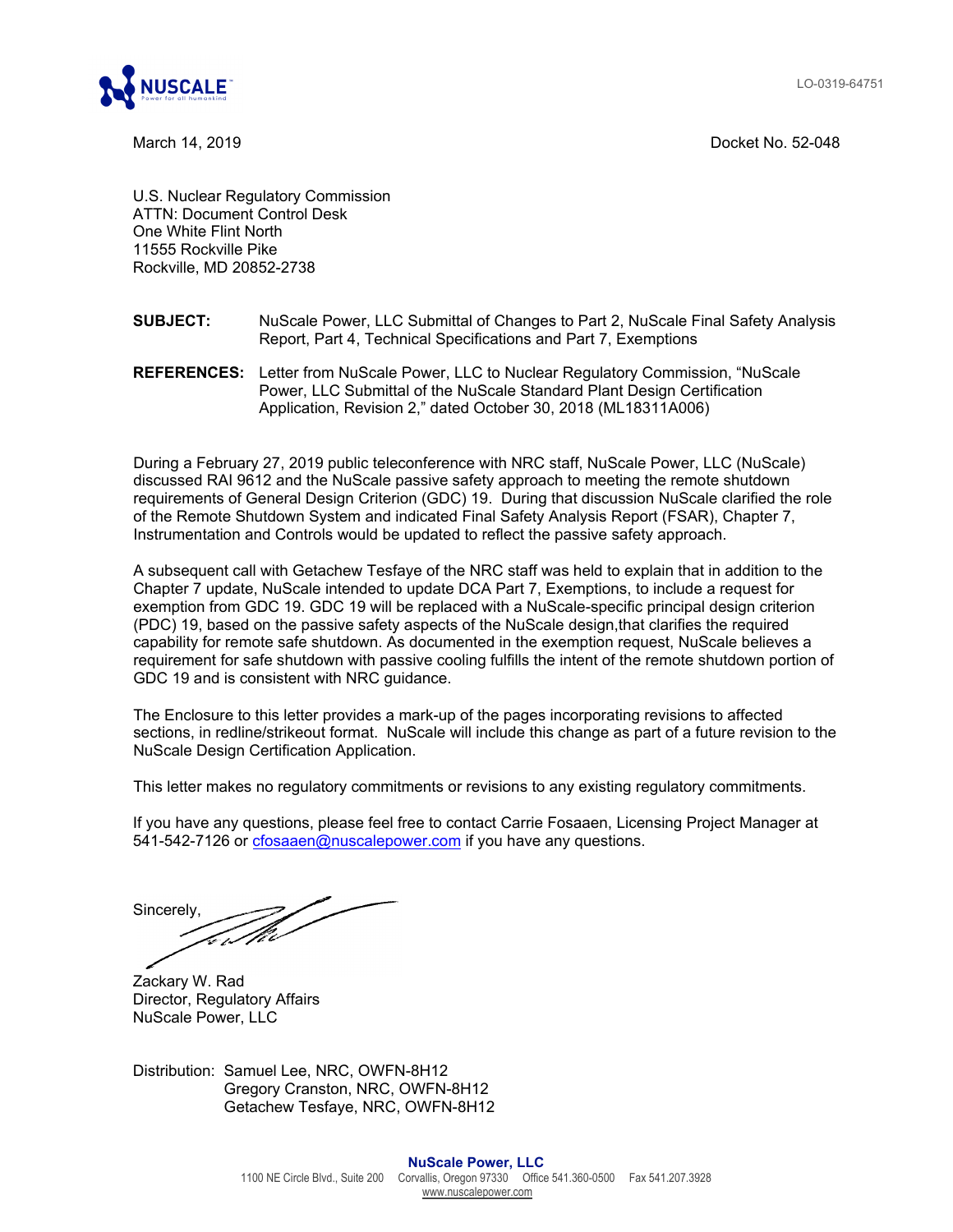LO-0319-64751



March 14, 2019 Docket No. 52-048

U.S. Nuclear Regulatory Commission ATTN: Document Control Desk One White Flint North 11555 Rockville Pike Rockville, MD 20852-2738

## **SUBJECT:** NuScale Power, LLC Submittal of Changes to Part 2, NuScale Final Safety Analysis Report, Part 4, Technical Specifications and Part 7, Exemptions

**REFERENCES:** Letter from NuScale Power, LLC to Nuclear Regulatory Commission, "NuScale Power, LLC Submittal of the NuScale Standard Plant Design Certification Application, Revision 2," dated October 30, 2018 (ML18311A006)

During a February 27, 2019 public teleconference with NRC staff, NuScale Power, LLC (NuScale) discussed RAI 9612 and the NuScale passive safety approach to meeting the remote shutdown requirements of General Design Criterion (GDC) 19. During that discussion NuScale clarified the role of the Remote Shutdown System and indicated Final Safety Analysis Report (FSAR), Chapter 7, Instrumentation and Controls would be updated to reflect the passive safety approach.

A subsequent call with Getachew Tesfaye of the NRC staff was held to explain that in addition to the Chapter 7 update, NuScale intended to update DCA Part 7, Exemptions, to include a request for exemption from GDC 19. GDC 19 will be replaced with a NuScale-specific principal design criterion (PDC) 19, based on the passive safety aspects of the NuScale design,that clarifies the required capability for remote safe shutdown. As documented in the exemption request, NuScale believes a requirement for safe shutdown with passive cooling fulfills the intent of the remote shutdown portion of GDC 19 and is consistent with NRC guidance.

The Enclosure to this letter provides a mark-up of the pages incorporating revisions to affected sections, in redline/strikeout format. NuScale will include this change as part of a future revision to the NuScale Design Certification Application.

This letter makes no regulatory commitments or revisions to any existing regulatory commitments.

If you have any questions, please feel free to contact Carrie Fosaaen, Licensing Project Manager at 541-542-7126 or cfosaaen@nuscalepower.com if you have any questions.

Sincerely,

Zackary W. Rad Director, Regulatory Affairs NuScale Power, LLC

Distribution: Samuel Lee, NRC, OWFN-8H12 Gregory Cranston, NRC, OWFN-8H12 Getachew Tesfaye, NRC, OWFN-8H12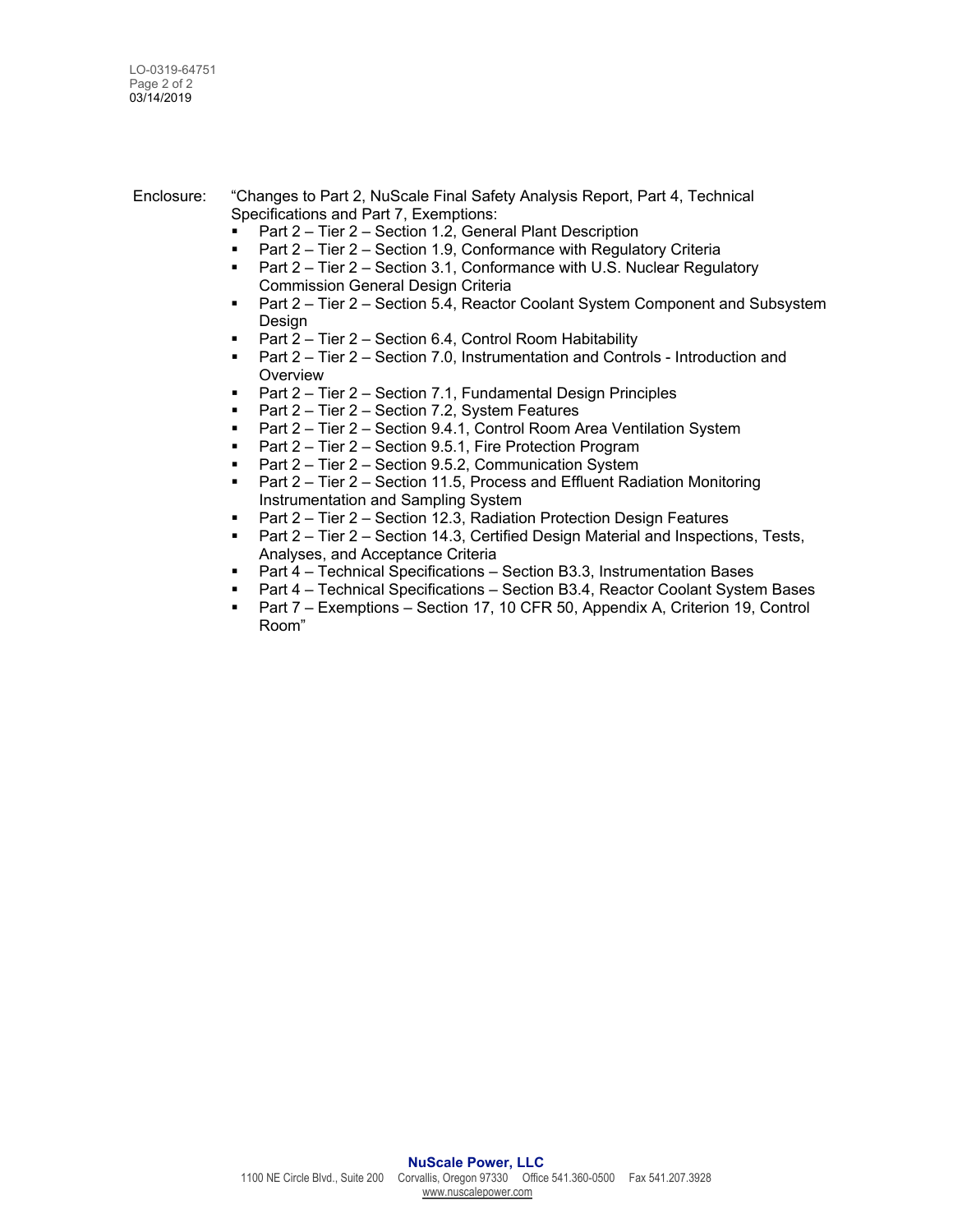Enclosure: "Changes to Part 2, NuScale Final Safety Analysis Report, Part 4, Technical Specifications and Part 7, Exemptions:

- Part 2 Tier 2 Section 1.2, General Plant Description
- **Part 2 Tier 2 Section 1.9, Conformance with Regulatory Criteria**
- Part 2 Tier 2 Section 3.1, Conformance with U.S. Nuclear Regulatory Commission General Design Criteria
- Part 2 Tier 2 Section 5.4, Reactor Coolant System Component and Subsystem Design
- Part 2 Tier 2 Section 6.4, Control Room Habitability
- Part 2 Tier 2 Section 7.0, Instrumentation and Controls Introduction and **Overview**
- Part 2 Tier 2 Section 7.1, Fundamental Design Principles
- Part 2 Tier 2 Section 7.2, System Features
- Part 2 Tier 2 Section 9.4.1, Control Room Area Ventilation System
- Part 2 Tier 2 Section 9.5.1, Fire Protection Program
- Part 2 Tier 2 Section 9.5.2, Communication System
- Part 2 Tier 2 Section 11.5, Process and Effluent Radiation Monitoring Instrumentation and Sampling System
- Part 2 Tier 2 Section 12.3, Radiation Protection Design Features
- **Part 2 Tier 2 Section 14.3, Certified Design Material and Inspections, Tests,** Analyses, and Acceptance Criteria
- Part 4 Technical Specifications Section B3.3, Instrumentation Bases
- Part 4 Technical Specifications Section B3.4, Reactor Coolant System Bases
- Part 7 Exemptions Section 17, 10 CFR 50, Appendix A, Criterion 19, Control Room"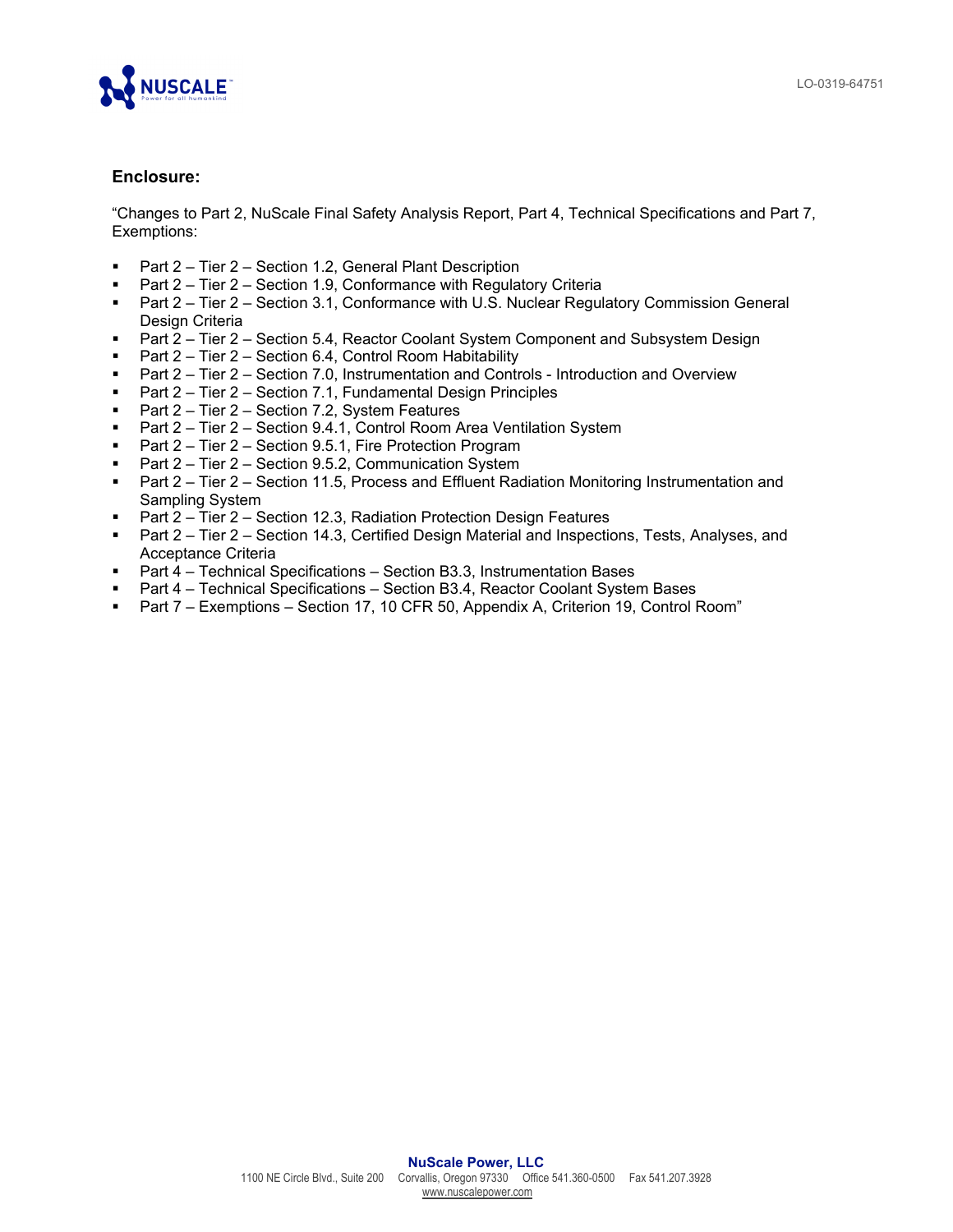

## **Enclosure:**

"Changes to Part 2, NuScale Final Safety Analysis Report, Part 4, Technical Specifications and Part 7, Exemptions:

- Part 2 Tier 2 Section 1.2, General Plant Description
- **Part 2 Tier 2 Section 1.9, Conformance with Regulatory Criteria**
- Part 2 Tier 2 Section 3.1, Conformance with U.S. Nuclear Regulatory Commission General Design Criteria
- Part 2 Tier 2 Section 5.4, Reactor Coolant System Component and Subsystem Design
- **Part 2 Tier 2 Section 6.4, Control Room Habitability**
- Part 2 Tier 2 Section 7.0, Instrumentation and Controls Introduction and Overview
- Part 2 Tier 2 Section 7.1, Fundamental Design Principles
- Part 2 Tier 2 Section 7.2, System Features
- Part 2 Tier 2 Section 9.4.1, Control Room Area Ventilation System
- Part 2 Tier 2 Section 9.5.1, Fire Protection Program
- Part 2 Tier 2 Section 9.5.2, Communication System
- **Part 2 Tier 2 Section 11.5, Process and Effluent Radiation Monitoring Instrumentation and** Sampling System
- Part 2 Tier 2 Section 12.3, Radiation Protection Design Features
- Part 2 Tier 2 Section 14.3, Certified Design Material and Inspections, Tests, Analyses, and Acceptance Criteria
- Part 4 Technical Specifications Section B3.3, Instrumentation Bases
- Part 4 Technical Specifications Section B3.4, Reactor Coolant System Bases
- Part 7 Exemptions Section 17, 10 CFR 50, Appendix A, Criterion 19, Control Room"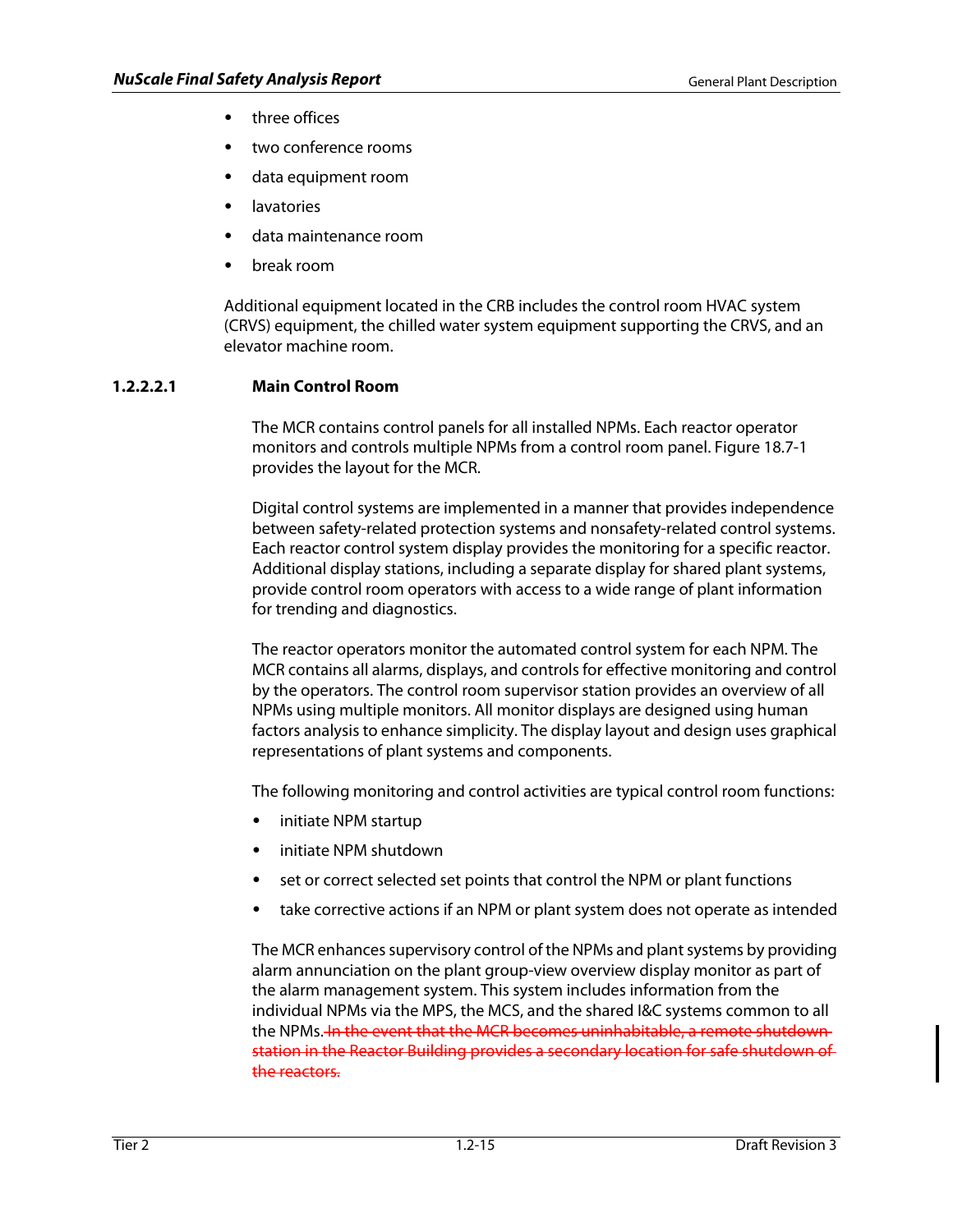- three offices
- two conference rooms
- data equipment room
- **lavatories**
- data maintenance room
- break room

Additional equipment located in the CRB includes the control room HVAC system (CRVS) equipment, the chilled water system equipment supporting the CRVS, and an elevator machine room.

# **1.2.2.2.1 Main Control Room**

The MCR contains control panels for all installed NPMs. Each reactor operator monitors and controls multiple NPMs from a control room panel. Figure 18.7-1 provides the layout for the MCR.

Digital control systems are implemented in a manner that provides independence between safety-related protection systems and nonsafety-related control systems. Each reactor control system display provides the monitoring for a specific reactor. Additional display stations, including a separate display for shared plant systems, provide control room operators with access to a wide range of plant information for trending and diagnostics.

The reactor operators monitor the automated control system for each NPM. The MCR contains all alarms, displays, and controls for effective monitoring and control by the operators. The control room supervisor station provides an overview of all NPMs using multiple monitors. All monitor displays are designed using human factors analysis to enhance simplicity. The display layout and design uses graphical representations of plant systems and components.

The following monitoring and control activities are typical control room functions:

- initiate NPM startup
- initiate NPM shutdown
- set or correct selected set points that control the NPM or plant functions
- take corrective actions if an NPM or plant system does not operate as intended

The MCR enhances supervisory control of the NPMs and plant systems by providing alarm annunciation on the plant group-view overview display monitor as part of the alarm management system. This system includes information from the individual NPMs via the MPS, the MCS, and the shared I&C systems common to all the NPMs. In the event that the MCR becomes uninhabitable, a remote shutdown station in the Reactor Building provides a secondary location for safe shutdown of the reactors.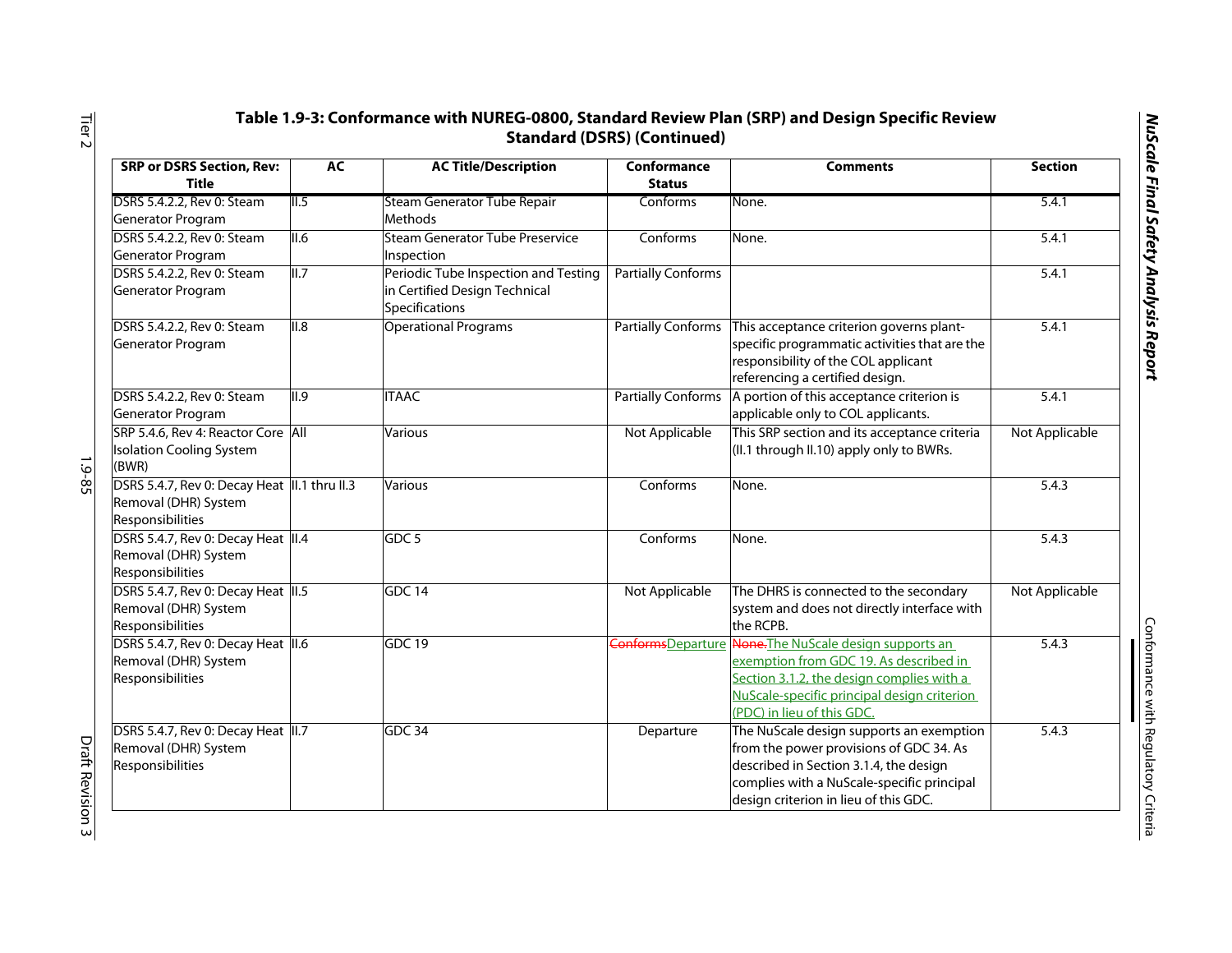| ì      |
|--------|
| ١      |
| :      |
|        |
| į      |
| Ī      |
| i<br>ĵ |
|        |
|        |
| ı      |
|        |
| ï<br>ŗ |
|        |
|        |
|        |
|        |

| <b>SRP or DSRS Section, Rev:</b><br><b>Title</b>                                          | AC   | <b>AC Title/Description</b>                                                             | Conformance<br><b>Status</b> | <b>Comments</b>                                                                                                                                                                                                            | <b>Section</b> |
|-------------------------------------------------------------------------------------------|------|-----------------------------------------------------------------------------------------|------------------------------|----------------------------------------------------------------------------------------------------------------------------------------------------------------------------------------------------------------------------|----------------|
| DSRS 5.4.2.2, Rev 0: Steam<br>Generator Program                                           | II.5 | Steam Generator Tube Repair<br>Methods                                                  | Conforms                     | None.                                                                                                                                                                                                                      | 5.4.1          |
| DSRS 5.4.2.2, Rev 0: Steam<br>Generator Program                                           | II.6 | <b>Steam Generator Tube Preservice</b><br>Inspection                                    | Conforms                     | None.                                                                                                                                                                                                                      | 5.4.1          |
| DSRS 5.4.2.2, Rev 0: Steam<br>Generator Program                                           | II.7 | Periodic Tube Inspection and Testing<br>in Certified Design Technical<br>Specifications | <b>Partially Conforms</b>    |                                                                                                                                                                                                                            | 5.4.1          |
| DSRS 5.4.2.2, Rev 0: Steam<br>Generator Program                                           | II.8 | <b>Operational Programs</b>                                                             |                              | Partially Conforms   This acceptance criterion governs plant-<br>specific programmatic activities that are the<br>responsibility of the COL applicant<br>referencing a certified design.                                   | 5.4.1          |
| DSRS 5.4.2.2, Rev 0: Steam<br>Generator Program                                           | II.9 | <b>ITAAC</b>                                                                            | <b>Partially Conforms</b>    | A portion of this acceptance criterion is<br>applicable only to COL applicants.                                                                                                                                            | 5.4.1          |
| SRP 5.4.6, Rev 4: Reactor Core All<br><b>Isolation Cooling System</b><br>(BWR)            |      | <b>Various</b>                                                                          | Not Applicable               | This SRP section and its acceptance criteria<br>(II.1 through II.10) apply only to BWRs.                                                                                                                                   | Not Applicable |
| DSRS 5.4.7, Rev 0: Decay Heat  II.1 thru II.3<br>Removal (DHR) System<br>Responsibilities |      | <b>Various</b>                                                                          | Conforms                     | None.                                                                                                                                                                                                                      | 5.4.3          |
| DSRS 5.4.7, Rev 0: Decay Heat II.4<br>Removal (DHR) System<br>Responsibilities            |      | GDC 5                                                                                   | Conforms                     | None.                                                                                                                                                                                                                      | 5.4.3          |
| DSRS 5.4.7, Rev 0: Decay Heat II.5<br>Removal (DHR) System<br>Responsibilities            |      | GDC14                                                                                   | Not Applicable               | The DHRS is connected to the secondary<br>system and does not directly interface with<br>the RCPB.                                                                                                                         | Not Applicable |
| DSRS 5.4.7, Rev 0: Decay Heat 1.6<br>Removal (DHR) System<br>Responsibilities             |      | <b>GDC 19</b>                                                                           |                              | ConformsDeparture None. The NuScale design supports an<br>exemption from GDC 19. As described in<br>Section 3.1.2, the design complies with a<br>NuScale-specific principal design criterion<br>(PDC) in lieu of this GDC. | 5.4.3          |
| DSRS 5.4.7, Rev 0: Decay Heat II.7<br>Removal (DHR) System<br>Responsibilities            |      | GDC 34                                                                                  | Departure                    | The NuScale design supports an exemption<br>from the power provisions of GDC 34. As<br>described in Section 3.1.4, the design<br>complies with a NuScale-specific principal<br>design criterion in lieu of this GDC.       | 5.4.3          |

Tier 2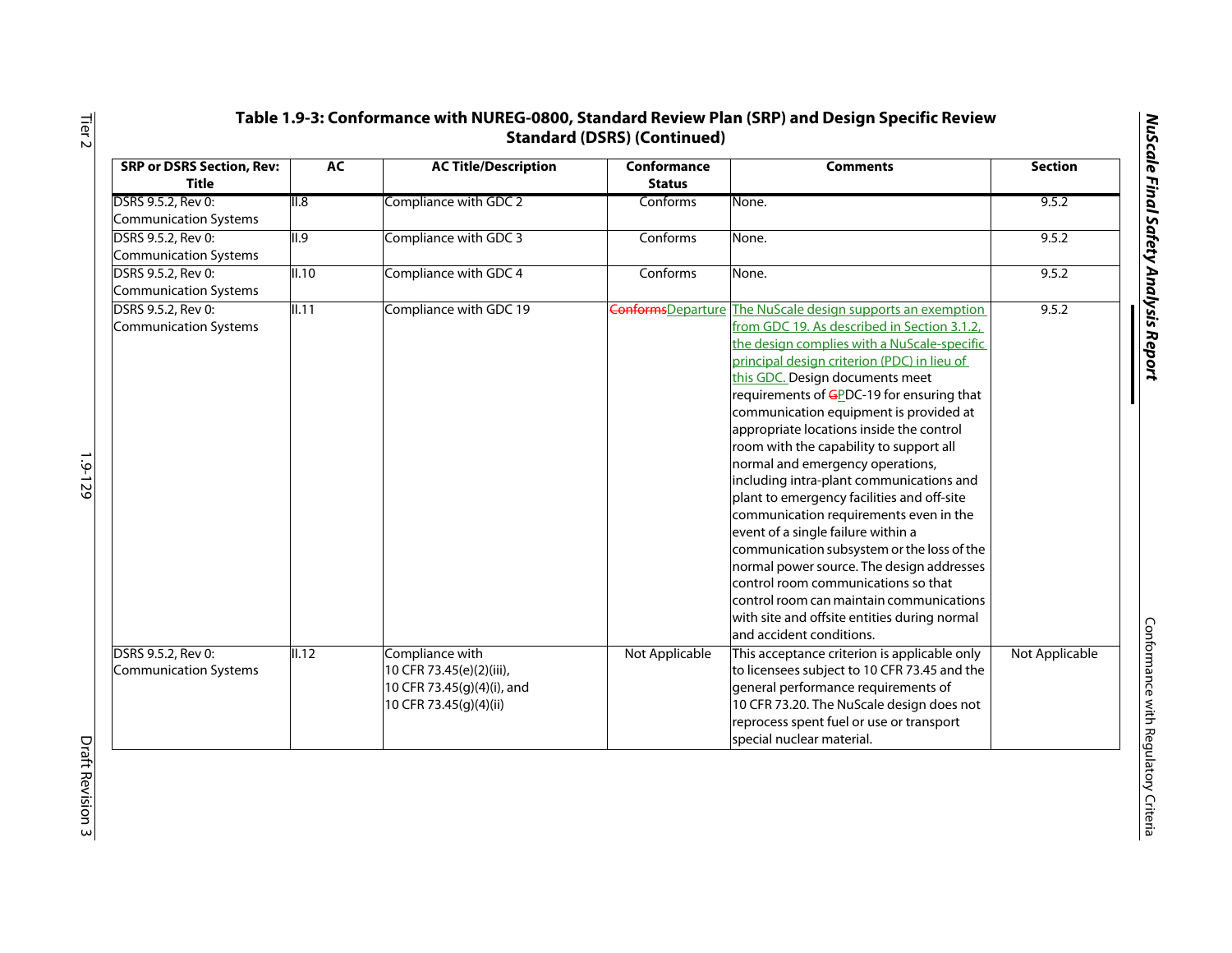| ۱<br>í                                                        |
|---------------------------------------------------------------|
| ;                                                             |
|                                                               |
|                                                               |
| ų                                                             |
|                                                               |
|                                                               |
| j                                                             |
|                                                               |
|                                                               |
|                                                               |
|                                                               |
|                                                               |
| ì                                                             |
| ١                                                             |
|                                                               |
|                                                               |
| ׅ֧֧֧֧֧֧֪֧֪֧֪֪֪֪֪֪֪֪֪֪֪֪֛֚֚֚֚֚֚֚֚֚֚֚֚֚֚֬֘֩֓֡֓֘֝֬֝֬֓֝֬֝֬֝֬֝֬֓֝֓ |
|                                                               |
|                                                               |
|                                                               |
|                                                               |
|                                                               |
|                                                               |
| ١                                                             |
|                                                               |
|                                                               |
|                                                               |
|                                                               |
| ı                                                             |
| j                                                             |
| ļ                                                             |
|                                                               |
|                                                               |
|                                                               |
| ١                                                             |
|                                                               |
|                                                               |
|                                                               |
|                                                               |
| ı                                                             |
|                                                               |
|                                                               |
|                                                               |

| <b>SRP or DSRS Section, Rev:</b><br><b>Title</b> | AC    | <b>AC Title/Description</b>                                                                         | Conformance<br><b>Status</b> | <b>Comments</b>                                                                                                                                                                                                                                                                                                                                                                                                                                                                                                                                                                                                                                                                                                                                                                                                                                                                | <b>Section</b> |
|--------------------------------------------------|-------|-----------------------------------------------------------------------------------------------------|------------------------------|--------------------------------------------------------------------------------------------------------------------------------------------------------------------------------------------------------------------------------------------------------------------------------------------------------------------------------------------------------------------------------------------------------------------------------------------------------------------------------------------------------------------------------------------------------------------------------------------------------------------------------------------------------------------------------------------------------------------------------------------------------------------------------------------------------------------------------------------------------------------------------|----------------|
| DSRS 9.5.2, Rev 0:<br>Communication Systems      | II.8  | Compliance with GDC 2                                                                               | Conforms                     | None.                                                                                                                                                                                                                                                                                                                                                                                                                                                                                                                                                                                                                                                                                                                                                                                                                                                                          | 9.5.2          |
| DSRS 9.5.2, Rev 0:<br>Communication Systems      | II.9  | Compliance with GDC 3                                                                               | Conforms                     | None.                                                                                                                                                                                                                                                                                                                                                                                                                                                                                                                                                                                                                                                                                                                                                                                                                                                                          | 9.5.2          |
| DSRS 9.5.2, Rev 0:<br>Communication Systems      | II.10 | Compliance with GDC 4                                                                               | Conforms                     | None.                                                                                                                                                                                                                                                                                                                                                                                                                                                                                                                                                                                                                                                                                                                                                                                                                                                                          | 9.5.2          |
| DSRS 9.5.2, Rev 0:<br>Communication Systems      | II.11 | Compliance with GDC 19                                                                              | <b>Conforms</b> Departure    | The NuScale design supports an exemption<br>from GDC 19. As described in Section 3.1.2,<br>the design complies with a NuScale-specific<br>principal design criterion (PDC) in lieu of<br>this GDC. Design documents meet<br>requirements of GPDC-19 for ensuring that<br>communication equipment is provided at<br>appropriate locations inside the control<br>room with the capability to support all<br>normal and emergency operations,<br>including intra-plant communications and<br>plant to emergency facilities and off-site<br>communication requirements even in the<br>event of a single failure within a<br>communication subsystem or the loss of the<br>normal power source. The design addresses<br>control room communications so that<br>control room can maintain communications<br>with site and offsite entities during normal<br>and accident conditions. | 9.5.2          |
| DSRS 9.5.2, Rev 0:<br>Communication Systems      | II.12 | Compliance with<br>10 CFR 73.45(e)(2)(iii),<br>10 CFR 73.45(g)(4)(i), and<br>10 CFR 73.45(g)(4)(ii) | Not Applicable               | This acceptance criterion is applicable only<br>to licensees subject to 10 CFR 73.45 and the<br>general performance requirements of<br>10 CFR 73.20. The NuScale design does not<br>reprocess spent fuel or use or transport<br>special nuclear material.                                                                                                                                                                                                                                                                                                                                                                                                                                                                                                                                                                                                                      | Not Applicable |

Tier 2

1.9-129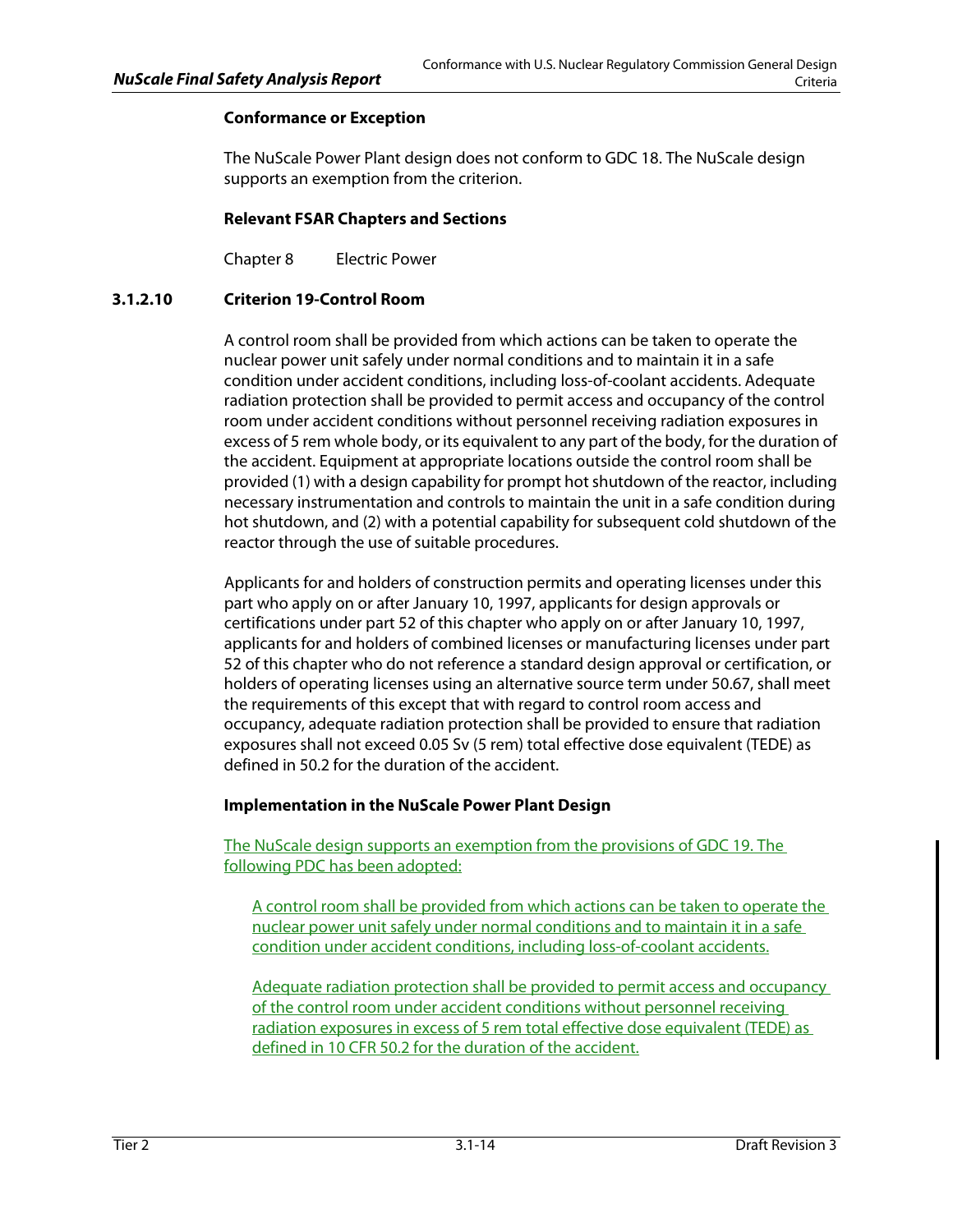# **Conformance or Exception**

The NuScale Power Plant design does not conform to GDC 18. The NuScale design supports an exemption from the criterion.

# **Relevant FSAR Chapters and Sections**

Chapter 8 Electric Power

# **3.1.2.10 Criterion 19-Control Room**

A control room shall be provided from which actions can be taken to operate the nuclear power unit safely under normal conditions and to maintain it in a safe condition under accident conditions, including loss-of-coolant accidents. Adequate radiation protection shall be provided to permit access and occupancy of the control room under accident conditions without personnel receiving radiation exposures in excess of 5 rem whole body, or its equivalent to any part of the body, for the duration of the accident. Equipment at appropriate locations outside the control room shall be provided (1) with a design capability for prompt hot shutdown of the reactor, including necessary instrumentation and controls to maintain the unit in a safe condition during hot shutdown, and (2) with a potential capability for subsequent cold shutdown of the reactor through the use of suitable procedures.

Applicants for and holders of construction permits and operating licenses under this part who apply on or after January 10, 1997, applicants for design approvals or certifications under part 52 of this chapter who apply on or after January 10, 1997, applicants for and holders of combined licenses or manufacturing licenses under part 52 of this chapter who do not reference a standard design approval or certification, or holders of operating licenses using an alternative source term under 50.67, shall meet the requirements of this except that with regard to control room access and occupancy, adequate radiation protection shall be provided to ensure that radiation exposures shall not exceed 0.05 Sv (5 rem) total effective dose equivalent (TEDE) as defined in 50.2 for the duration of the accident.

## **Implementation in the NuScale Power Plant Design**

The NuScale design supports an exemption from the provisions of GDC 19. The following PDC has been adopted:

A control room shall be provided from which actions can be taken to operate the nuclear power unit safely under normal conditions and to maintain it in a safe condition under accident conditions, including loss-of-coolant accidents.

Adequate radiation protection shall be provided to permit access and occupancy of the control room under accident conditions without personnel receiving radiation exposures in excess of 5 rem total effective dose equivalent (TEDE) as defined in 10 CFR 50.2 for the duration of the accident.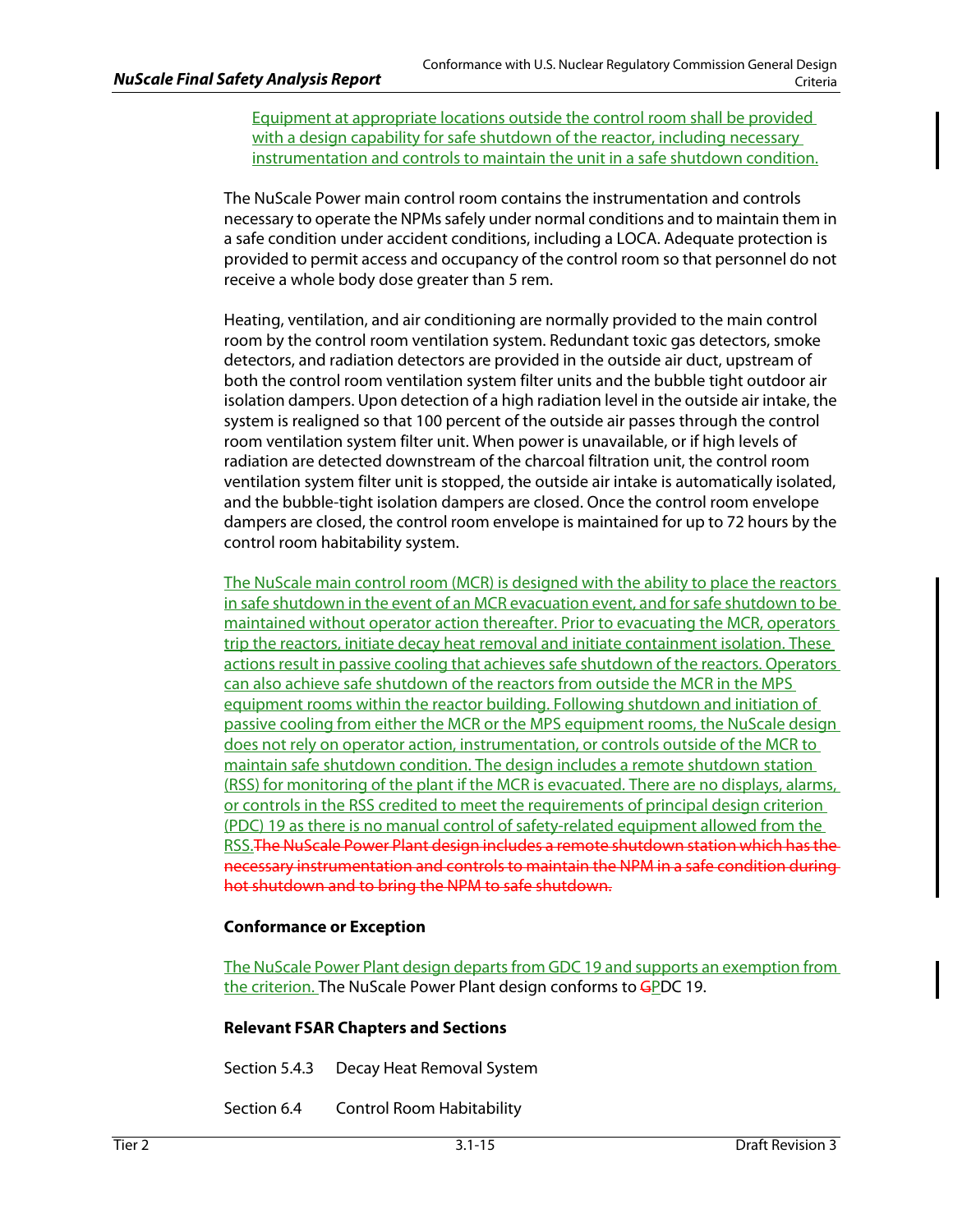Equipment at appropriate locations outside the control room shall be provided with a design capability for safe shutdown of the reactor, including necessary instrumentation and controls to maintain the unit in a safe shutdown condition.

The NuScale Power main control room contains the instrumentation and controls necessary to operate the NPMs safely under normal conditions and to maintain them in a safe condition under accident conditions, including a LOCA. Adequate protection is provided to permit access and occupancy of the control room so that personnel do not receive a whole body dose greater than 5 rem.

Heating, ventilation, and air conditioning are normally provided to the main control room by the control room ventilation system. Redundant toxic gas detectors, smoke detectors, and radiation detectors are provided in the outside air duct, upstream of both the control room ventilation system filter units and the bubble tight outdoor air isolation dampers. Upon detection of a high radiation level in the outside air intake, the system is realigned so that 100 percent of the outside air passes through the control room ventilation system filter unit. When power is unavailable, or if high levels of radiation are detected downstream of the charcoal filtration unit, the control room ventilation system filter unit is stopped, the outside air intake is automatically isolated, and the bubble-tight isolation dampers are closed. Once the control room envelope dampers are closed, the control room envelope is maintained for up to 72 hours by the control room habitability system.

The NuScale main control room (MCR) is designed with the ability to place the reactors in safe shutdown in the event of an MCR evacuation event, and for safe shutdown to be maintained without operator action thereafter. Prior to evacuating the MCR, operators trip the reactors, initiate decay heat removal and initiate containment isolation. These actions result in passive cooling that achieves safe shutdown of the reactors. Operators can also achieve safe shutdown of the reactors from outside the MCR in the MPS equipment rooms within the reactor building. Following shutdown and initiation of passive cooling from either the MCR or the MPS equipment rooms, the NuScale design does not rely on operator action, instrumentation, or controls outside of the MCR to maintain safe shutdown condition. The design includes a remote shutdown station (RSS) for monitoring of the plant if the MCR is evacuated. There are no displays, alarms, or controls in the RSS credited to meet the requirements of principal design criterion (PDC) 19 as there is no manual control of safety-related equipment allowed from the RSS.The NuScale Power Plant design includes a remote shutdown station which has the necessary instrumentation and controls to maintain the NPM in a safe condition during hot shutdown and to bring the NPM to safe shutdown.

## **Conformance or Exception**

The NuScale Power Plant design departs from GDC 19 and supports an exemption from the criterion. The NuScale Power Plant design conforms to GPDC 19.

# **Relevant FSAR Chapters and Sections**

Section 5.4.3 Decay Heat Removal System

Section 6.4 Control Room Habitability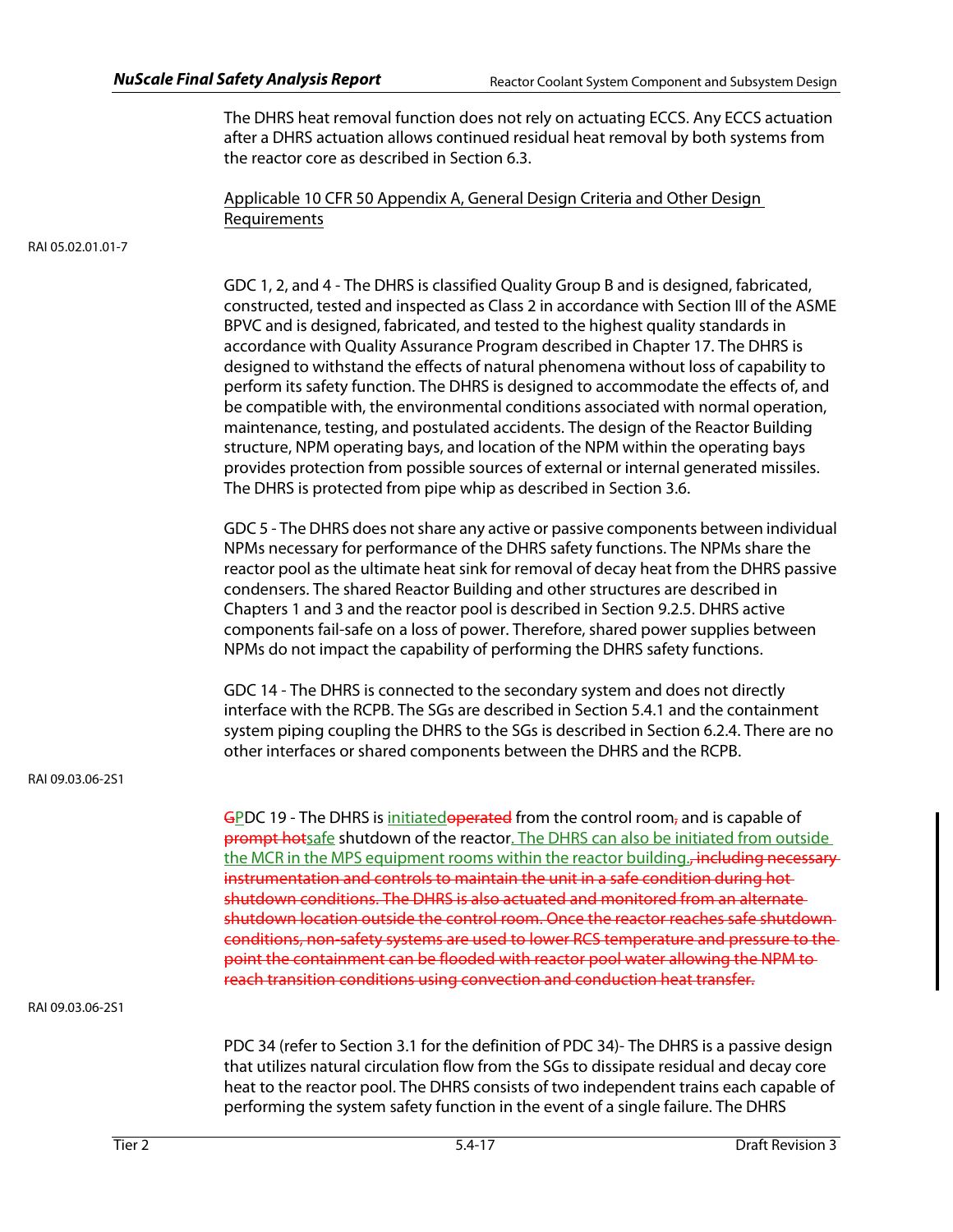The DHRS heat removal function does not rely on actuating ECCS. Any ECCS actuation after a DHRS actuation allows continued residual heat removal by both systems from the reactor core as described in Section 6.3.

Applicable 10 CFR 50 Appendix A, General Design Criteria and Other Design Requirements

RAI 05.02.01.01-7

GDC 1, 2, and 4 - The DHRS is classified Quality Group B and is designed, fabricated, constructed, tested and inspected as Class 2 in accordance with Section III of the ASME BPVC and is designed, fabricated, and tested to the highest quality standards in accordance with Quality Assurance Program described in Chapter 17. The DHRS is designed to withstand the effects of natural phenomena without loss of capability to perform its safety function. The DHRS is designed to accommodate the effects of, and be compatible with, the environmental conditions associated with normal operation, maintenance, testing, and postulated accidents. The design of the Reactor Building structure, NPM operating bays, and location of the NPM within the operating bays provides protection from possible sources of external or internal generated missiles. The DHRS is protected from pipe whip as described in Section 3.6.

GDC 5 - The DHRS does not share any active or passive components between individual NPMs necessary for performance of the DHRS safety functions. The NPMs share the reactor pool as the ultimate heat sink for removal of decay heat from the DHRS passive condensers. The shared Reactor Building and other structures are described in Chapters 1 and 3 and the reactor pool is described in Section 9.2.5. DHRS active components fail-safe on a loss of power. Therefore, shared power supplies between NPMs do not impact the capability of performing the DHRS safety functions.

GDC 14 - The DHRS is connected to the secondary system and does not directly interface with the RCPB. The SGs are described in Section 5.4.1 and the containment system piping coupling the DHRS to the SGs is described in Section 6.2.4. There are no other interfaces or shared components between the DHRS and the RCPB.

RAI 09.03.06-2S1

GPDC 19 - The DHRS is initiatedoperated from the control room, and is capable of **prompt hot**safe shutdown of the reactor. The DHRS can also be initiated from outside the MCR in the MPS equipment rooms within the reactor building.<del>, including necessary</del> instrumentation and controls to maintain the unit in a safe condition during hot shutdown conditions. The DHRS is also actuated and monitored from an alternate shutdown location outside the control room. Once the reactor reaches safe shutdown conditions, non-safety systems are used to lower RCS temperature and pressure to the point the containment can be flooded with reactor pool water allowing the NPM to reach transition conditions using convection and conduction heat transfer.

RAI 09.03.06-2S1

PDC 34 (refer to Section 3.1 for the definition of PDC 34)- The DHRS is a passive design that utilizes natural circulation flow from the SGs to dissipate residual and decay core heat to the reactor pool. The DHRS consists of two independent trains each capable of performing the system safety function in the event of a single failure. The DHRS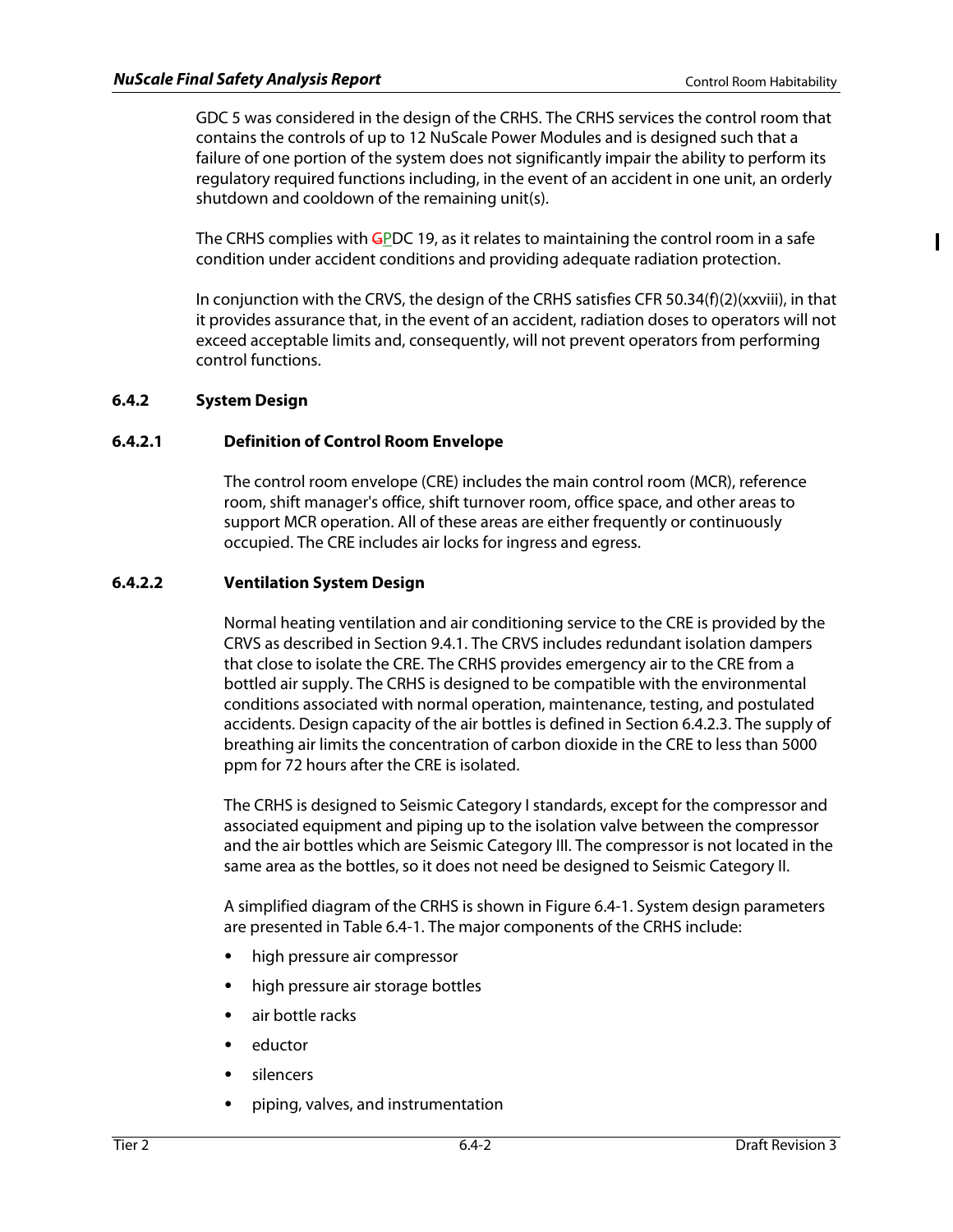ı

GDC 5 was considered in the design of the CRHS. The CRHS services the control room that contains the controls of up to 12 NuScale Power Modules and is designed such that a failure of one portion of the system does not significantly impair the ability to perform its regulatory required functions including, in the event of an accident in one unit, an orderly shutdown and cooldown of the remaining unit(s).

The CRHS complies with  $G_D$ DC 19, as it relates to maintaining the control room in a safe condition under accident conditions and providing adequate radiation protection.

In conjunction with the CRVS, the design of the CRHS satisfies CFR 50.34(f)(2)(xxviii), in that it provides assurance that, in the event of an accident, radiation doses to operators will not exceed acceptable limits and, consequently, will not prevent operators from performing control functions.

# **6.4.2 System Design**

# **6.4.2.1 Definition of Control Room Envelope**

The control room envelope (CRE) includes the main control room (MCR), reference room, shift manager's office, shift turnover room, office space, and other areas to support MCR operation. All of these areas are either frequently or continuously occupied. The CRE includes air locks for ingress and egress.

# **6.4.2.2 Ventilation System Design**

Normal heating ventilation and air conditioning service to the CRE is provided by the CRVS as described in Section 9.4.1. The CRVS includes redundant isolation dampers that close to isolate the CRE. The CRHS provides emergency air to the CRE from a bottled air supply. The CRHS is designed to be compatible with the environmental conditions associated with normal operation, maintenance, testing, and postulated accidents. Design capacity of the air bottles is defined in Section 6.4.2.3. The supply of breathing air limits the concentration of carbon dioxide in the CRE to less than 5000 ppm for 72 hours after the CRE is isolated.

The CRHS is designed to Seismic Category I standards, except for the compressor and associated equipment and piping up to the isolation valve between the compressor and the air bottles which are Seismic Category III. The compressor is not located in the same area as the bottles, so it does not need be designed to Seismic Category II.

A simplified diagram of the CRHS is shown in Figure 6.4-1. System design parameters are presented in Table 6.4-1. The major components of the CRHS include:

- high pressure air compressor
- high pressure air storage bottles
- air bottle racks
- eductor
- silencers
- piping, valves, and instrumentation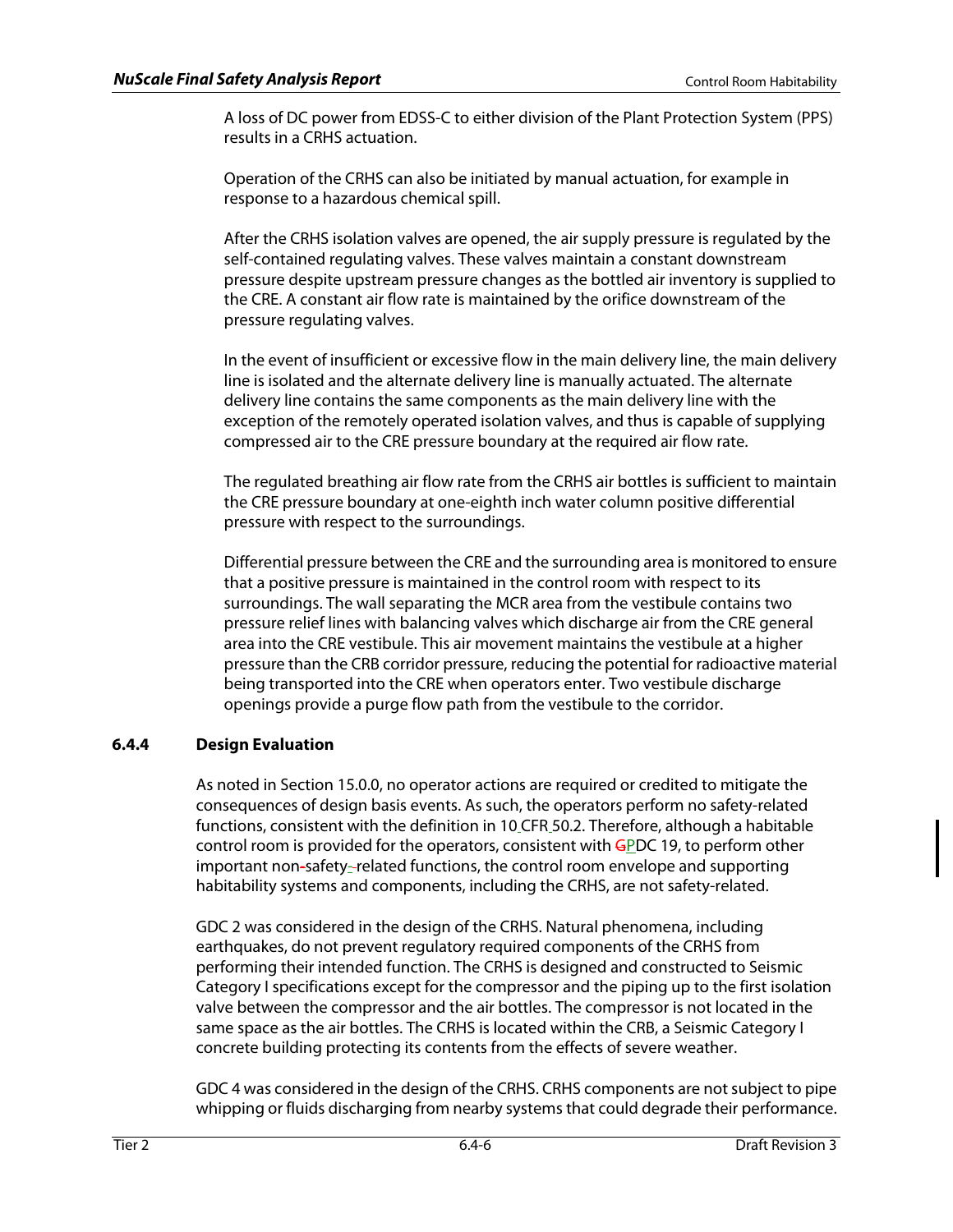A loss of DC power from EDSS-C to either division of the Plant Protection System (PPS) results in a CRHS actuation.

Operation of the CRHS can also be initiated by manual actuation, for example in response to a hazardous chemical spill.

After the CRHS isolation valves are opened, the air supply pressure is regulated by the self-contained regulating valves. These valves maintain a constant downstream pressure despite upstream pressure changes as the bottled air inventory is supplied to the CRE. A constant air flow rate is maintained by the orifice downstream of the pressure regulating valves.

In the event of insufficient or excessive flow in the main delivery line, the main delivery line is isolated and the alternate delivery line is manually actuated. The alternate delivery line contains the same components as the main delivery line with the exception of the remotely operated isolation valves, and thus is capable of supplying compressed air to the CRE pressure boundary at the required air flow rate.

The regulated breathing air flow rate from the CRHS air bottles is sufficient to maintain the CRE pressure boundary at one-eighth inch water column positive differential pressure with respect to the surroundings.

Differential pressure between the CRE and the surrounding area is monitored to ensure that a positive pressure is maintained in the control room with respect to its surroundings. The wall separating the MCR area from the vestibule contains two pressure relief lines with balancing valves which discharge air from the CRE general area into the CRE vestibule. This air movement maintains the vestibule at a higher pressure than the CRB corridor pressure, reducing the potential for radioactive material being transported into the CRE when operators enter. Two vestibule discharge openings provide a purge flow path from the vestibule to the corridor.

# **6.4.4 Design Evaluation**

As noted in Section 15.0.0, no operator actions are required or credited to mitigate the consequences of design basis events. As such, the operators perform no safety-related functions, consistent with the definition in 10\_CFR\_50.2. Therefore, although a habitable control room is provided for the operators, consistent with GPDC 19, to perform other important non-safety- related functions, the control room envelope and supporting habitability systems and components, including the CRHS, are not safety-related.

GDC 2 was considered in the design of the CRHS. Natural phenomena, including earthquakes, do not prevent regulatory required components of the CRHS from performing their intended function. The CRHS is designed and constructed to Seismic Category I specifications except for the compressor and the piping up to the first isolation valve between the compressor and the air bottles. The compressor is not located in the same space as the air bottles. The CRHS is located within the CRB, a Seismic Category I concrete building protecting its contents from the effects of severe weather.

GDC 4 was considered in the design of the CRHS. CRHS components are not subject to pipe whipping or fluids discharging from nearby systems that could degrade their performance.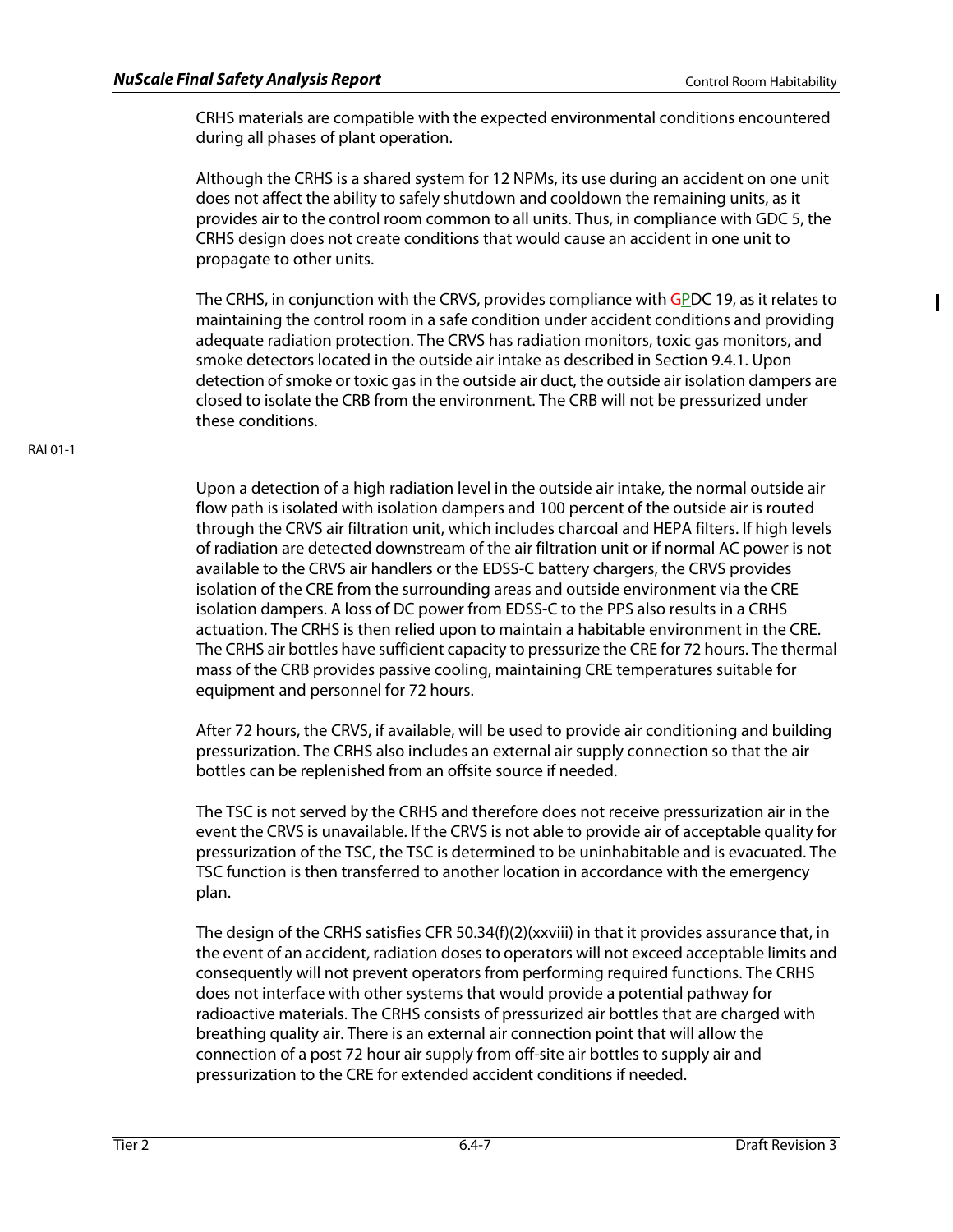ı

CRHS materials are compatible with the expected environmental conditions encountered during all phases of plant operation.

Although the CRHS is a shared system for 12 NPMs, its use during an accident on one unit does not affect the ability to safely shutdown and cooldown the remaining units, as it provides air to the control room common to all units. Thus, in compliance with GDC 5, the CRHS design does not create conditions that would cause an accident in one unit to propagate to other units.

The CRHS, in conjunction with the CRVS, provides compliance with GPDC 19, as it relates to maintaining the control room in a safe condition under accident conditions and providing adequate radiation protection. The CRVS has radiation monitors, toxic gas monitors, and smoke detectors located in the outside air intake as described in Section 9.4.1. Upon detection of smoke or toxic gas in the outside air duct, the outside air isolation dampers are closed to isolate the CRB from the environment. The CRB will not be pressurized under these conditions.

Upon a detection of a high radiation level in the outside air intake, the normal outside air flow path is isolated with isolation dampers and 100 percent of the outside air is routed through the CRVS air filtration unit, which includes charcoal and HEPA filters. If high levels of radiation are detected downstream of the air filtration unit or if normal AC power is not available to the CRVS air handlers or the EDSS-C battery chargers, the CRVS provides isolation of the CRE from the surrounding areas and outside environment via the CRE isolation dampers. A loss of DC power from EDSS-C to the PPS also results in a CRHS actuation. The CRHS is then relied upon to maintain a habitable environment in the CRE. The CRHS air bottles have sufficient capacity to pressurize the CRE for 72 hours. The thermal mass of the CRB provides passive cooling, maintaining CRE temperatures suitable for equipment and personnel for 72 hours.

After 72 hours, the CRVS, if available, will be used to provide air conditioning and building pressurization. The CRHS also includes an external air supply connection so that the air bottles can be replenished from an offsite source if needed.

The TSC is not served by the CRHS and therefore does not receive pressurization air in the event the CRVS is unavailable. If the CRVS is not able to provide air of acceptable quality for pressurization of the TSC, the TSC is determined to be uninhabitable and is evacuated. The TSC function is then transferred to another location in accordance with the emergency plan.

The design of the CRHS satisfies CFR 50.34(f)(2)(xxviii) in that it provides assurance that, in the event of an accident, radiation doses to operators will not exceed acceptable limits and consequently will not prevent operators from performing required functions. The CRHS does not interface with other systems that would provide a potential pathway for radioactive materials. The CRHS consists of pressurized air bottles that are charged with breathing quality air. There is an external air connection point that will allow the connection of a post 72 hour air supply from off-site air bottles to supply air and pressurization to the CRE for extended accident conditions if needed.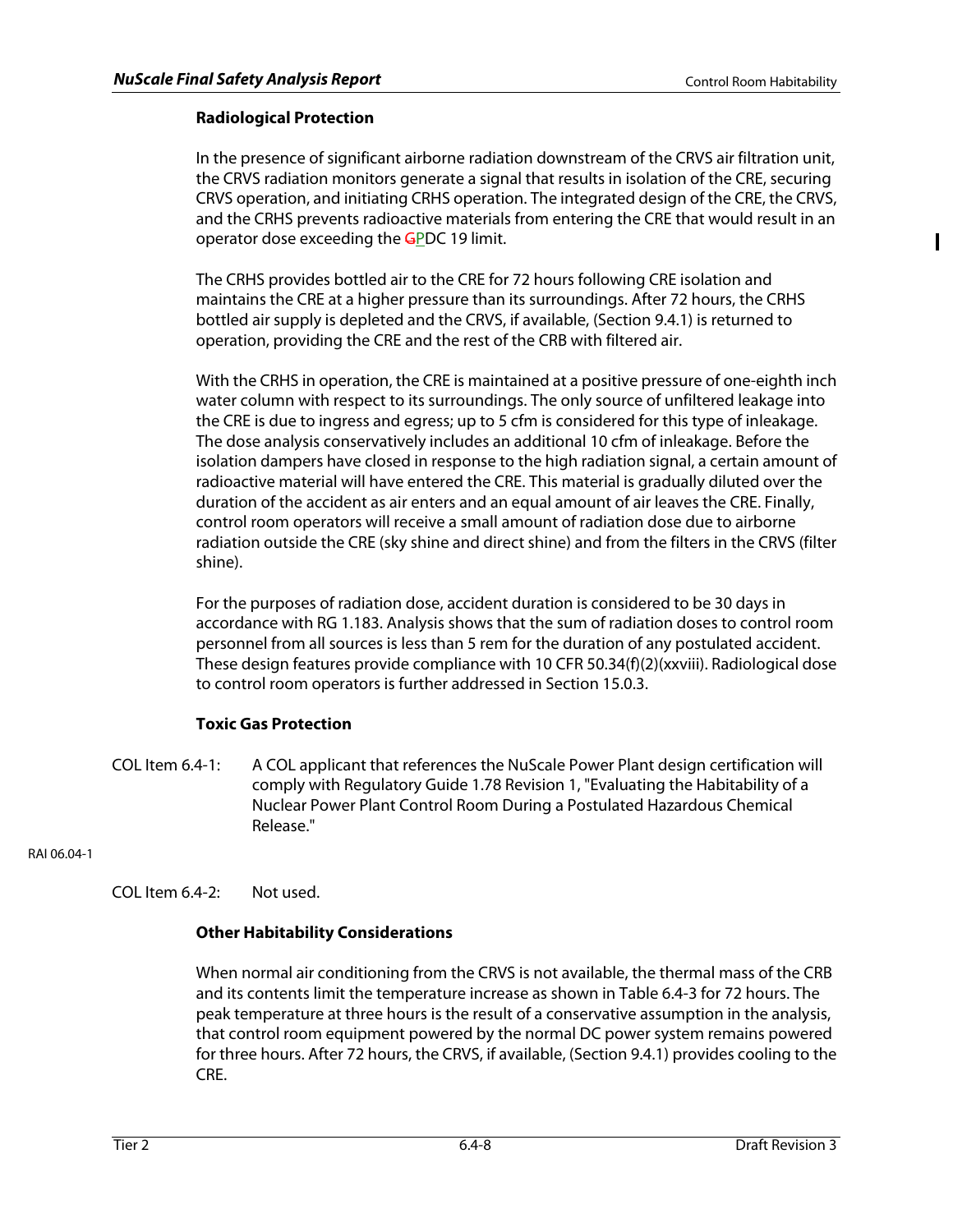Π

# **Radiological Protection**

In the presence of significant airborne radiation downstream of the CRVS air filtration unit, the CRVS radiation monitors generate a signal that results in isolation of the CRE, securing CRVS operation, and initiating CRHS operation. The integrated design of the CRE, the CRVS, and the CRHS prevents radioactive materials from entering the CRE that would result in an operator dose exceeding the GPDC 19 limit.

The CRHS provides bottled air to the CRE for 72 hours following CRE isolation and maintains the CRE at a higher pressure than its surroundings. After 72 hours, the CRHS bottled air supply is depleted and the CRVS, if available, (Section 9.4.1) is returned to operation, providing the CRE and the rest of the CRB with filtered air.

With the CRHS in operation, the CRE is maintained at a positive pressure of one-eighth inch water column with respect to its surroundings. The only source of unfiltered leakage into the CRE is due to ingress and egress; up to 5 cfm is considered for this type of inleakage. The dose analysis conservatively includes an additional 10 cfm of inleakage. Before the isolation dampers have closed in response to the high radiation signal, a certain amount of radioactive material will have entered the CRE. This material is gradually diluted over the duration of the accident as air enters and an equal amount of air leaves the CRE. Finally, control room operators will receive a small amount of radiation dose due to airborne radiation outside the CRE (sky shine and direct shine) and from the filters in the CRVS (filter shine).

For the purposes of radiation dose, accident duration is considered to be 30 days in accordance with RG 1.183. Analysis shows that the sum of radiation doses to control room personnel from all sources is less than 5 rem for the duration of any postulated accident. These design features provide compliance with 10 CFR 50.34(f)(2)(xxviii). Radiological dose to control room operators is further addressed in Section 15.0.3.

# **Toxic Gas Protection**

COL Item 6.4-1: A COL applicant that references the NuScale Power Plant design certification will comply with Regulatory Guide 1.78 Revision 1, "Evaluating the Habitability of a Nuclear Power Plant Control Room During a Postulated Hazardous Chemical Release."

RAI 06.04-1

COL Item 6.4-2: Not used.

# **Other Habitability Considerations**

When normal air conditioning from the CRVS is not available, the thermal mass of the CRB and its contents limit the temperature increase as shown in Table 6.4-3 for 72 hours. The peak temperature at three hours is the result of a conservative assumption in the analysis, that control room equipment powered by the normal DC power system remains powered for three hours. After 72 hours, the CRVS, if available, (Section 9.4.1) provides cooling to the CRE.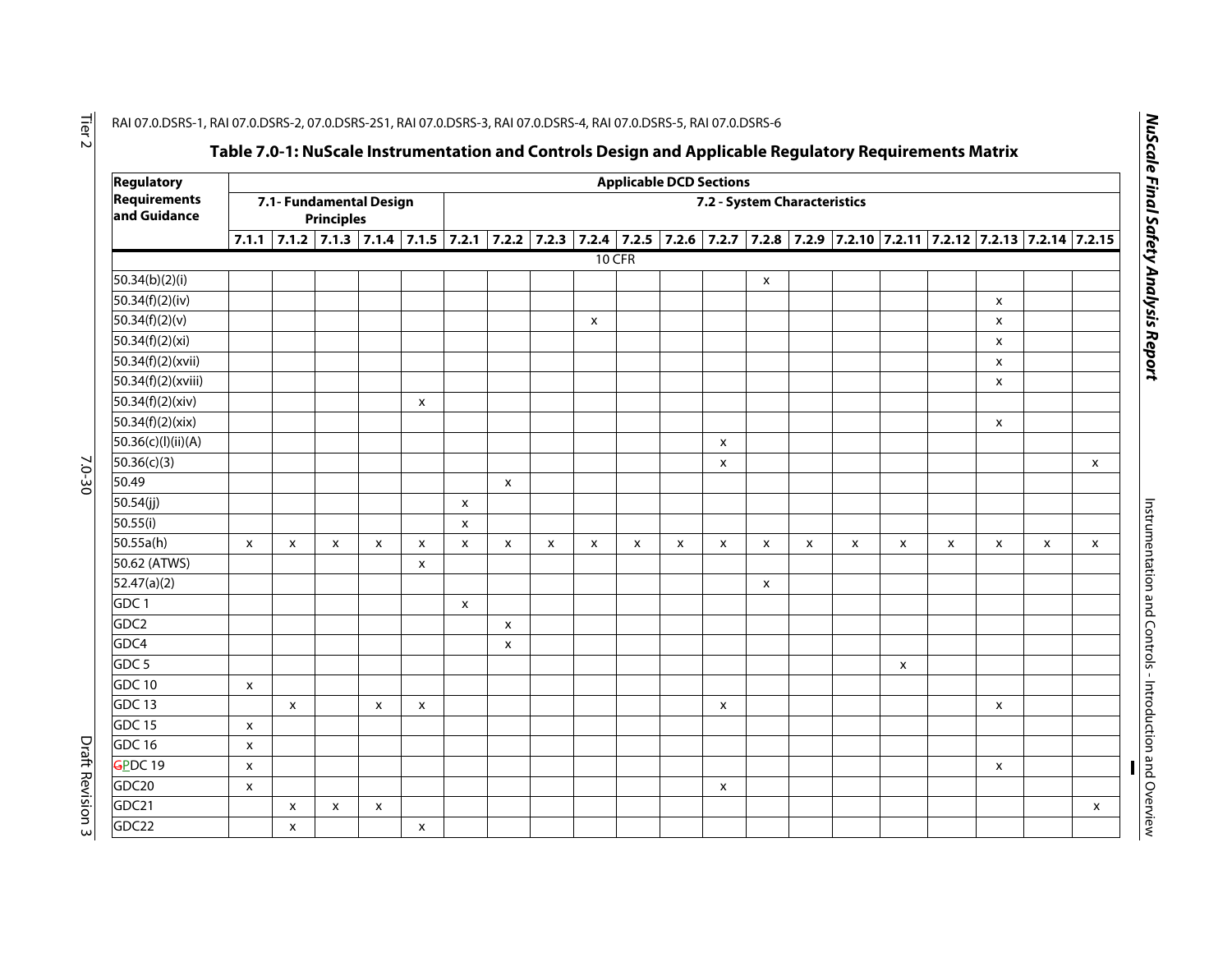| <b>Regulatory</b>                   |                                              |                           |   |   |   |                           |                              |                           |                           |              | <b>Applicable DCD Sections</b> |   |   |   |                           |                           |                                                                                                                               |                           |   |   |
|-------------------------------------|----------------------------------------------|---------------------------|---|---|---|---------------------------|------------------------------|---------------------------|---------------------------|--------------|--------------------------------|---|---|---|---------------------------|---------------------------|-------------------------------------------------------------------------------------------------------------------------------|---------------------------|---|---|
| <b>Requirements</b><br>and Guidance | 7.1- Fundamental Design<br><b>Principles</b> |                           |   |   |   |                           | 7.2 - System Characteristics |                           |                           |              |                                |   |   |   |                           |                           |                                                                                                                               |                           |   |   |
|                                     |                                              |                           |   |   |   |                           |                              |                           |                           |              |                                |   |   |   |                           |                           | 7.1.1 7.1.2 7.1.3 7.1.4 7.1.5 7.2.1 7.2.2 7.2.3 7.2.4 7.2.5 7.2.6 7.2.7 7.2.8 7.2.9 7.2.10 7.2.11 7.2.12 7.2.13 7.2.14 7.2.15 |                           |   |   |
|                                     |                                              |                           |   |   |   |                           |                              |                           | $10$ CFR                  |              |                                |   |   |   |                           |                           |                                                                                                                               |                           |   |   |
| 50.34(b)(2)(i)                      |                                              |                           |   |   |   |                           |                              |                           |                           |              |                                |   | X |   |                           |                           |                                                                                                                               |                           |   |   |
| 50.34(f)(2)(iv)                     |                                              |                           |   |   |   |                           |                              |                           |                           |              |                                |   |   |   |                           |                           |                                                                                                                               | $\boldsymbol{\mathsf{x}}$ |   |   |
| 50.34(f)(2)(v)                      |                                              |                           |   |   |   |                           |                              |                           | $\boldsymbol{\mathsf{x}}$ |              |                                |   |   |   |                           |                           |                                                                                                                               | X                         |   |   |
| 50.34(f)(2)(xi)                     |                                              |                           |   |   |   |                           |                              |                           |                           |              |                                |   |   |   |                           |                           |                                                                                                                               | X                         |   |   |
| 50.34(f)(2)(xvii)                   |                                              |                           |   |   |   |                           |                              |                           |                           |              |                                |   |   |   |                           |                           |                                                                                                                               | $\boldsymbol{\mathsf{X}}$ |   |   |
| 50.34(f)(2)(xviii)                  |                                              |                           |   |   |   |                           |                              |                           |                           |              |                                |   |   |   |                           |                           |                                                                                                                               | X                         |   |   |
| 50.34(f)(2)(xiv)                    |                                              |                           |   |   | X |                           |                              |                           |                           |              |                                |   |   |   |                           |                           |                                                                                                                               |                           |   |   |
| 50.34(f)(2)(xix)                    |                                              |                           |   |   |   |                           |                              |                           |                           |              |                                |   |   |   |                           |                           |                                                                                                                               | $\boldsymbol{\mathsf{x}}$ |   |   |
| 50.36(c)(l)(ii)(A)                  |                                              |                           |   |   |   |                           |                              |                           |                           |              |                                | X |   |   |                           |                           |                                                                                                                               |                           |   |   |
| 50.36(c)(3)                         |                                              |                           |   |   |   |                           |                              |                           |                           |              |                                | X |   |   |                           |                           |                                                                                                                               |                           |   | X |
| 50.49                               |                                              |                           |   |   |   |                           | $\boldsymbol{\mathsf{x}}$    |                           |                           |              |                                |   |   |   |                           |                           |                                                                                                                               |                           |   |   |
| 50.54(jj)                           |                                              |                           |   |   |   | $\boldsymbol{\mathsf{x}}$ |                              |                           |                           |              |                                |   |   |   |                           |                           |                                                                                                                               |                           |   |   |
| 50.55(i)                            |                                              |                           |   |   |   | X                         |                              |                           |                           |              |                                |   |   |   |                           |                           |                                                                                                                               |                           |   |   |
| 50.55a(h)                           | X                                            | $\mathsf{x}$              | X | X | X | $\boldsymbol{\mathsf{x}}$ | X                            | $\boldsymbol{\mathsf{x}}$ | X                         | $\mathsf{x}$ | X                              | X | X | X | $\boldsymbol{\mathsf{x}}$ | $\boldsymbol{\mathsf{x}}$ | X                                                                                                                             | $\pmb{\times}$            | X | x |
| 50.62 (ATWS)                        |                                              |                           |   |   | X |                           |                              |                           |                           |              |                                |   |   |   |                           |                           |                                                                                                                               |                           |   |   |
| 52.47(a)(2)                         |                                              |                           |   |   |   |                           |                              |                           |                           |              |                                |   | X |   |                           |                           |                                                                                                                               |                           |   |   |
| GDC <sub>1</sub>                    |                                              |                           |   |   |   | $\boldsymbol{\mathsf{x}}$ |                              |                           |                           |              |                                |   |   |   |                           |                           |                                                                                                                               |                           |   |   |
| GDC <sub>2</sub>                    |                                              |                           |   |   |   |                           | x                            |                           |                           |              |                                |   |   |   |                           |                           |                                                                                                                               |                           |   |   |
| GDC <sub>4</sub>                    |                                              |                           |   |   |   |                           | $\pmb{\times}$               |                           |                           |              |                                |   |   |   |                           |                           |                                                                                                                               |                           |   |   |
| GDC <sub>5</sub>                    |                                              |                           |   |   |   |                           |                              |                           |                           |              |                                |   |   |   |                           | $\pmb{\mathsf{X}}$        |                                                                                                                               |                           |   |   |
| <b>GDC 10</b>                       | $\pmb{\mathsf{X}}$                           |                           |   |   |   |                           |                              |                           |                           |              |                                |   |   |   |                           |                           |                                                                                                                               |                           |   |   |
| GDC 13                              |                                              | $\boldsymbol{\mathsf{x}}$ |   | X | X |                           |                              |                           |                           |              |                                | X |   |   |                           |                           |                                                                                                                               | X                         |   |   |
| <b>GDC 15</b>                       | $\boldsymbol{\mathsf{x}}$                    |                           |   |   |   |                           |                              |                           |                           |              |                                |   |   |   |                           |                           |                                                                                                                               |                           |   |   |
| <b>GDC 16</b>                       | $\pmb{\mathsf{X}}$                           |                           |   |   |   |                           |                              |                           |                           |              |                                |   |   |   |                           |                           |                                                                                                                               |                           |   |   |
| $GPDC$ 19                           | $\boldsymbol{\mathsf{x}}$                    |                           |   |   |   |                           |                              |                           |                           |              |                                |   |   |   |                           |                           |                                                                                                                               | $\boldsymbol{\mathsf{x}}$ |   |   |
| GDC20                               | $\boldsymbol{\mathsf{x}}$                    |                           |   |   |   |                           |                              |                           |                           |              |                                | X |   |   |                           |                           |                                                                                                                               |                           |   |   |
| GDC21                               |                                              | X                         | X | x |   |                           |                              |                           |                           |              |                                |   |   |   |                           |                           |                                                                                                                               |                           |   | x |
| GDC22                               |                                              | X                         |   |   | X |                           |                              |                           |                           |              |                                |   |   |   |                           |                           |                                                                                                                               |                           |   |   |

NuScale Final Safety Analysis Report *NuScale Final Safety Analysis Report*

Instrumentation and Controls - Introduction and Overview Instrumentation and Controls - Introduction and Overview

Tier 2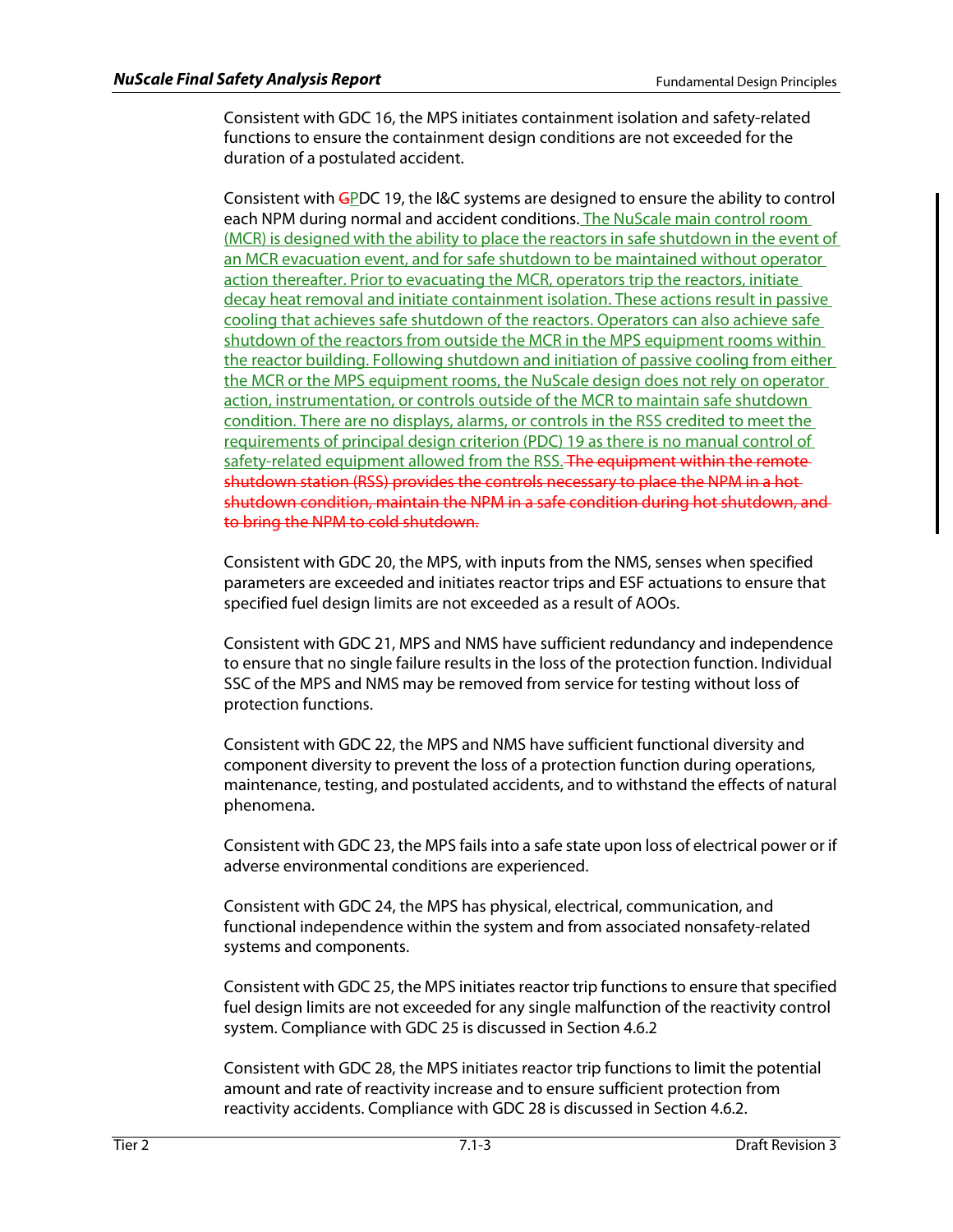Consistent with GDC 16, the MPS initiates containment isolation and safety-related functions to ensure the containment design conditions are not exceeded for the duration of a postulated accident.

Consistent with GPDC 19, the I&C systems are designed to ensure the ability to control each NPM during normal and accident conditions. The NuScale main control room (MCR) is designed with the ability to place the reactors in safe shutdown in the event of an MCR evacuation event, and for safe shutdown to be maintained without operator action thereafter. Prior to evacuating the MCR, operators trip the reactors, initiate decay heat removal and initiate containment isolation. These actions result in passive cooling that achieves safe shutdown of the reactors. Operators can also achieve safe shutdown of the reactors from outside the MCR in the MPS equipment rooms within the reactor building. Following shutdown and initiation of passive cooling from either the MCR or the MPS equipment rooms, the NuScale design does not rely on operator action, instrumentation, or controls outside of the MCR to maintain safe shutdown condition. There are no displays, alarms, or controls in the RSS credited to meet the requirements of principal design criterion (PDC) 19 as there is no manual control of safety-related equipment allowed from the RSS. The equipment within the remoteshutdown station (RSS) provides the controls necessary to place the NPM in a hot shutdown condition, maintain the NPM in a safe condition during hot shutdown, and to bring the NPM to cold shutdown.

Consistent with GDC 20, the MPS, with inputs from the NMS, senses when specified parameters are exceeded and initiates reactor trips and ESF actuations to ensure that specified fuel design limits are not exceeded as a result of AOOs.

Consistent with GDC 21, MPS and NMS have sufficient redundancy and independence to ensure that no single failure results in the loss of the protection function. Individual SSC of the MPS and NMS may be removed from service for testing without loss of protection functions.

Consistent with GDC 22, the MPS and NMS have sufficient functional diversity and component diversity to prevent the loss of a protection function during operations, maintenance, testing, and postulated accidents, and to withstand the effects of natural phenomena.

Consistent with GDC 23, the MPS fails into a safe state upon loss of electrical power or if adverse environmental conditions are experienced.

Consistent with GDC 24, the MPS has physical, electrical, communication, and functional independence within the system and from associated nonsafety-related systems and components.

Consistent with GDC 25, the MPS initiates reactor trip functions to ensure that specified fuel design limits are not exceeded for any single malfunction of the reactivity control system. Compliance with GDC 25 is discussed in Section 4.6.2

Consistent with GDC 28, the MPS initiates reactor trip functions to limit the potential amount and rate of reactivity increase and to ensure sufficient protection from reactivity accidents. Compliance with GDC 28 is discussed in Section 4.6.2.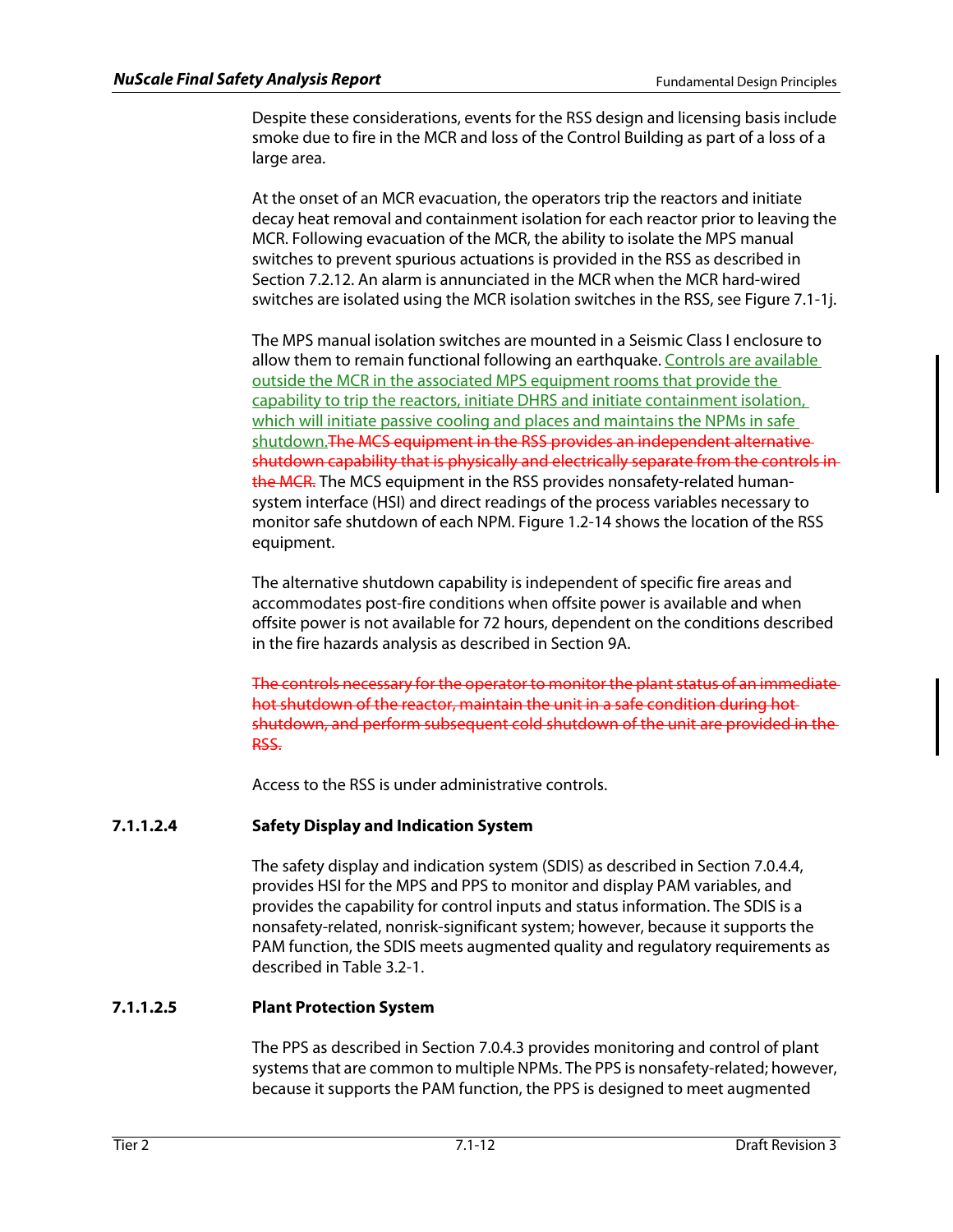Despite these considerations, events for the RSS design and licensing basis include smoke due to fire in the MCR and loss of the Control Building as part of a loss of a large area.

At the onset of an MCR evacuation, the operators trip the reactors and initiate decay heat removal and containment isolation for each reactor prior to leaving the MCR. Following evacuation of the MCR, the ability to isolate the MPS manual switches to prevent spurious actuations is provided in the RSS as described in Section 7.2.12. An alarm is annunciated in the MCR when the MCR hard-wired switches are isolated using the MCR isolation switches in the RSS, see Figure 7.1-1j.

The MPS manual isolation switches are mounted in a Seismic Class I enclosure to allow them to remain functional following an earthquake. Controls are available outside the MCR in the associated MPS equipment rooms that provide the capability to trip the reactors, initiate DHRS and initiate containment isolation, which will initiate passive cooling and places and maintains the NPMs in safe shutdown. The MCS equipment in the RSS provides an independent alternative shutdown capability that is physically and electrically separate from the controls in the MCR. The MCS equipment in the RSS provides nonsafety-related humansystem interface (HSI) and direct readings of the process variables necessary to monitor safe shutdown of each NPM. Figure 1.2-14 shows the location of the RSS equipment.

The alternative shutdown capability is independent of specific fire areas and accommodates post-fire conditions when offsite power is available and when offsite power is not available for 72 hours, dependent on the conditions described in the fire hazards analysis as described in Section 9A.

The controls necessary for the operator to monitor the plant status of an immediate hot shutdown of the reactor, maintain the unit in a safe condition during hot shutdown, and perform subsequent cold shutdown of the unit are provided in the RSS.

Access to the RSS is under administrative controls.

# **7.1.1.2.4 Safety Display and Indication System**

The safety display and indication system (SDIS) as described in Section 7.0.4.4, provides HSI for the MPS and PPS to monitor and display PAM variables, and provides the capability for control inputs and status information. The SDIS is a nonsafety-related, nonrisk-significant system; however, because it supports the PAM function, the SDIS meets augmented quality and regulatory requirements as described in Table 3.2-1.

# **7.1.1.2.5 Plant Protection System**

The PPS as described in Section 7.0.4.3 provides monitoring and control of plant systems that are common to multiple NPMs. The PPS is nonsafety-related; however, because it supports the PAM function, the PPS is designed to meet augmented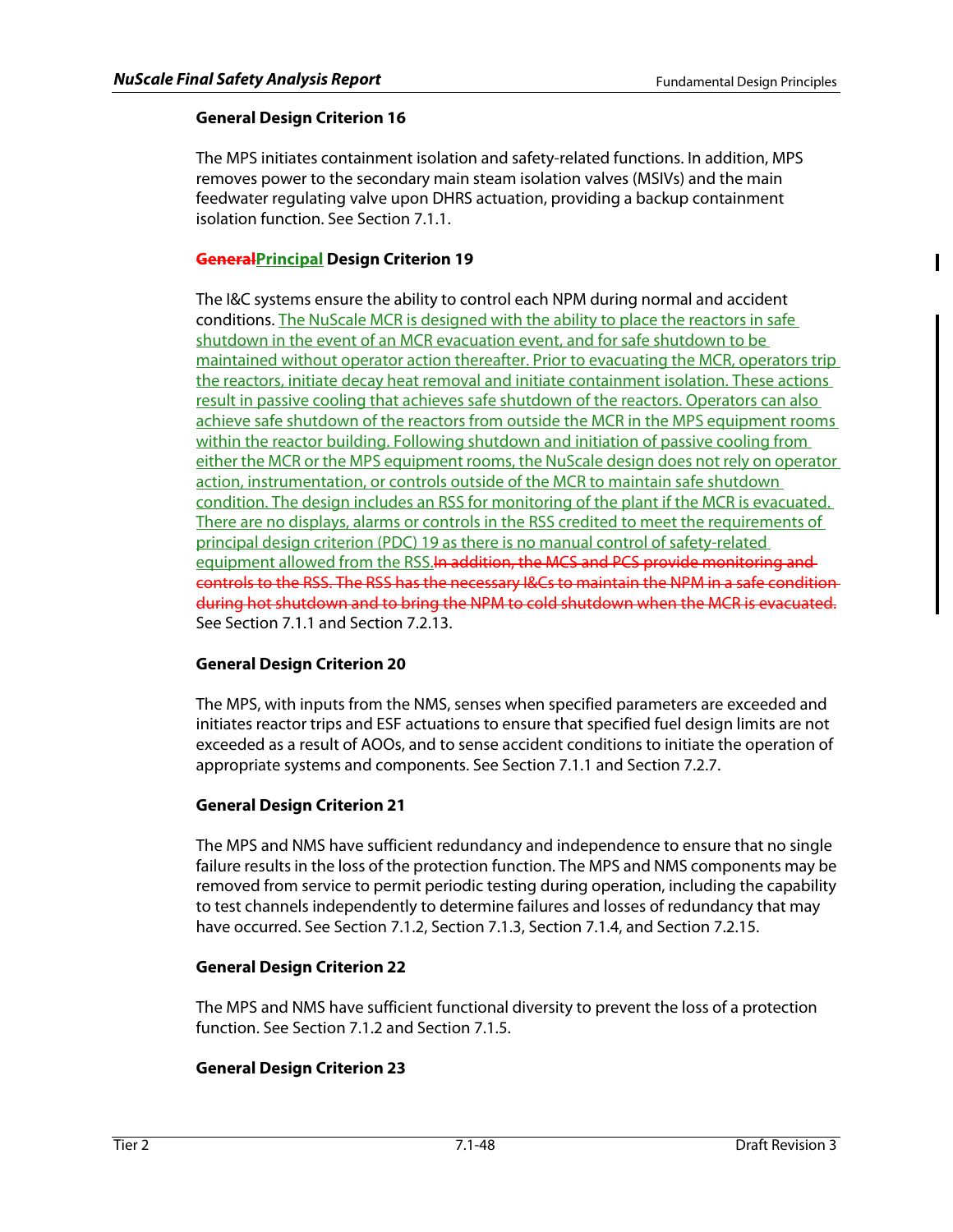Ш

# **General Design Criterion 16**

The MPS initiates containment isolation and safety-related functions. In addition, MPS removes power to the secondary main steam isolation valves (MSIVs) and the main feedwater regulating valve upon DHRS actuation, providing a backup containment isolation function. See Section 7.1.1.

# **GeneralPrincipal Design Criterion 19**

The I&C systems ensure the ability to control each NPM during normal and accident conditions. The NuScale MCR is designed with the ability to place the reactors in safe shutdown in the event of an MCR evacuation event, and for safe shutdown to be maintained without operator action thereafter. Prior to evacuating the MCR, operators trip the reactors, initiate decay heat removal and initiate containment isolation. These actions result in passive cooling that achieves safe shutdown of the reactors. Operators can also achieve safe shutdown of the reactors from outside the MCR in the MPS equipment rooms within the reactor building. Following shutdown and initiation of passive cooling from either the MCR or the MPS equipment rooms, the NuScale design does not rely on operator action, instrumentation, or controls outside of the MCR to maintain safe shutdown condition. The design includes an RSS for monitoring of the plant if the MCR is evacuated. There are no displays, alarms or controls in the RSS credited to meet the requirements of principal design criterion (PDC) 19 as there is no manual control of safety-related equipment allowed from the RSS.In addition, the MCS and PCS provide monitoring and controls to the RSS. The RSS has the necessary I&Cs to maintain the NPM in a safe condition during hot shutdown and to bring the NPM to cold shutdown when the MCR is evacuated. See Section 7.1.1 and Section 7.2.13.

# **General Design Criterion 20**

The MPS, with inputs from the NMS, senses when specified parameters are exceeded and initiates reactor trips and ESF actuations to ensure that specified fuel design limits are not exceeded as a result of AOOs, and to sense accident conditions to initiate the operation of appropriate systems and components. See Section 7.1.1 and Section 7.2.7.

# **General Design Criterion 21**

The MPS and NMS have sufficient redundancy and independence to ensure that no single failure results in the loss of the protection function. The MPS and NMS components may be removed from service to permit periodic testing during operation, including the capability to test channels independently to determine failures and losses of redundancy that may have occurred. See Section 7.1.2, Section 7.1.3, Section 7.1.4, and Section 7.2.15.

# **General Design Criterion 22**

The MPS and NMS have sufficient functional diversity to prevent the loss of a protection function. See Section 7.1.2 and Section 7.1.5.

# **General Design Criterion 23**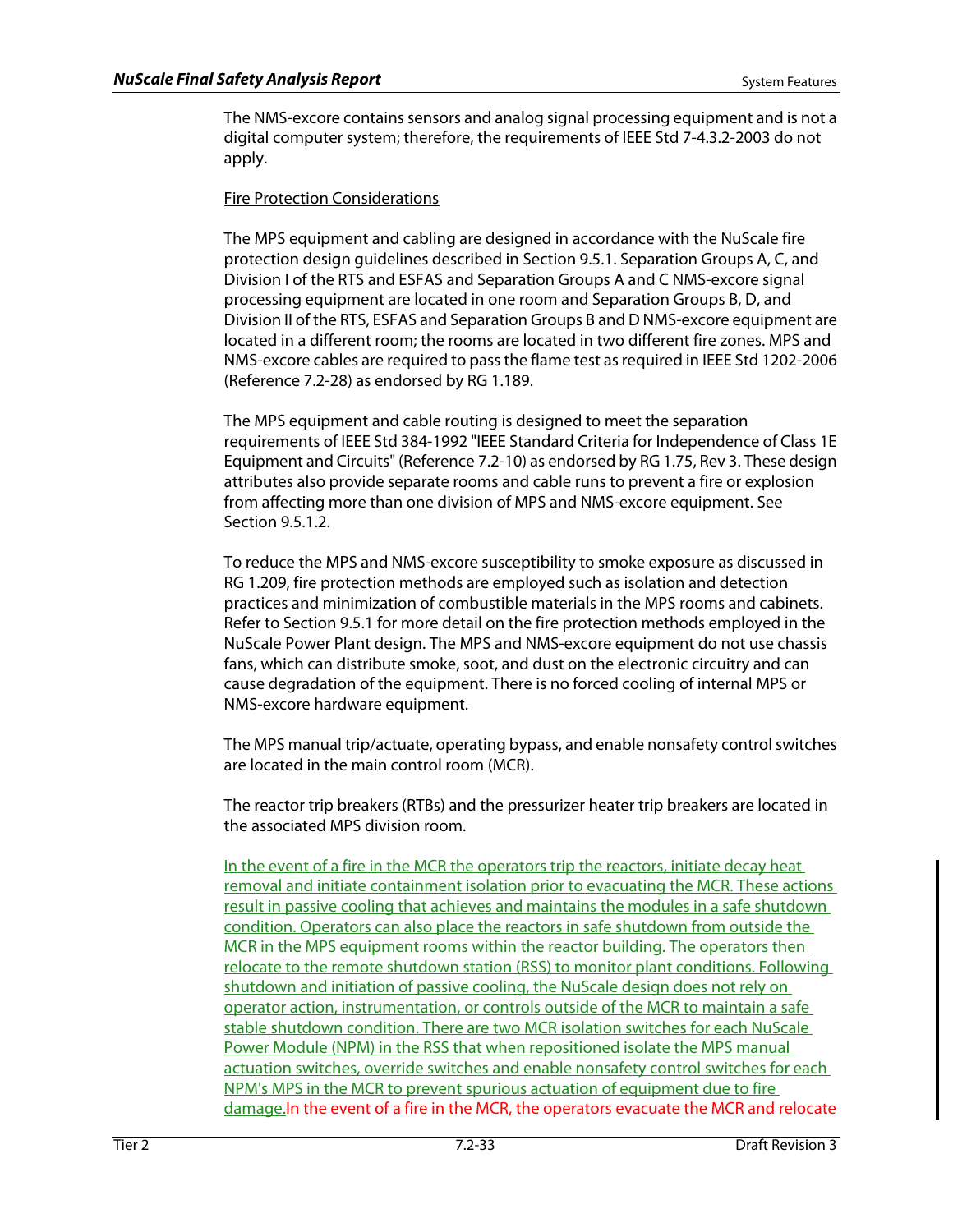The NMS-excore contains sensors and analog signal processing equipment and is not a digital computer system; therefore, the requirements of IEEE Std 7-4.3.2-2003 do not apply.

## Fire Protection Considerations

The MPS equipment and cabling are designed in accordance with the NuScale fire protection design guidelines described in Section 9.5.1. Separation Groups A, C, and Division I of the RTS and ESFAS and Separation Groups A and C NMS-excore signal processing equipment are located in one room and Separation Groups B, D, and Division II of the RTS, ESFAS and Separation Groups B and D NMS-excore equipment are located in a different room; the rooms are located in two different fire zones. MPS and NMS-excore cables are required to pass the flame test as required in IEEE Std 1202-2006 (Reference 7.2-28) as endorsed by RG 1.189.

The MPS equipment and cable routing is designed to meet the separation requirements of IEEE Std 384-1992 "IEEE Standard Criteria for Independence of Class 1E Equipment and Circuits" (Reference 7.2-10) as endorsed by RG 1.75, Rev 3. These design attributes also provide separate rooms and cable runs to prevent a fire or explosion from affecting more than one division of MPS and NMS-excore equipment. See Section 9.5.1.2.

To reduce the MPS and NMS-excore susceptibility to smoke exposure as discussed in RG 1.209, fire protection methods are employed such as isolation and detection practices and minimization of combustible materials in the MPS rooms and cabinets. Refer to Section 9.5.1 for more detail on the fire protection methods employed in the NuScale Power Plant design. The MPS and NMS-excore equipment do not use chassis fans, which can distribute smoke, soot, and dust on the electronic circuitry and can cause degradation of the equipment. There is no forced cooling of internal MPS or NMS-excore hardware equipment.

The MPS manual trip/actuate, operating bypass, and enable nonsafety control switches are located in the main control room (MCR).

The reactor trip breakers (RTBs) and the pressurizer heater trip breakers are located in the associated MPS division room.

In the event of a fire in the MCR the operators trip the reactors, initiate decay heat removal and initiate containment isolation prior to evacuating the MCR. These actions result in passive cooling that achieves and maintains the modules in a safe shutdown condition. Operators can also place the reactors in safe shutdown from outside the MCR in the MPS equipment rooms within the reactor building. The operators then relocate to the remote shutdown station (RSS) to monitor plant conditions. Following shutdown and initiation of passive cooling, the NuScale design does not rely on operator action, instrumentation, or controls outside of the MCR to maintain a safe stable shutdown condition. There are two MCR isolation switches for each NuScale Power Module (NPM) in the RSS that when repositioned isolate the MPS manual actuation switches, override switches and enable nonsafety control switches for each NPM's MPS in the MCR to prevent spurious actuation of equipment due to fire damage.In the event of a fire in the MCR, the operators evacuate the MCR and relocate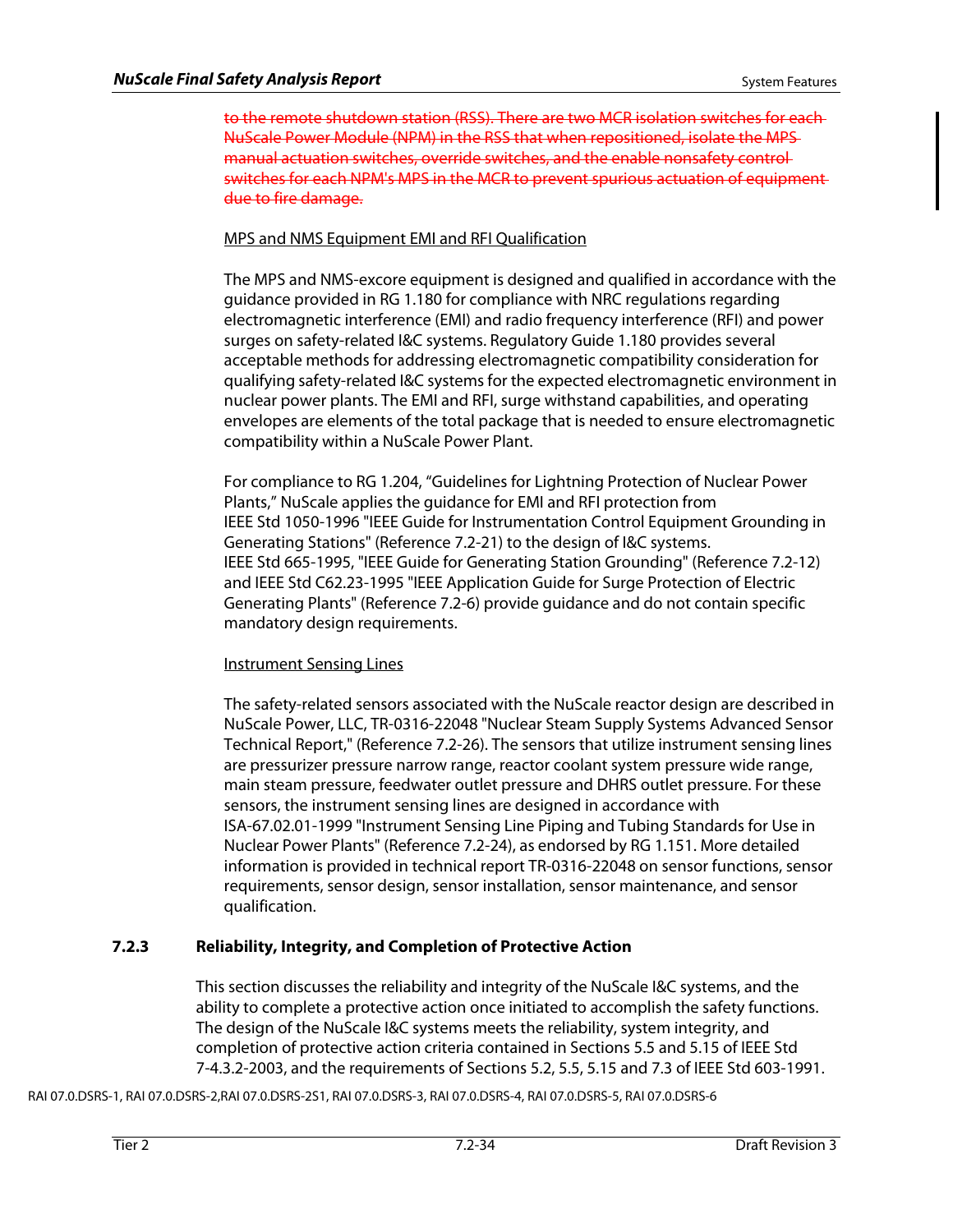to the remote shutdown station (RSS). There are two MCR isolation switches for each NuScale Power Module (NPM) in the RSS that when repositioned, isolate the MPS manual actuation switches, override switches, and the enable nonsafety control switches for each NPM's MPS in the MCR to prevent spurious actuation of equipment due to fire damage.

# MPS and NMS Equipment EMI and RFI Qualification

The MPS and NMS-excore equipment is designed and qualified in accordance with the guidance provided in RG 1.180 for compliance with NRC regulations regarding electromagnetic interference (EMI) and radio frequency interference (RFI) and power surges on safety-related I&C systems. Regulatory Guide 1.180 provides several acceptable methods for addressing electromagnetic compatibility consideration for qualifying safety-related I&C systems for the expected electromagnetic environment in nuclear power plants. The EMI and RFI, surge withstand capabilities, and operating envelopes are elements of the total package that is needed to ensure electromagnetic compatibility within a NuScale Power Plant.

For compliance to RG 1.204, "Guidelines for Lightning Protection of Nuclear Power Plants," NuScale applies the guidance for EMI and RFI protection from IEEE Std 1050-1996 "IEEE Guide for Instrumentation Control Equipment Grounding in Generating Stations" (Reference 7.2-21) to the design of I&C systems. IEEE Std 665-1995, "IEEE Guide for Generating Station Grounding" (Reference 7.2-12) and IEEE Std C62.23-1995 "IEEE Application Guide for Surge Protection of Electric Generating Plants" (Reference 7.2-6) provide guidance and do not contain specific mandatory design requirements.

# Instrument Sensing Lines

The safety-related sensors associated with the NuScale reactor design are described in NuScale Power, LLC, TR-0316-22048 "Nuclear Steam Supply Systems Advanced Sensor Technical Report," (Reference 7.2-26). The sensors that utilize instrument sensing lines are pressurizer pressure narrow range, reactor coolant system pressure wide range, main steam pressure, feedwater outlet pressure and DHRS outlet pressure. For these sensors, the instrument sensing lines are designed in accordance with ISA-67.02.01-1999 "Instrument Sensing Line Piping and Tubing Standards for Use in Nuclear Power Plants" (Reference 7.2-24), as endorsed by RG 1.151. More detailed information is provided in technical report TR-0316-22048 on sensor functions, sensor requirements, sensor design, sensor installation, sensor maintenance, and sensor qualification.

# **7.2.3 Reliability, Integrity, and Completion of Protective Action**

This section discusses the reliability and integrity of the NuScale I&C systems, and the ability to complete a protective action once initiated to accomplish the safety functions. The design of the NuScale I&C systems meets the reliability, system integrity, and completion of protective action criteria contained in Sections 5.5 and 5.15 of IEEE Std 7-4.3.2-2003, and the requirements of Sections 5.2, 5.5, 5.15 and 7.3 of IEEE Std 603-1991.

RAI 07.0.DSRS-1, RAI 07.0.DSRS-2,RAI 07.0.DSRS-2S1, RAI 07.0.DSRS-3, RAI 07.0.DSRS-4, RAI 07.0.DSRS-5, RAI 07.0.DSRS-6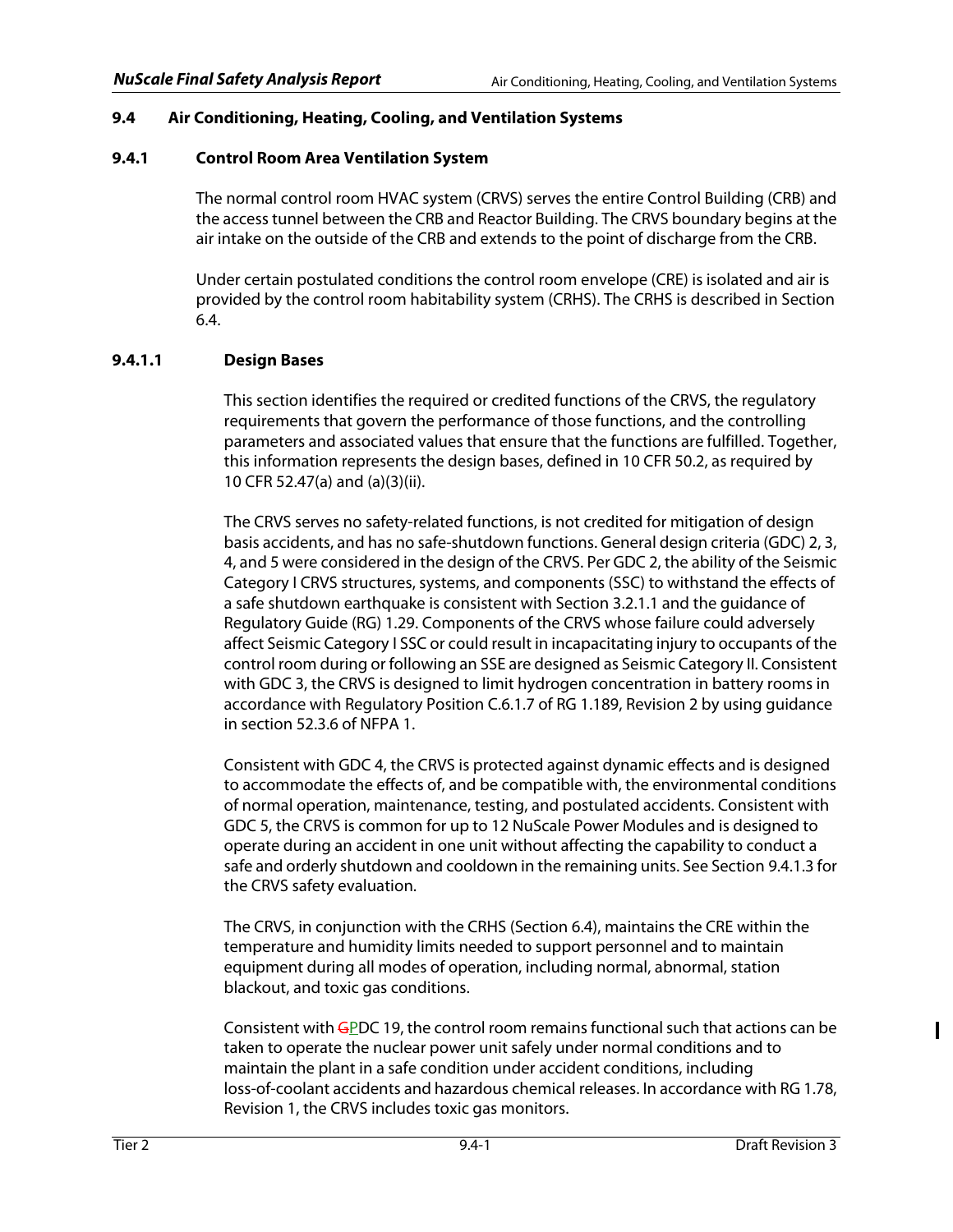# **9.4 Air Conditioning, Heating, Cooling, and Ventilation Systems**

## **9.4.1 Control Room Area Ventilation System**

The normal control room HVAC system (CRVS) serves the entire Control Building (CRB) and the access tunnel between the CRB and Reactor Building. The CRVS boundary begins at the air intake on the outside of the CRB and extends to the point of discharge from the CRB.

Under certain postulated conditions the control room envelope (CRE) is isolated and air is provided by the control room habitability system (CRHS). The CRHS is described in Section 6.4.

# **9.4.1.1 Design Bases**

This section identifies the required or credited functions of the CRVS, the regulatory requirements that govern the performance of those functions, and the controlling parameters and associated values that ensure that the functions are fulfilled. Together, this information represents the design bases, defined in 10 CFR 50.2, as required by 10 CFR 52.47(a) and (a)(3)(ii).

The CRVS serves no safety-related functions, is not credited for mitigation of design basis accidents, and has no safe-shutdown functions. General design criteria (GDC) 2, 3, 4, and 5 were considered in the design of the CRVS. Per GDC 2, the ability of the Seismic Category I CRVS structures, systems, and components (SSC) to withstand the effects of a safe shutdown earthquake is consistent with Section 3.2.1.1 and the guidance of Regulatory Guide (RG) 1.29. Components of the CRVS whose failure could adversely affect Seismic Category I SSC or could result in incapacitating injury to occupants of the control room during or following an SSE are designed as Seismic Category II. Consistent with GDC 3, the CRVS is designed to limit hydrogen concentration in battery rooms in accordance with Regulatory Position C.6.1.7 of RG 1.189, Revision 2 by using guidance in section 52.3.6 of NFPA 1.

Consistent with GDC 4, the CRVS is protected against dynamic effects and is designed to accommodate the effects of, and be compatible with, the environmental conditions of normal operation, maintenance, testing, and postulated accidents. Consistent with GDC 5, the CRVS is common for up to 12 NuScale Power Modules and is designed to operate during an accident in one unit without affecting the capability to conduct a safe and orderly shutdown and cooldown in the remaining units. See Section 9.4.1.3 for the CRVS safety evaluation.

The CRVS, in conjunction with the CRHS (Section 6.4), maintains the CRE within the temperature and humidity limits needed to support personnel and to maintain equipment during all modes of operation, including normal, abnormal, station blackout, and toxic gas conditions.

Consistent with GPDC 19, the control room remains functional such that actions can be taken to operate the nuclear power unit safely under normal conditions and to maintain the plant in a safe condition under accident conditions, including loss-of-coolant accidents and hazardous chemical releases. In accordance with RG 1.78, Revision 1, the CRVS includes toxic gas monitors.

I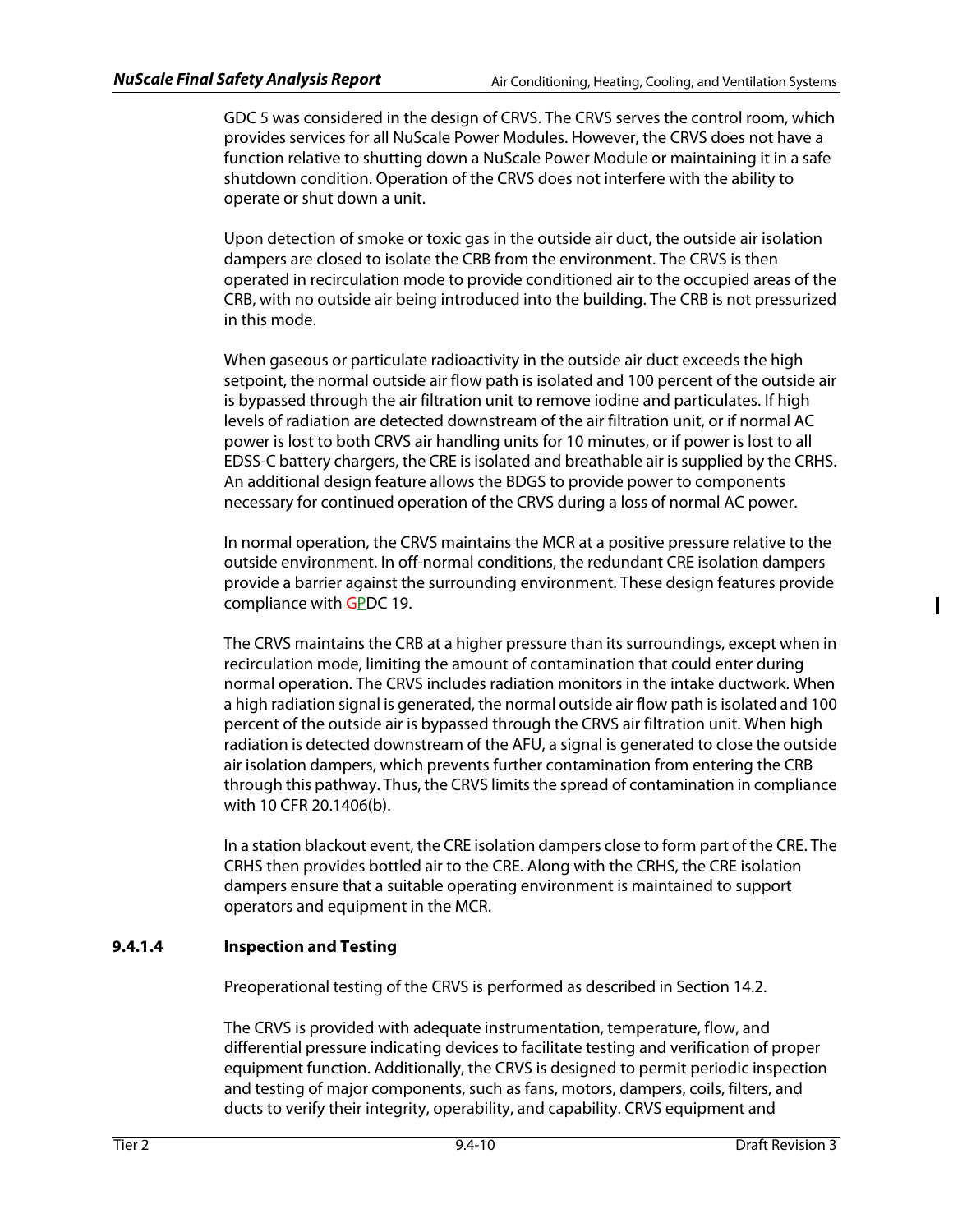GDC 5 was considered in the design of CRVS. The CRVS serves the control room, which provides services for all NuScale Power Modules. However, the CRVS does not have a function relative to shutting down a NuScale Power Module or maintaining it in a safe shutdown condition. Operation of the CRVS does not interfere with the ability to operate or shut down a unit.

Upon detection of smoke or toxic gas in the outside air duct, the outside air isolation dampers are closed to isolate the CRB from the environment. The CRVS is then operated in recirculation mode to provide conditioned air to the occupied areas of the CRB, with no outside air being introduced into the building. The CRB is not pressurized in this mode.

When gaseous or particulate radioactivity in the outside air duct exceeds the high setpoint, the normal outside air flow path is isolated and 100 percent of the outside air is bypassed through the air filtration unit to remove iodine and particulates. If high levels of radiation are detected downstream of the air filtration unit, or if normal AC power is lost to both CRVS air handling units for 10 minutes, or if power is lost to all EDSS-C battery chargers, the CRE is isolated and breathable air is supplied by the CRHS. An additional design feature allows the BDGS to provide power to components necessary for continued operation of the CRVS during a loss of normal AC power.

In normal operation, the CRVS maintains the MCR at a positive pressure relative to the outside environment. In off-normal conditions, the redundant CRE isolation dampers provide a barrier against the surrounding environment. These design features provide compliance with GPDC 19.

The CRVS maintains the CRB at a higher pressure than its surroundings, except when in recirculation mode, limiting the amount of contamination that could enter during normal operation. The CRVS includes radiation monitors in the intake ductwork. When a high radiation signal is generated, the normal outside air flow path is isolated and 100 percent of the outside air is bypassed through the CRVS air filtration unit. When high radiation is detected downstream of the AFU, a signal is generated to close the outside air isolation dampers, which prevents further contamination from entering the CRB through this pathway. Thus, the CRVS limits the spread of contamination in compliance with 10 CFR 20.1406(b).

In a station blackout event, the CRE isolation dampers close to form part of the CRE. The CRHS then provides bottled air to the CRE. Along with the CRHS, the CRE isolation dampers ensure that a suitable operating environment is maintained to support operators and equipment in the MCR.

# **9.4.1.4 Inspection and Testing**

Preoperational testing of the CRVS is performed as described in Section 14.2.

The CRVS is provided with adequate instrumentation, temperature, flow, and differential pressure indicating devices to facilitate testing and verification of proper equipment function. Additionally, the CRVS is designed to permit periodic inspection and testing of major components, such as fans, motors, dampers, coils, filters, and ducts to verify their integrity, operability, and capability. CRVS equipment and

 $\mathsf I$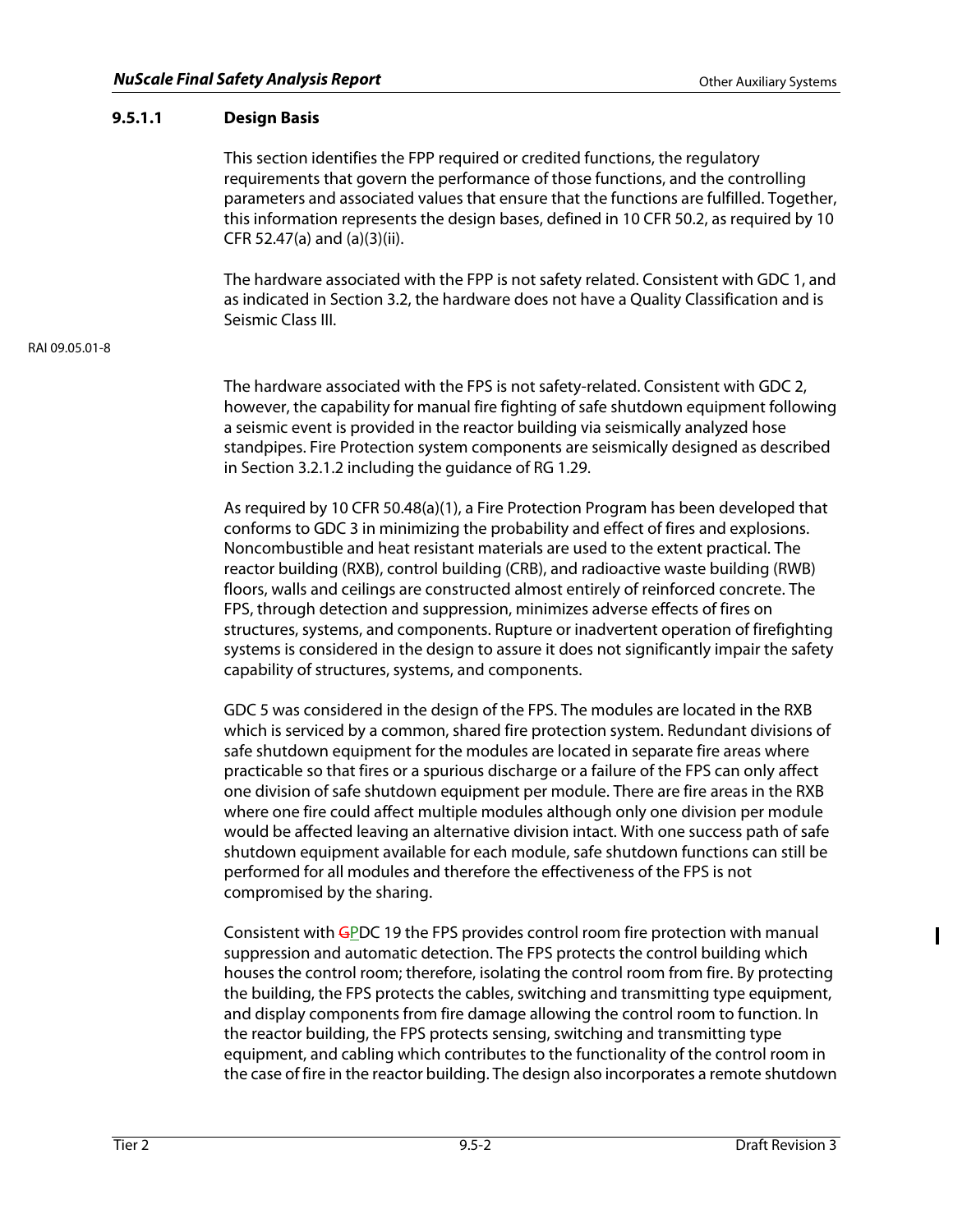# **9.5.1.1 Design Basis**

This section identifies the FPP required or credited functions, the regulatory requirements that govern the performance of those functions, and the controlling parameters and associated values that ensure that the functions are fulfilled. Together, this information represents the design bases, defined in 10 CFR 50.2, as required by 10 CFR 52.47(a) and (a)(3)(ii).

The hardware associated with the FPP is not safety related. Consistent with GDC 1, and as indicated in Section 3.2, the hardware does not have a Quality Classification and is Seismic Class III.

### RAI 09.05.01-8

The hardware associated with the FPS is not safety-related. Consistent with GDC 2, however, the capability for manual fire fighting of safe shutdown equipment following a seismic event is provided in the reactor building via seismically analyzed hose standpipes. Fire Protection system components are seismically designed as described in Section 3.2.1.2 including the guidance of RG 1.29.

As required by 10 CFR 50.48(a)(1), a Fire Protection Program has been developed that conforms to GDC 3 in minimizing the probability and effect of fires and explosions. Noncombustible and heat resistant materials are used to the extent practical. The reactor building (RXB), control building (CRB), and radioactive waste building (RWB) floors, walls and ceilings are constructed almost entirely of reinforced concrete. The FPS, through detection and suppression, minimizes adverse effects of fires on structures, systems, and components. Rupture or inadvertent operation of firefighting systems is considered in the design to assure it does not significantly impair the safety capability of structures, systems, and components.

GDC 5 was considered in the design of the FPS. The modules are located in the RXB which is serviced by a common, shared fire protection system. Redundant divisions of safe shutdown equipment for the modules are located in separate fire areas where practicable so that fires or a spurious discharge or a failure of the FPS can only affect one division of safe shutdown equipment per module. There are fire areas in the RXB where one fire could affect multiple modules although only one division per module would be affected leaving an alternative division intact. With one success path of safe shutdown equipment available for each module, safe shutdown functions can still be performed for all modules and therefore the effectiveness of the FPS is not compromised by the sharing.

Consistent with GPDC 19 the FPS provides control room fire protection with manual suppression and automatic detection. The FPS protects the control building which houses the control room; therefore, isolating the control room from fire. By protecting the building, the FPS protects the cables, switching and transmitting type equipment, and display components from fire damage allowing the control room to function. In the reactor building, the FPS protects sensing, switching and transmitting type equipment, and cabling which contributes to the functionality of the control room in the case of fire in the reactor building. The design also incorporates a remote shutdown  $\mathbf I$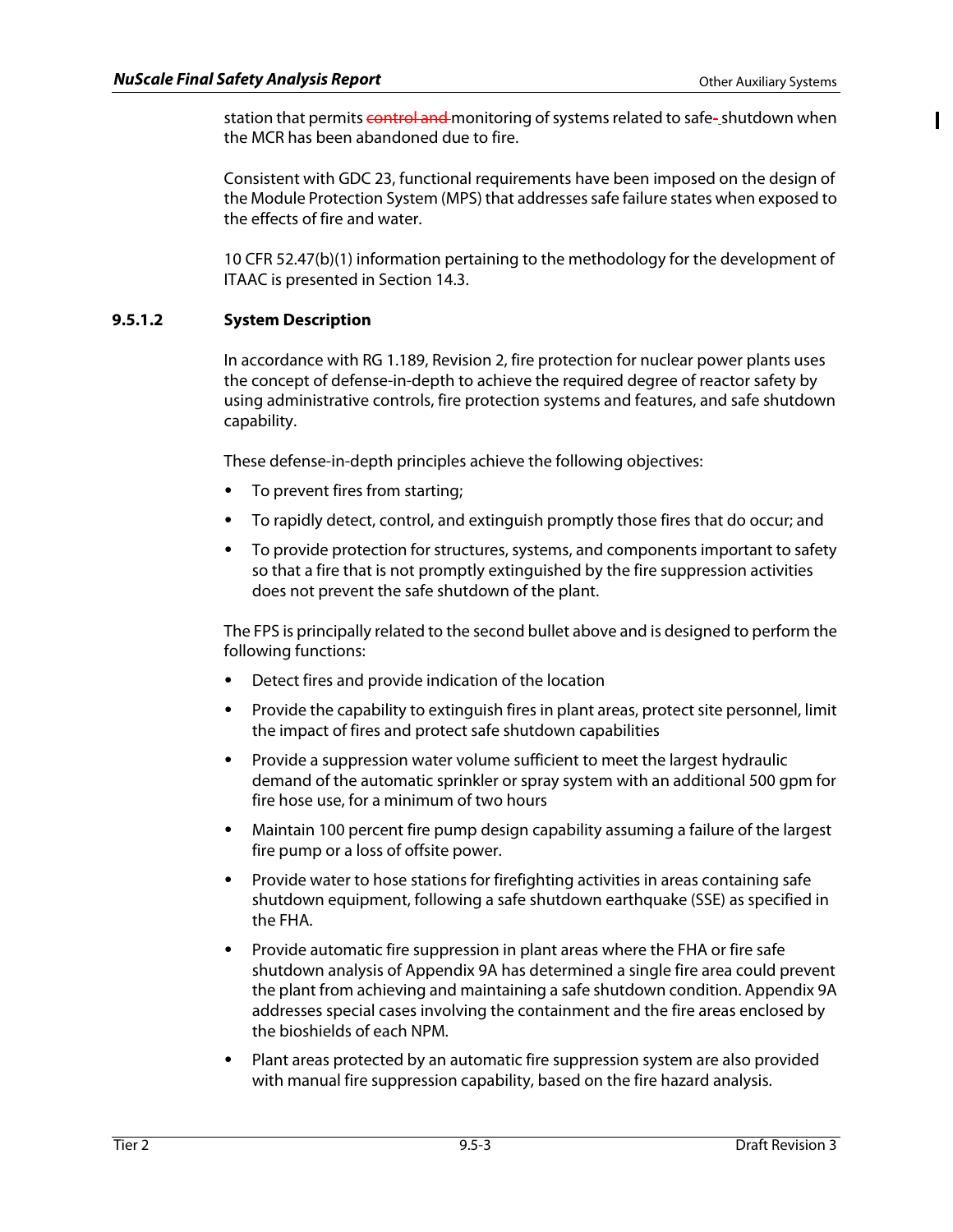$\mathbf{I}$ 

station that permits control and monitoring of systems related to safe-shutdown when the MCR has been abandoned due to fire.

Consistent with GDC 23, functional requirements have been imposed on the design of the Module Protection System (MPS) that addresses safe failure states when exposed to the effects of fire and water.

10 CFR 52.47(b)(1) information pertaining to the methodology for the development of ITAAC is presented in Section 14.3.

# **9.5.1.2 System Description**

In accordance with RG 1.189, Revision 2, fire protection for nuclear power plants uses the concept of defense-in-depth to achieve the required degree of reactor safety by using administrative controls, fire protection systems and features, and safe shutdown capability.

These defense-in-depth principles achieve the following objectives:

- To prevent fires from starting;
- To rapidly detect, control, and extinguish promptly those fires that do occur; and
- To provide protection for structures, systems, and components important to safety so that a fire that is not promptly extinguished by the fire suppression activities does not prevent the safe shutdown of the plant.

The FPS is principally related to the second bullet above and is designed to perform the following functions:

- Detect fires and provide indication of the location
- Provide the capability to extinguish fires in plant areas, protect site personnel, limit the impact of fires and protect safe shutdown capabilities
- Provide a suppression water volume sufficient to meet the largest hydraulic demand of the automatic sprinkler or spray system with an additional 500 gpm for fire hose use, for a minimum of two hours
- Maintain 100 percent fire pump design capability assuming a failure of the largest fire pump or a loss of offsite power.
- Provide water to hose stations for firefighting activities in areas containing safe shutdown equipment, following a safe shutdown earthquake (SSE) as specified in the FHA.
- Provide automatic fire suppression in plant areas where the FHA or fire safe shutdown analysis of Appendix 9A has determined a single fire area could prevent the plant from achieving and maintaining a safe shutdown condition. Appendix 9A addresses special cases involving the containment and the fire areas enclosed by the bioshields of each NPM.
- Plant areas protected by an automatic fire suppression system are also provided with manual fire suppression capability, based on the fire hazard analysis.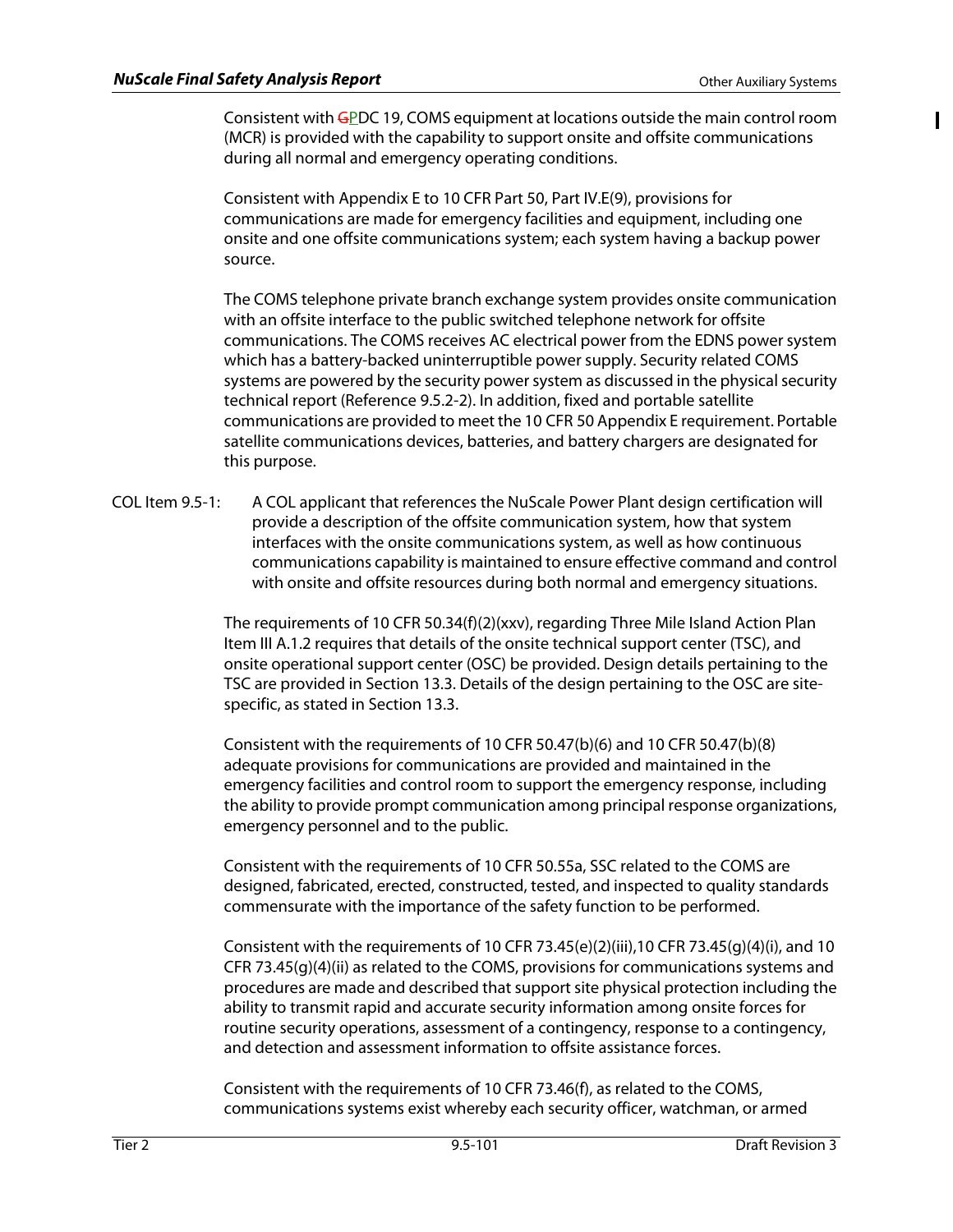$\mathbf{I}$ 

Consistent with GPDC 19, COMS equipment at locations outside the main control room (MCR) is provided with the capability to support onsite and offsite communications during all normal and emergency operating conditions.

Consistent with Appendix E to 10 CFR Part 50, Part IV.E(9), provisions for communications are made for emergency facilities and equipment, including one onsite and one offsite communications system; each system having a backup power source.

The COMS telephone private branch exchange system provides onsite communication with an offsite interface to the public switched telephone network for offsite communications. The COMS receives AC electrical power from the EDNS power system which has a battery-backed uninterruptible power supply. Security related COMS systems are powered by the security power system as discussed in the physical security technical report (Reference 9.5.2-2). In addition, fixed and portable satellite communications are provided to meet the 10 CFR 50 Appendix E requirement. Portable satellite communications devices, batteries, and battery chargers are designated for this purpose.

COL Item 9.5-1: A COL applicant that references the NuScale Power Plant design certification will provide a description of the offsite communication system, how that system interfaces with the onsite communications system, as well as how continuous communications capability is maintained to ensure effective command and control with onsite and offsite resources during both normal and emergency situations.

> The requirements of 10 CFR 50.34(f)(2)(xxv), regarding Three Mile Island Action Plan Item III A.1.2 requires that details of the onsite technical support center (TSC), and onsite operational support center (OSC) be provided. Design details pertaining to the TSC are provided in Section 13.3. Details of the design pertaining to the OSC are sitespecific, as stated in Section 13.3.

Consistent with the requirements of 10 CFR 50.47(b)(6) and 10 CFR 50.47(b)(8) adequate provisions for communications are provided and maintained in the emergency facilities and control room to support the emergency response, including the ability to provide prompt communication among principal response organizations, emergency personnel and to the public.

Consistent with the requirements of 10 CFR 50.55a, SSC related to the COMS are designed, fabricated, erected, constructed, tested, and inspected to quality standards commensurate with the importance of the safety function to be performed.

Consistent with the requirements of 10 CFR 73.45(e)(2)(iii),10 CFR 73.45(g)(4)(i), and 10 CFR 73.45(g)(4)(ii) as related to the COMS, provisions for communications systems and procedures are made and described that support site physical protection including the ability to transmit rapid and accurate security information among onsite forces for routine security operations, assessment of a contingency, response to a contingency, and detection and assessment information to offsite assistance forces.

Consistent with the requirements of 10 CFR 73.46(f), as related to the COMS, communications systems exist whereby each security officer, watchman, or armed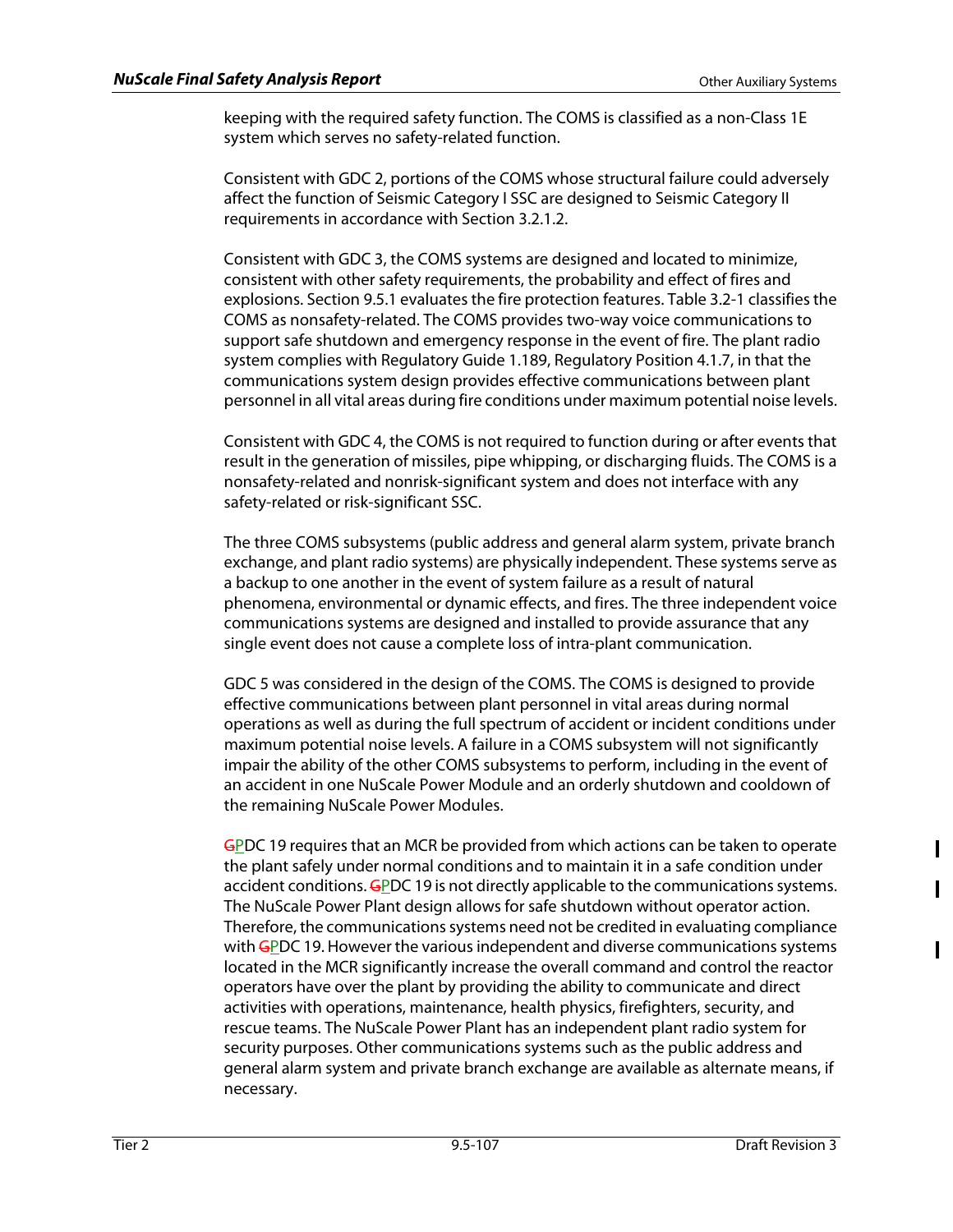keeping with the required safety function. The COMS is classified as a non-Class 1E system which serves no safety-related function.

Consistent with GDC 2, portions of the COMS whose structural failure could adversely affect the function of Seismic Category I SSC are designed to Seismic Category II requirements in accordance with Section 3.2.1.2.

Consistent with GDC 3, the COMS systems are designed and located to minimize, consistent with other safety requirements, the probability and effect of fires and explosions. Section 9.5.1 evaluates the fire protection features. Table 3.2-1 classifies the COMS as nonsafety-related. The COMS provides two-way voice communications to support safe shutdown and emergency response in the event of fire. The plant radio system complies with Regulatory Guide 1.189, Regulatory Position 4.1.7, in that the communications system design provides effective communications between plant personnel in all vital areas during fire conditions under maximum potential noise levels.

Consistent with GDC 4, the COMS is not required to function during or after events that result in the generation of missiles, pipe whipping, or discharging fluids. The COMS is a nonsafety-related and nonrisk-significant system and does not interface with any safety-related or risk-significant SSC.

The three COMS subsystems (public address and general alarm system, private branch exchange, and plant radio systems) are physically independent. These systems serve as a backup to one another in the event of system failure as a result of natural phenomena, environmental or dynamic effects, and fires. The three independent voice communications systems are designed and installed to provide assurance that any single event does not cause a complete loss of intra-plant communication.

GDC 5 was considered in the design of the COMS. The COMS is designed to provide effective communications between plant personnel in vital areas during normal operations as well as during the full spectrum of accident or incident conditions under maximum potential noise levels. A failure in a COMS subsystem will not significantly impair the ability of the other COMS subsystems to perform, including in the event of an accident in one NuScale Power Module and an orderly shutdown and cooldown of the remaining NuScale Power Modules.

GPDC 19 requires that an MCR be provided from which actions can be taken to operate the plant safely under normal conditions and to maintain it in a safe condition under accident conditions. GPDC 19 is not directly applicable to the communications systems. The NuScale Power Plant design allows for safe shutdown without operator action. Therefore, the communications systems need not be credited in evaluating compliance with GPDC 19. However the various independent and diverse communications systems located in the MCR significantly increase the overall command and control the reactor operators have over the plant by providing the ability to communicate and direct activities with operations, maintenance, health physics, firefighters, security, and rescue teams. The NuScale Power Plant has an independent plant radio system for security purposes. Other communications systems such as the public address and general alarm system and private branch exchange are available as alternate means, if necessary.

I

 $\mathbf I$ 

 $\mathbf I$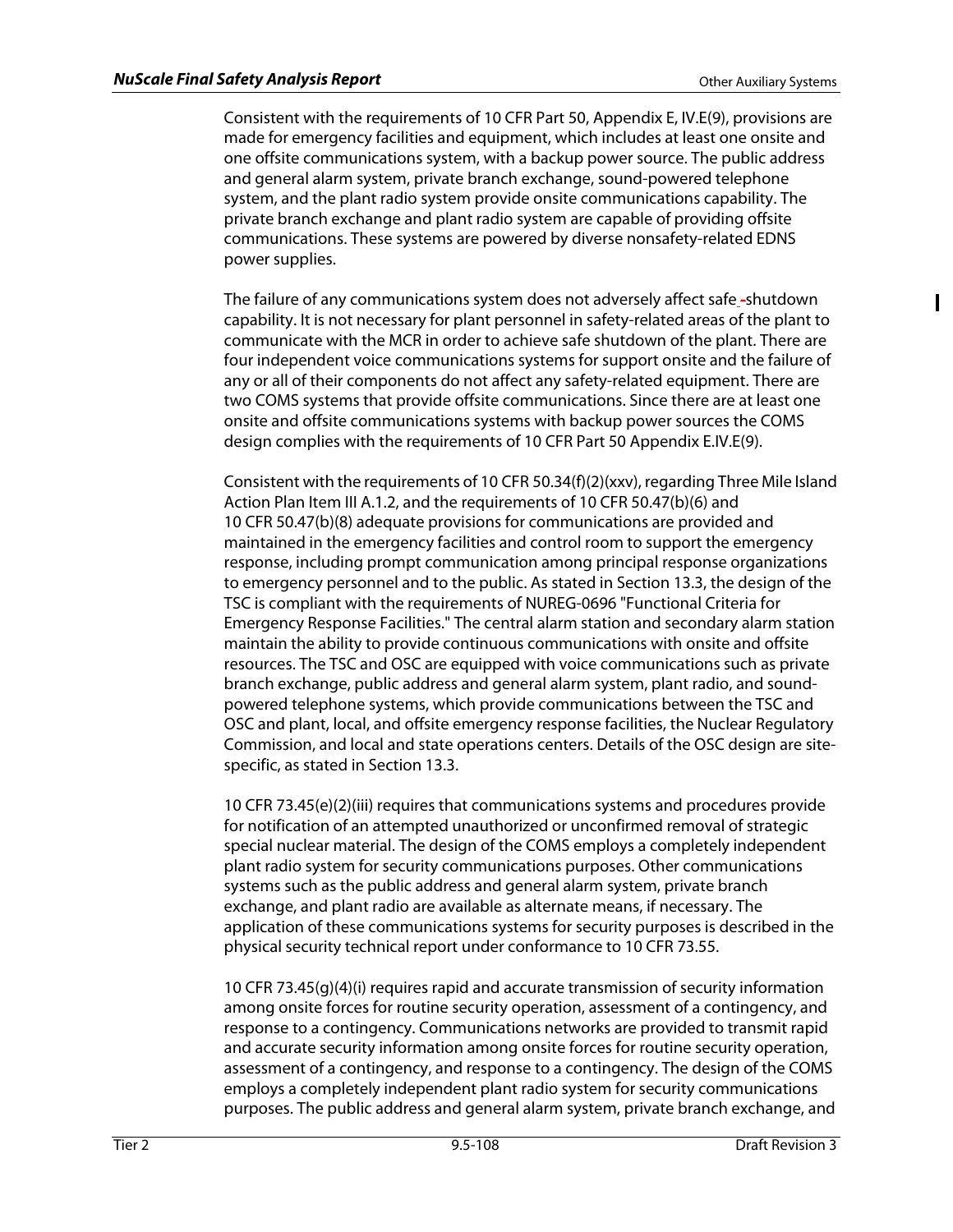Ш

Consistent with the requirements of 10 CFR Part 50, Appendix E, IV.E(9), provisions are made for emergency facilities and equipment, which includes at least one onsite and one offsite communications system, with a backup power source. The public address and general alarm system, private branch exchange, sound-powered telephone system, and the plant radio system provide onsite communications capability. The private branch exchange and plant radio system are capable of providing offsite communications. These systems are powered by diverse nonsafety-related EDNS power supplies.

The failure of any communications system does not adversely affect safe -shutdown capability. It is not necessary for plant personnel in safety-related areas of the plant to communicate with the MCR in order to achieve safe shutdown of the plant. There are four independent voice communications systems for support onsite and the failure of any or all of their components do not affect any safety-related equipment. There are two COMS systems that provide offsite communications. Since there are at least one onsite and offsite communications systems with backup power sources the COMS design complies with the requirements of 10 CFR Part 50 Appendix E.IV.E(9).

Consistent with the requirements of 10 CFR 50.34(f)(2)(xxv), regarding Three Mile Island Action Plan Item III A.1.2, and the requirements of 10 CFR 50.47(b)(6) and 10 CFR 50.47(b)(8) adequate provisions for communications are provided and maintained in the emergency facilities and control room to support the emergency response, including prompt communication among principal response organizations to emergency personnel and to the public. As stated in Section 13.3, the design of the TSC is compliant with the requirements of NUREG-0696 "Functional Criteria for Emergency Response Facilities." The central alarm station and secondary alarm station maintain the ability to provide continuous communications with onsite and offsite resources. The TSC and OSC are equipped with voice communications such as private branch exchange, public address and general alarm system, plant radio, and soundpowered telephone systems, which provide communications between the TSC and OSC and plant, local, and offsite emergency response facilities, the Nuclear Regulatory Commission, and local and state operations centers. Details of the OSC design are sitespecific, as stated in Section 13.3.

10 CFR 73.45(e)(2)(iii) requires that communications systems and procedures provide for notification of an attempted unauthorized or unconfirmed removal of strategic special nuclear material. The design of the COMS employs a completely independent plant radio system for security communications purposes. Other communications systems such as the public address and general alarm system, private branch exchange, and plant radio are available as alternate means, if necessary. The application of these communications systems for security purposes is described in the physical security technical report under conformance to 10 CFR 73.55.

10 CFR 73.45(g)(4)(i) requires rapid and accurate transmission of security information among onsite forces for routine security operation, assessment of a contingency, and response to a contingency. Communications networks are provided to transmit rapid and accurate security information among onsite forces for routine security operation, assessment of a contingency, and response to a contingency. The design of the COMS employs a completely independent plant radio system for security communications purposes. The public address and general alarm system, private branch exchange, and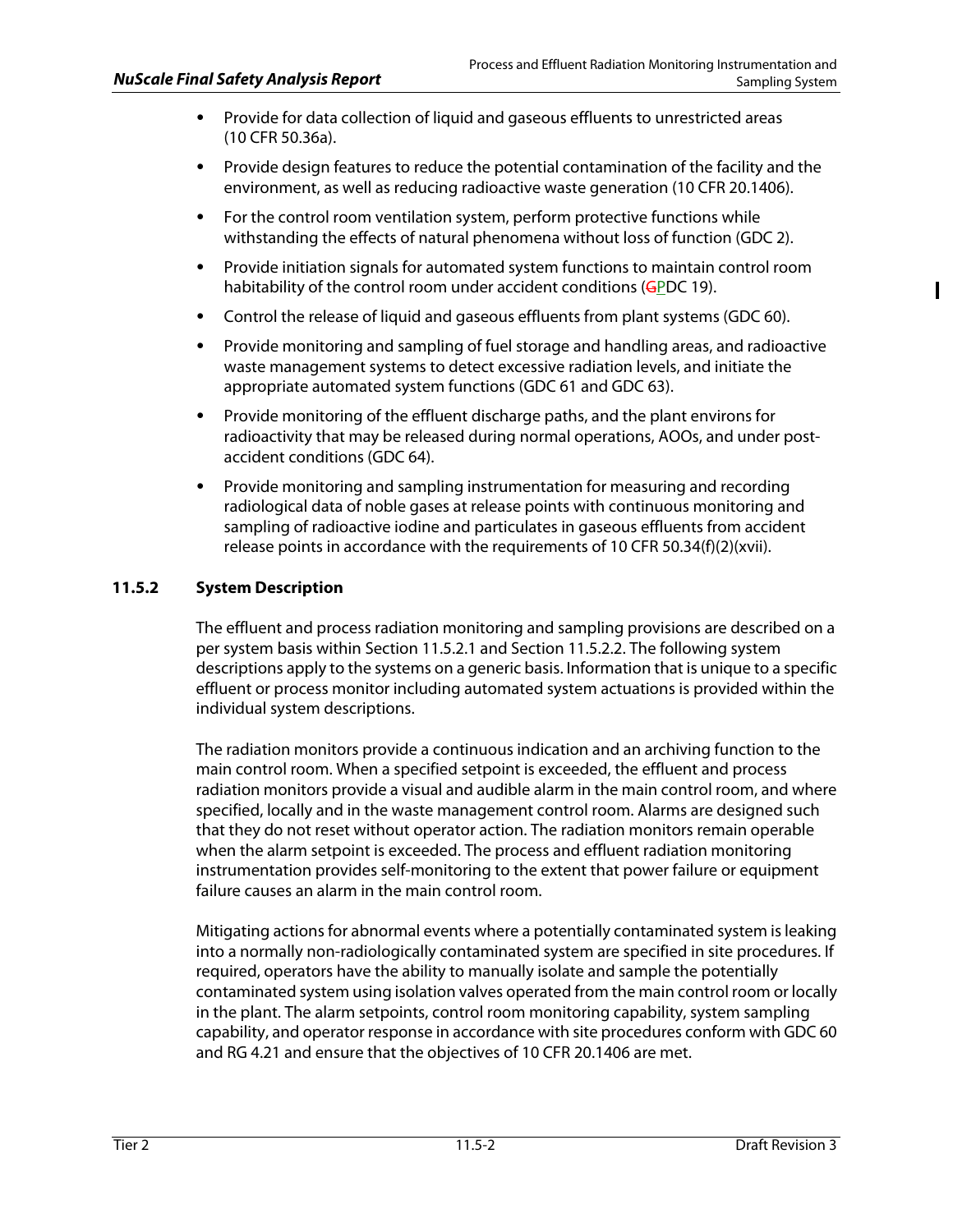- Provide for data collection of liquid and gaseous effluents to unrestricted areas (10 CFR 50.36a).
- Provide design features to reduce the potential contamination of the facility and the environment, as well as reducing radioactive waste generation (10 CFR 20.1406).
- For the control room ventilation system, perform protective functions while withstanding the effects of natural phenomena without loss of function (GDC 2).
- Provide initiation signals for automated system functions to maintain control room habitability of the control room under accident conditions (GPDC 19).
- Control the release of liquid and gaseous effluents from plant systems (GDC 60).
- Provide monitoring and sampling of fuel storage and handling areas, and radioactive waste management systems to detect excessive radiation levels, and initiate the appropriate automated system functions (GDC 61 and GDC 63).
- Provide monitoring of the effluent discharge paths, and the plant environs for radioactivity that may be released during normal operations, AOOs, and under postaccident conditions (GDC 64).
- Provide monitoring and sampling instrumentation for measuring and recording radiological data of noble gases at release points with continuous monitoring and sampling of radioactive iodine and particulates in gaseous effluents from accident release points in accordance with the requirements of 10 CFR 50.34(f)(2)(xvii).

# **11.5.2 System Description**

The effluent and process radiation monitoring and sampling provisions are described on a per system basis within Section 11.5.2.1 and Section 11.5.2.2. The following system descriptions apply to the systems on a generic basis. Information that is unique to a specific effluent or process monitor including automated system actuations is provided within the individual system descriptions.

The radiation monitors provide a continuous indication and an archiving function to the main control room. When a specified setpoint is exceeded, the effluent and process radiation monitors provide a visual and audible alarm in the main control room, and where specified, locally and in the waste management control room. Alarms are designed such that they do not reset without operator action. The radiation monitors remain operable when the alarm setpoint is exceeded. The process and effluent radiation monitoring instrumentation provides self-monitoring to the extent that power failure or equipment failure causes an alarm in the main control room.

Mitigating actions for abnormal events where a potentially contaminated system is leaking into a normally non-radiologically contaminated system are specified in site procedures. If required, operators have the ability to manually isolate and sample the potentially contaminated system using isolation valves operated from the main control room or locally in the plant. The alarm setpoints, control room monitoring capability, system sampling capability, and operator response in accordance with site procedures conform with GDC 60 and RG 4.21 and ensure that the objectives of 10 CFR 20.1406 are met.

I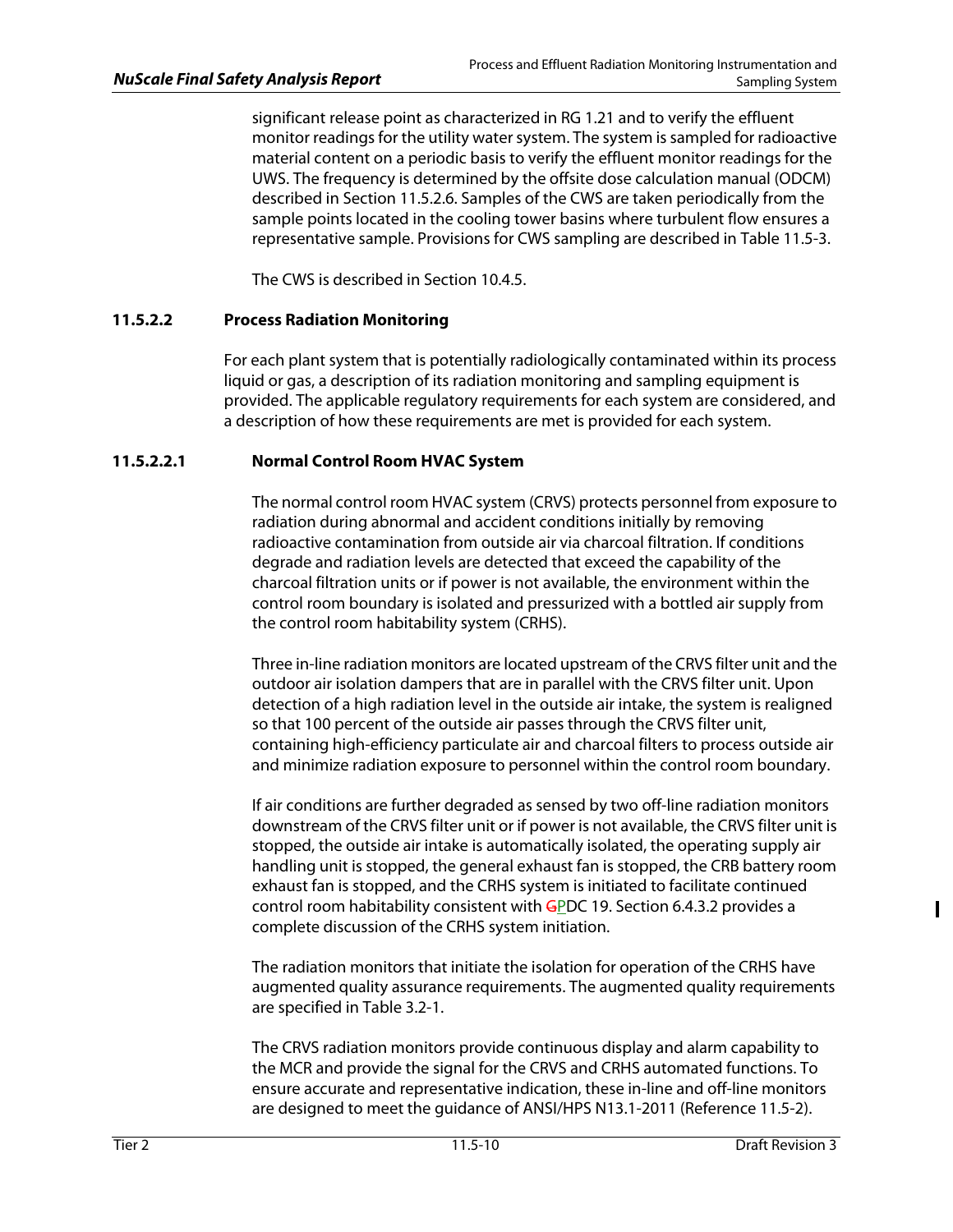significant release point as characterized in RG 1.21 and to verify the effluent monitor readings for the utility water system. The system is sampled for radioactive material content on a periodic basis to verify the effluent monitor readings for the UWS. The frequency is determined by the offsite dose calculation manual (ODCM) described in Section 11.5.2.6. Samples of the CWS are taken periodically from the sample points located in the cooling tower basins where turbulent flow ensures a representative sample. Provisions for CWS sampling are described in Table 11.5-3.

The CWS is described in Section 10.4.5.

# **11.5.2.2 Process Radiation Monitoring**

For each plant system that is potentially radiologically contaminated within its process liquid or gas, a description of its radiation monitoring and sampling equipment is provided. The applicable regulatory requirements for each system are considered, and a description of how these requirements are met is provided for each system.

# **11.5.2.2.1 Normal Control Room HVAC System**

The normal control room HVAC system (CRVS) protects personnel from exposure to radiation during abnormal and accident conditions initially by removing radioactive contamination from outside air via charcoal filtration. If conditions degrade and radiation levels are detected that exceed the capability of the charcoal filtration units or if power is not available, the environment within the control room boundary is isolated and pressurized with a bottled air supply from the control room habitability system (CRHS).

Three in-line radiation monitors are located upstream of the CRVS filter unit and the outdoor air isolation dampers that are in parallel with the CRVS filter unit. Upon detection of a high radiation level in the outside air intake, the system is realigned so that 100 percent of the outside air passes through the CRVS filter unit, containing high-efficiency particulate air and charcoal filters to process outside air and minimize radiation exposure to personnel within the control room boundary.

If air conditions are further degraded as sensed by two off-line radiation monitors downstream of the CRVS filter unit or if power is not available, the CRVS filter unit is stopped, the outside air intake is automatically isolated, the operating supply air handling unit is stopped, the general exhaust fan is stopped, the CRB battery room exhaust fan is stopped, and the CRHS system is initiated to facilitate continued control room habitability consistent with GPDC 19. Section 6.4.3.2 provides a complete discussion of the CRHS system initiation.

The radiation monitors that initiate the isolation for operation of the CRHS have augmented quality assurance requirements. The augmented quality requirements are specified in Table 3.2-1.

The CRVS radiation monitors provide continuous display and alarm capability to the MCR and provide the signal for the CRVS and CRHS automated functions. To ensure accurate and representative indication, these in-line and off-line monitors are designed to meet the guidance of ANSI/HPS N13.1-2011 (Reference 11.5-2).

 $\mathbf I$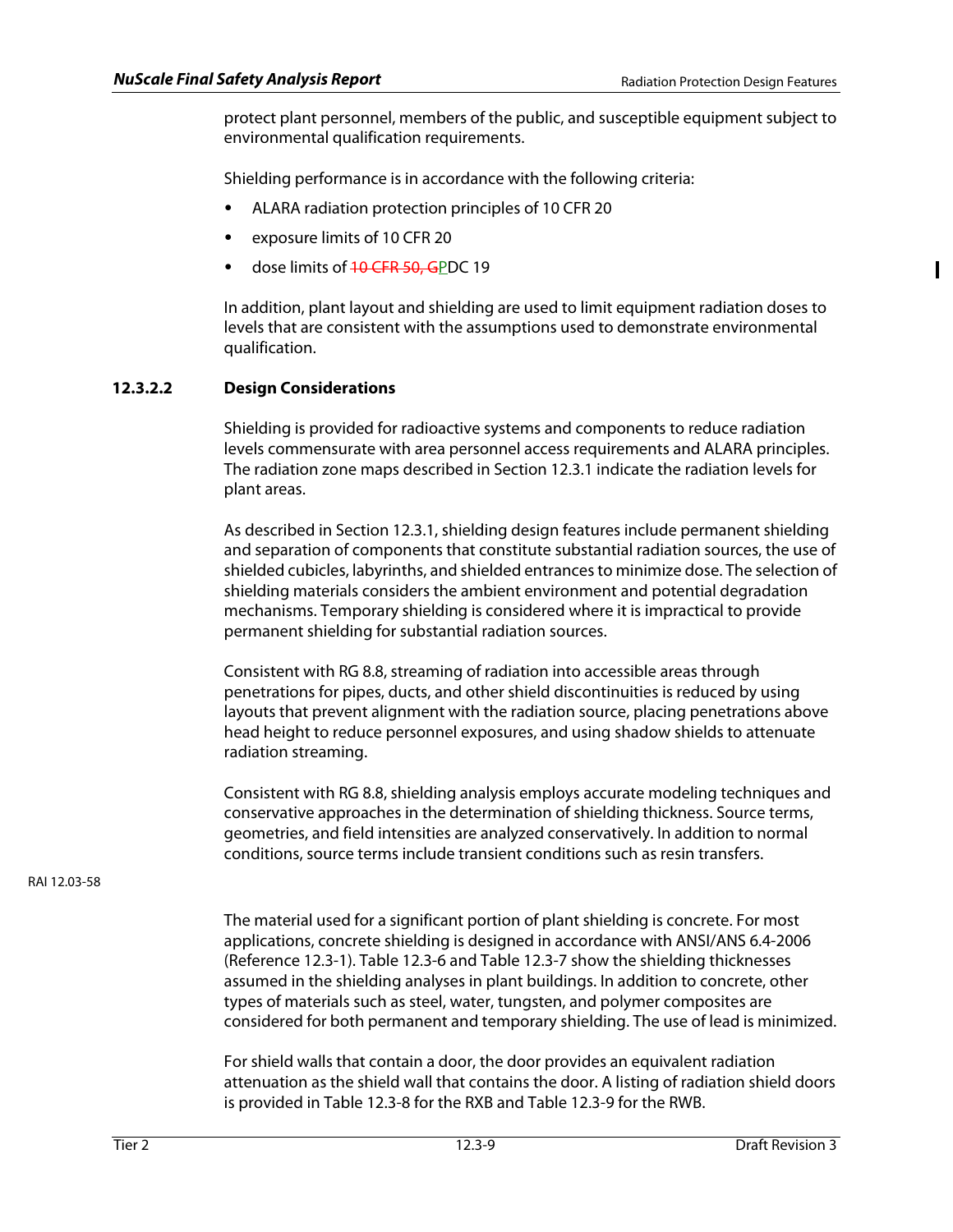Ш

protect plant personnel, members of the public, and susceptible equipment subject to environmental qualification requirements.

Shielding performance is in accordance with the following criteria:

- ALARA radiation protection principles of 10 CFR 20
- exposure limits of 10 CFR 20
- dose limits of <del>10 CFR 50, G</del>PDC 19

In addition, plant layout and shielding are used to limit equipment radiation doses to levels that are consistent with the assumptions used to demonstrate environmental qualification.

# **12.3.2.2 Design Considerations**

Shielding is provided for radioactive systems and components to reduce radiation levels commensurate with area personnel access requirements and ALARA principles. The radiation zone maps described in Section 12.3.1 indicate the radiation levels for plant areas.

As described in Section 12.3.1, shielding design features include permanent shielding and separation of components that constitute substantial radiation sources, the use of shielded cubicles, labyrinths, and shielded entrances to minimize dose. The selection of shielding materials considers the ambient environment and potential degradation mechanisms. Temporary shielding is considered where it is impractical to provide permanent shielding for substantial radiation sources.

Consistent with RG 8.8, streaming of radiation into accessible areas through penetrations for pipes, ducts, and other shield discontinuities is reduced by using layouts that prevent alignment with the radiation source, placing penetrations above head height to reduce personnel exposures, and using shadow shields to attenuate radiation streaming.

Consistent with RG 8.8, shielding analysis employs accurate modeling techniques and conservative approaches in the determination of shielding thickness. Source terms, geometries, and field intensities are analyzed conservatively. In addition to normal conditions, source terms include transient conditions such as resin transfers.

RAI 12.03-58

The material used for a significant portion of plant shielding is concrete. For most applications, concrete shielding is designed in accordance with ANSI/ANS 6.4-2006 (Reference 12.3-1). Table 12.3-6 and Table 12.3-7 show the shielding thicknesses assumed in the shielding analyses in plant buildings. In addition to concrete, other types of materials such as steel, water, tungsten, and polymer composites are considered for both permanent and temporary shielding. The use of lead is minimized.

For shield walls that contain a door, the door provides an equivalent radiation attenuation as the shield wall that contains the door. A listing of radiation shield doors is provided in Table 12.3-8 for the RXB and Table 12.3-9 for the RWB.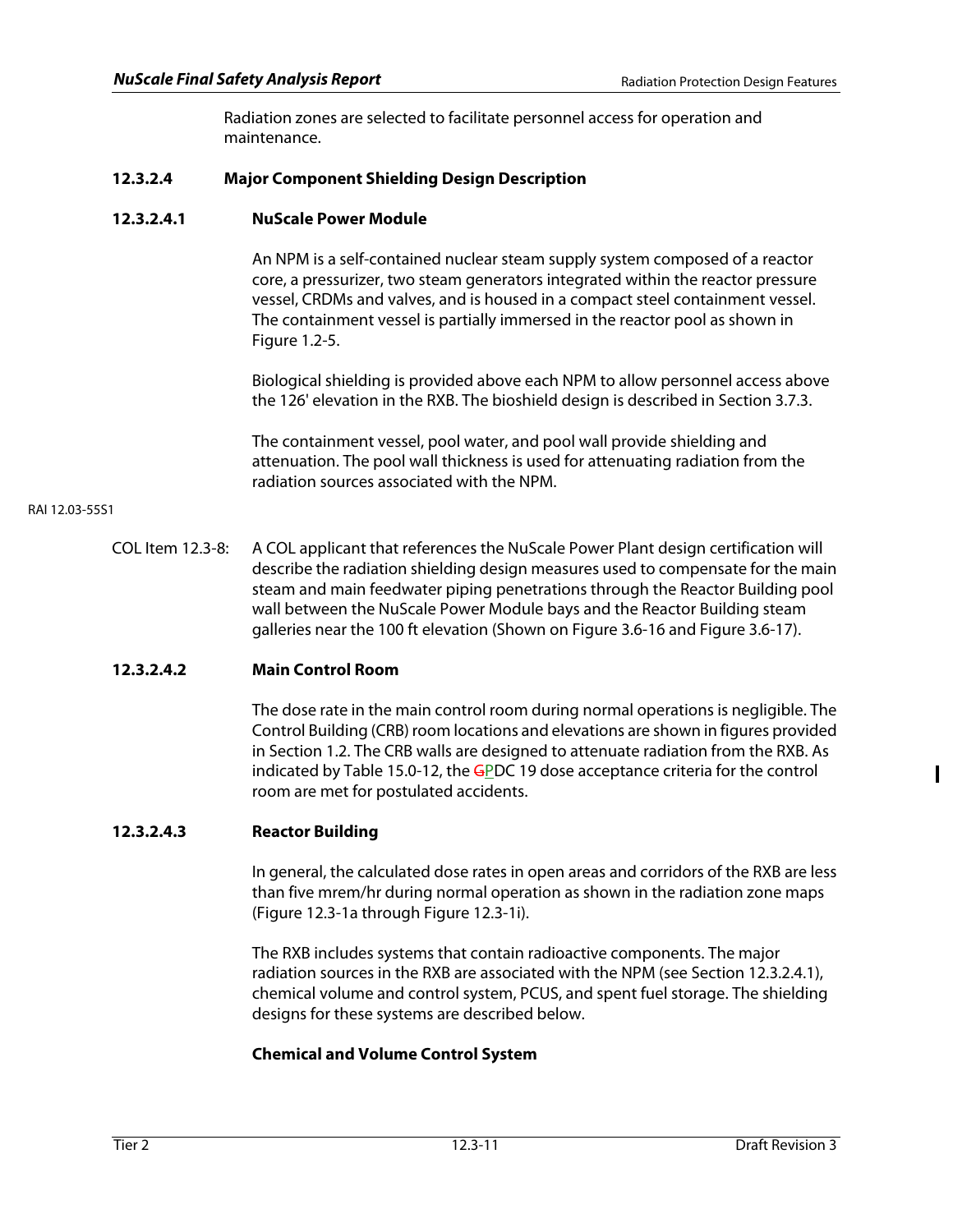Radiation zones are selected to facilitate personnel access for operation and maintenance.

# **12.3.2.4 Major Component Shielding Design Description**

## **12.3.2.4.1 NuScale Power Module**

An NPM is a self-contained nuclear steam supply system composed of a reactor core, a pressurizer, two steam generators integrated within the reactor pressure vessel, CRDMs and valves, and is housed in a compact steel containment vessel. The containment vessel is partially immersed in the reactor pool as shown in Figure 1.2-5.

Biological shielding is provided above each NPM to allow personnel access above the 126' elevation in the RXB. The bioshield design is described in Section 3.7.3.

The containment vessel, pool water, and pool wall provide shielding and attenuation. The pool wall thickness is used for attenuating radiation from the radiation sources associated with the NPM.

### RAI 12.03-55S1

COL Item 12.3-8: A COL applicant that references the NuScale Power Plant design certification will describe the radiation shielding design measures used to compensate for the main steam and main feedwater piping penetrations through the Reactor Building pool wall between the NuScale Power Module bays and the Reactor Building steam galleries near the 100 ft elevation (Shown on Figure 3.6-16 and Figure 3.6-17).

## **12.3.2.4.2 Main Control Room**

The dose rate in the main control room during normal operations is negligible. The Control Building (CRB) room locations and elevations are shown in figures provided in Section 1.2. The CRB walls are designed to attenuate radiation from the RXB. As indicated by Table 15.0-12, the  $GPC$  19 dose acceptance criteria for the control room are met for postulated accidents.

# **12.3.2.4.3 Reactor Building**

In general, the calculated dose rates in open areas and corridors of the RXB are less than five mrem/hr during normal operation as shown in the radiation zone maps (Figure 12.3-1a through Figure 12.3-1i).

The RXB includes systems that contain radioactive components. The major radiation sources in the RXB are associated with the NPM (see Section 12.3.2.4.1), chemical volume and control system, PCUS, and spent fuel storage. The shielding designs for these systems are described below.

## **Chemical and Volume Control System**

 $\mathbf I$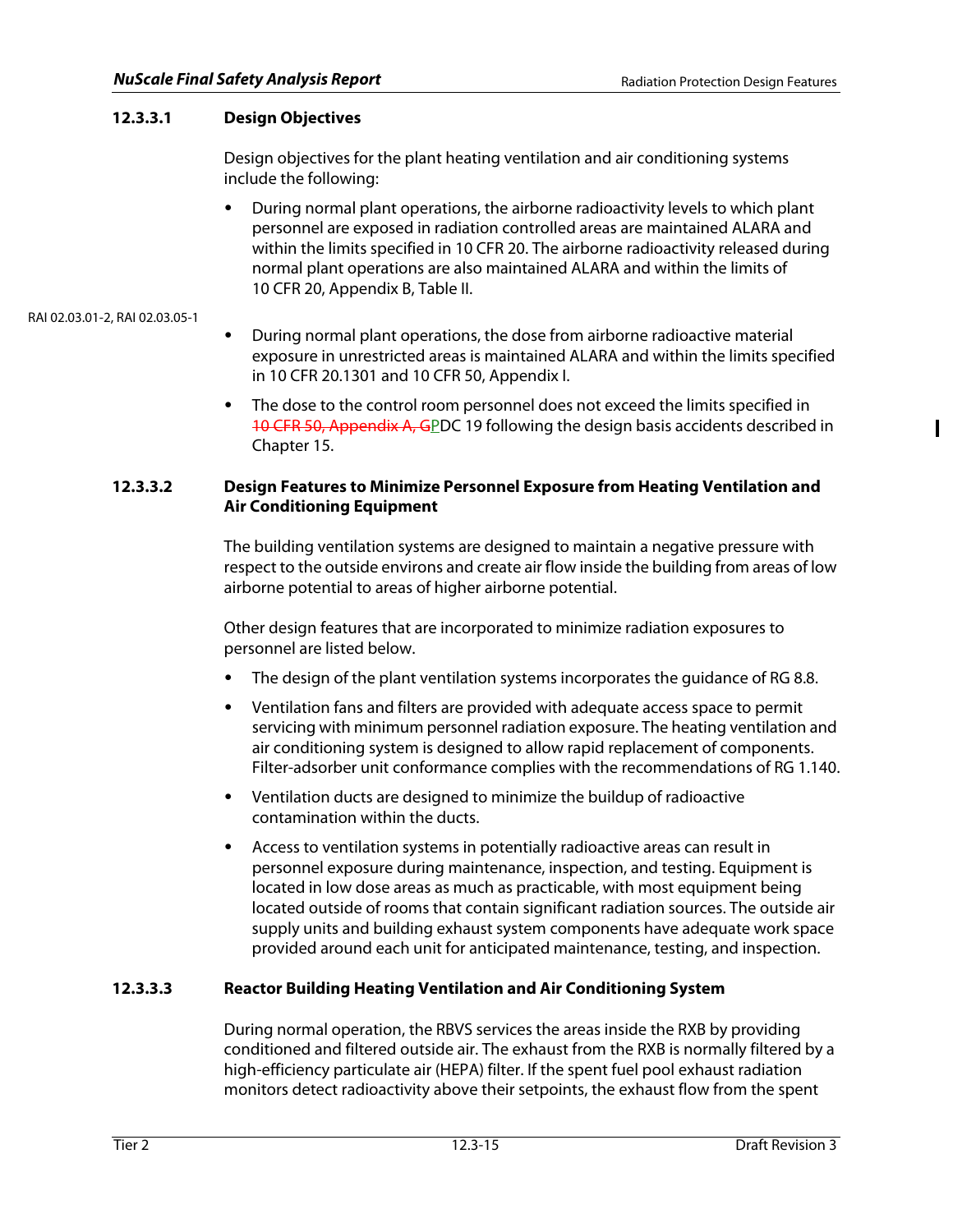$\blacksquare$ 

# **12.3.3.1 Design Objectives**

Design objectives for the plant heating ventilation and air conditioning systems include the following:

• During normal plant operations, the airborne radioactivity levels to which plant personnel are exposed in radiation controlled areas are maintained ALARA and within the limits specified in 10 CFR 20. The airborne radioactivity released during normal plant operations are also maintained ALARA and within the limits of 10 CFR 20, Appendix B, Table II.

## RAI 02.03.01-2, RAI 02.03.05-1

- During normal plant operations, the dose from airborne radioactive material exposure in unrestricted areas is maintained ALARA and within the limits specified in 10 CFR 20.1301 and 10 CFR 50, Appendix I.
- The dose to the control room personnel does not exceed the limits specified in 10 CFR 50, Appendix A, GPDC 19 following the design basis accidents described in Chapter 15.

## **12.3.3.2 Design Features to Minimize Personnel Exposure from Heating Ventilation and Air Conditioning Equipment**

The building ventilation systems are designed to maintain a negative pressure with respect to the outside environs and create air flow inside the building from areas of low airborne potential to areas of higher airborne potential.

Other design features that are incorporated to minimize radiation exposures to personnel are listed below.

- The design of the plant ventilation systems incorporates the guidance of RG 8.8.
- Ventilation fans and filters are provided with adequate access space to permit servicing with minimum personnel radiation exposure. The heating ventilation and air conditioning system is designed to allow rapid replacement of components. Filter-adsorber unit conformance complies with the recommendations of RG 1.140.
- Ventilation ducts are designed to minimize the buildup of radioactive contamination within the ducts.
- Access to ventilation systems in potentially radioactive areas can result in personnel exposure during maintenance, inspection, and testing. Equipment is located in low dose areas as much as practicable, with most equipment being located outside of rooms that contain significant radiation sources. The outside air supply units and building exhaust system components have adequate work space provided around each unit for anticipated maintenance, testing, and inspection.

# **12.3.3.3 Reactor Building Heating Ventilation and Air Conditioning System**

During normal operation, the RBVS services the areas inside the RXB by providing conditioned and filtered outside air. The exhaust from the RXB is normally filtered by a high-efficiency particulate air (HEPA) filter. If the spent fuel pool exhaust radiation monitors detect radioactivity above their setpoints, the exhaust flow from the spent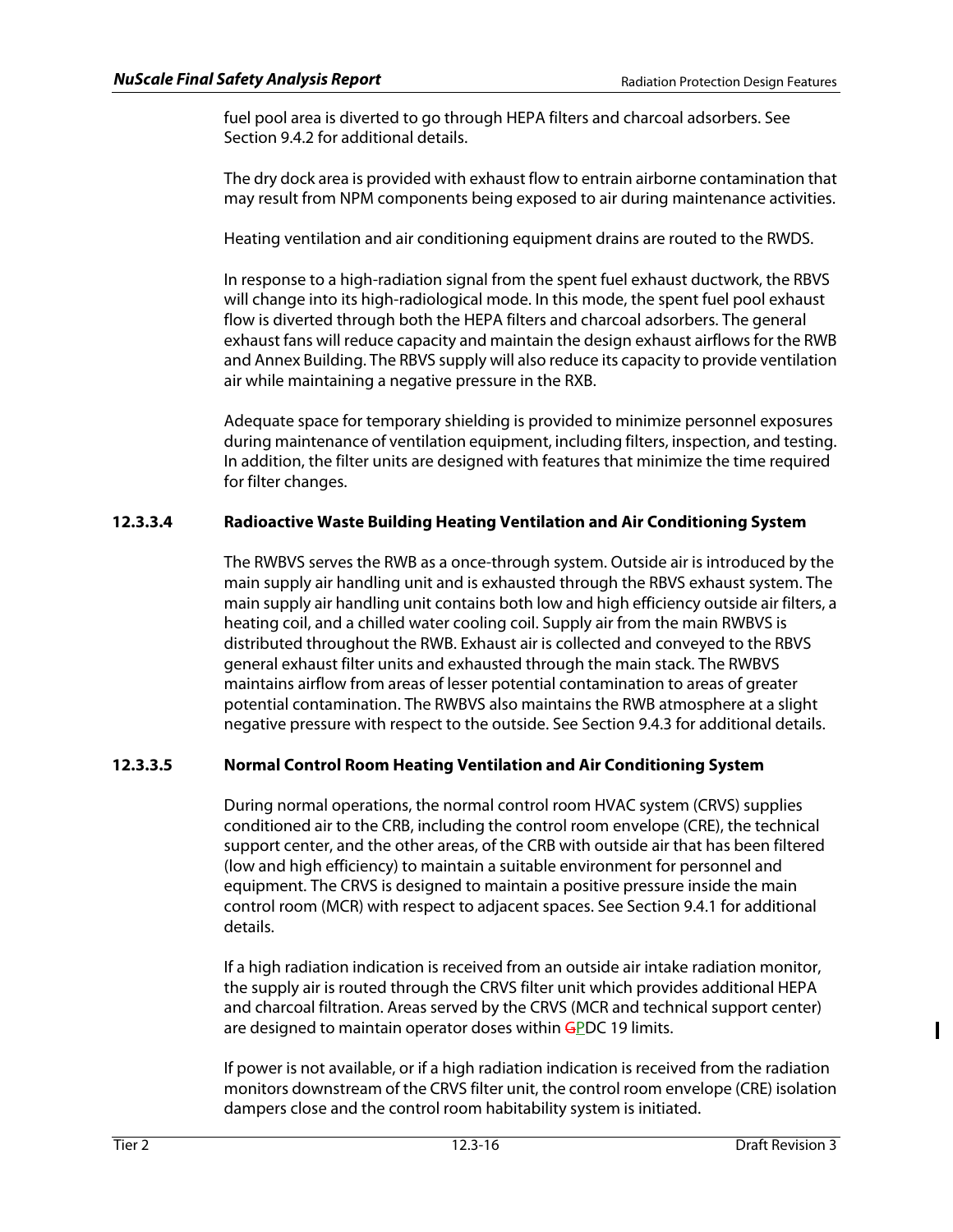fuel pool area is diverted to go through HEPA filters and charcoal adsorbers. See Section 9.4.2 for additional details.

The dry dock area is provided with exhaust flow to entrain airborne contamination that may result from NPM components being exposed to air during maintenance activities.

Heating ventilation and air conditioning equipment drains are routed to the RWDS.

In response to a high-radiation signal from the spent fuel exhaust ductwork, the RBVS will change into its high-radiological mode. In this mode, the spent fuel pool exhaust flow is diverted through both the HEPA filters and charcoal adsorbers. The general exhaust fans will reduce capacity and maintain the design exhaust airflows for the RWB and Annex Building. The RBVS supply will also reduce its capacity to provide ventilation air while maintaining a negative pressure in the RXB.

Adequate space for temporary shielding is provided to minimize personnel exposures during maintenance of ventilation equipment, including filters, inspection, and testing. In addition, the filter units are designed with features that minimize the time required for filter changes.

# **12.3.3.4 Radioactive Waste Building Heating Ventilation and Air Conditioning System**

The RWBVS serves the RWB as a once-through system. Outside air is introduced by the main supply air handling unit and is exhausted through the RBVS exhaust system. The main supply air handling unit contains both low and high efficiency outside air filters, a heating coil, and a chilled water cooling coil. Supply air from the main RWBVS is distributed throughout the RWB. Exhaust air is collected and conveyed to the RBVS general exhaust filter units and exhausted through the main stack. The RWBVS maintains airflow from areas of lesser potential contamination to areas of greater potential contamination. The RWBVS also maintains the RWB atmosphere at a slight negative pressure with respect to the outside. See Section 9.4.3 for additional details.

# **12.3.3.5 Normal Control Room Heating Ventilation and Air Conditioning System**

During normal operations, the normal control room HVAC system (CRVS) supplies conditioned air to the CRB, including the control room envelope (CRE), the technical support center, and the other areas, of the CRB with outside air that has been filtered (low and high efficiency) to maintain a suitable environment for personnel and equipment. The CRVS is designed to maintain a positive pressure inside the main control room (MCR) with respect to adjacent spaces. See Section 9.4.1 for additional details.

If a high radiation indication is received from an outside air intake radiation monitor, the supply air is routed through the CRVS filter unit which provides additional HEPA and charcoal filtration. Areas served by the CRVS (MCR and technical support center) are designed to maintain operator doses within GPDC 19 limits.

If power is not available, or if a high radiation indication is received from the radiation monitors downstream of the CRVS filter unit, the control room envelope (CRE) isolation dampers close and the control room habitability system is initiated.

Ι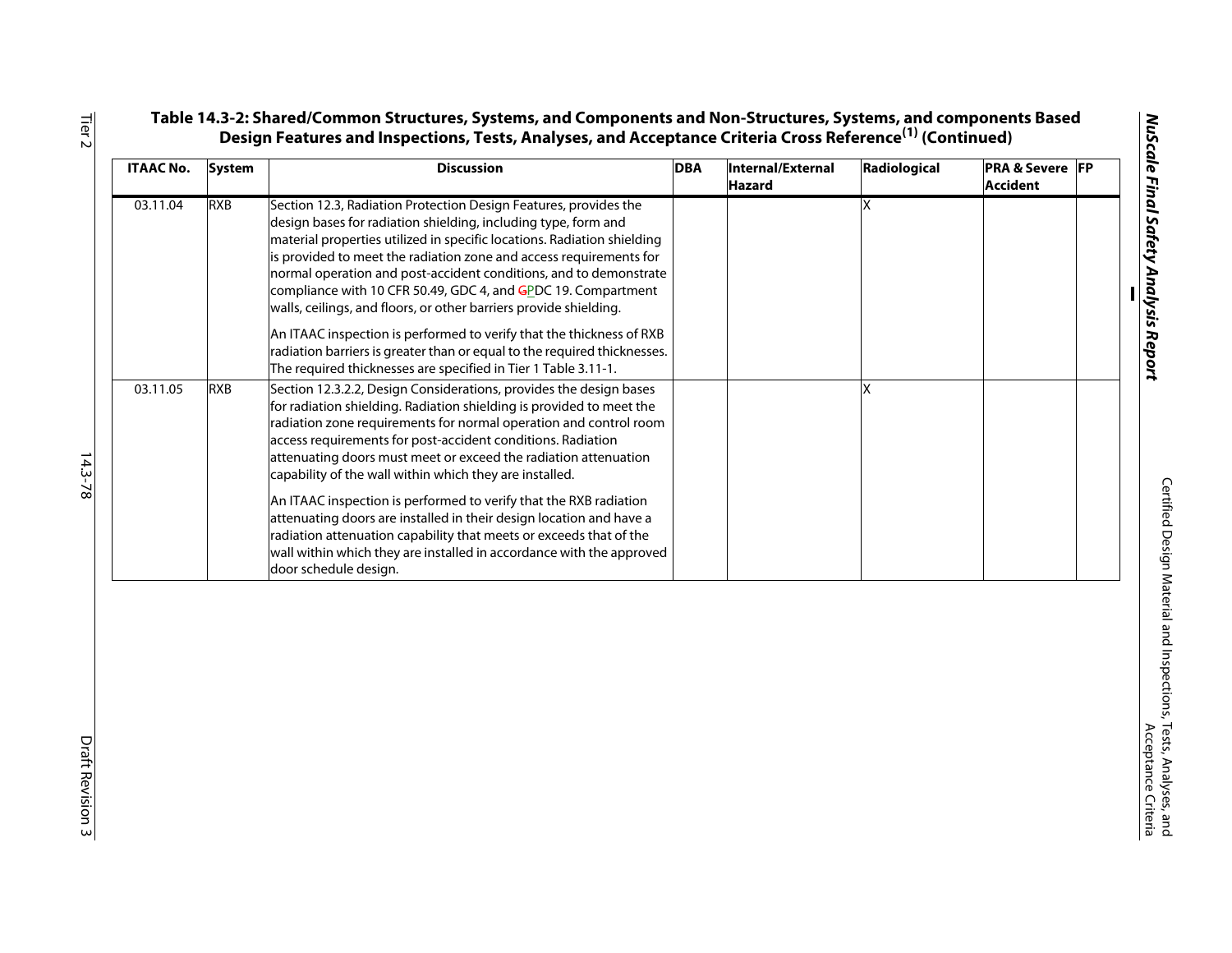| <b>ITAAC No.</b> | <b>System</b> | <b>Discussion</b>                                                                                                                                                                                                                                                                                                                                                                                                                                                                                                                                                                                                                                                                                      | <b>DBA</b> | Internal/External<br><b>Hazard</b> | Radiological | <b>PRA &amp; Severe FP</b><br><b>Accident</b> |  |
|------------------|---------------|--------------------------------------------------------------------------------------------------------------------------------------------------------------------------------------------------------------------------------------------------------------------------------------------------------------------------------------------------------------------------------------------------------------------------------------------------------------------------------------------------------------------------------------------------------------------------------------------------------------------------------------------------------------------------------------------------------|------------|------------------------------------|--------------|-----------------------------------------------|--|
| 03.11.04         | RXB           | Section 12.3, Radiation Protection Design Features, provides the<br>design bases for radiation shielding, including type, form and<br>material properties utilized in specific locations. Radiation shielding<br>is provided to meet the radiation zone and access requirements for<br>normal operation and post-accident conditions, and to demonstrate<br>compliance with 10 CFR 50.49, GDC 4, and GPDC 19. Compartment<br>walls, ceilings, and floors, or other barriers provide shielding.                                                                                                                                                                                                         |            |                                    | x            |                                               |  |
|                  |               | An ITAAC inspection is performed to verify that the thickness of RXB<br>radiation barriers is greater than or equal to the required thicknesses.<br>The required thicknesses are specified in Tier 1 Table 3.11-1.                                                                                                                                                                                                                                                                                                                                                                                                                                                                                     |            |                                    |              |                                               |  |
| 03.11.05         | <b>RXB</b>    | Section 12.3.2.2, Design Considerations, provides the design bases<br>for radiation shielding. Radiation shielding is provided to meet the<br>radiation zone requirements for normal operation and control room<br>access requirements for post-accident conditions. Radiation<br>attenuating doors must meet or exceed the radiation attenuation<br>capability of the wall within which they are installed.<br>An ITAAC inspection is performed to verify that the RXB radiation<br>attenuating doors are installed in their design location and have a<br>radiation attenuation capability that meets or exceeds that of the<br>wall within which they are installed in accordance with the approved |            |                                    | X            |                                               |  |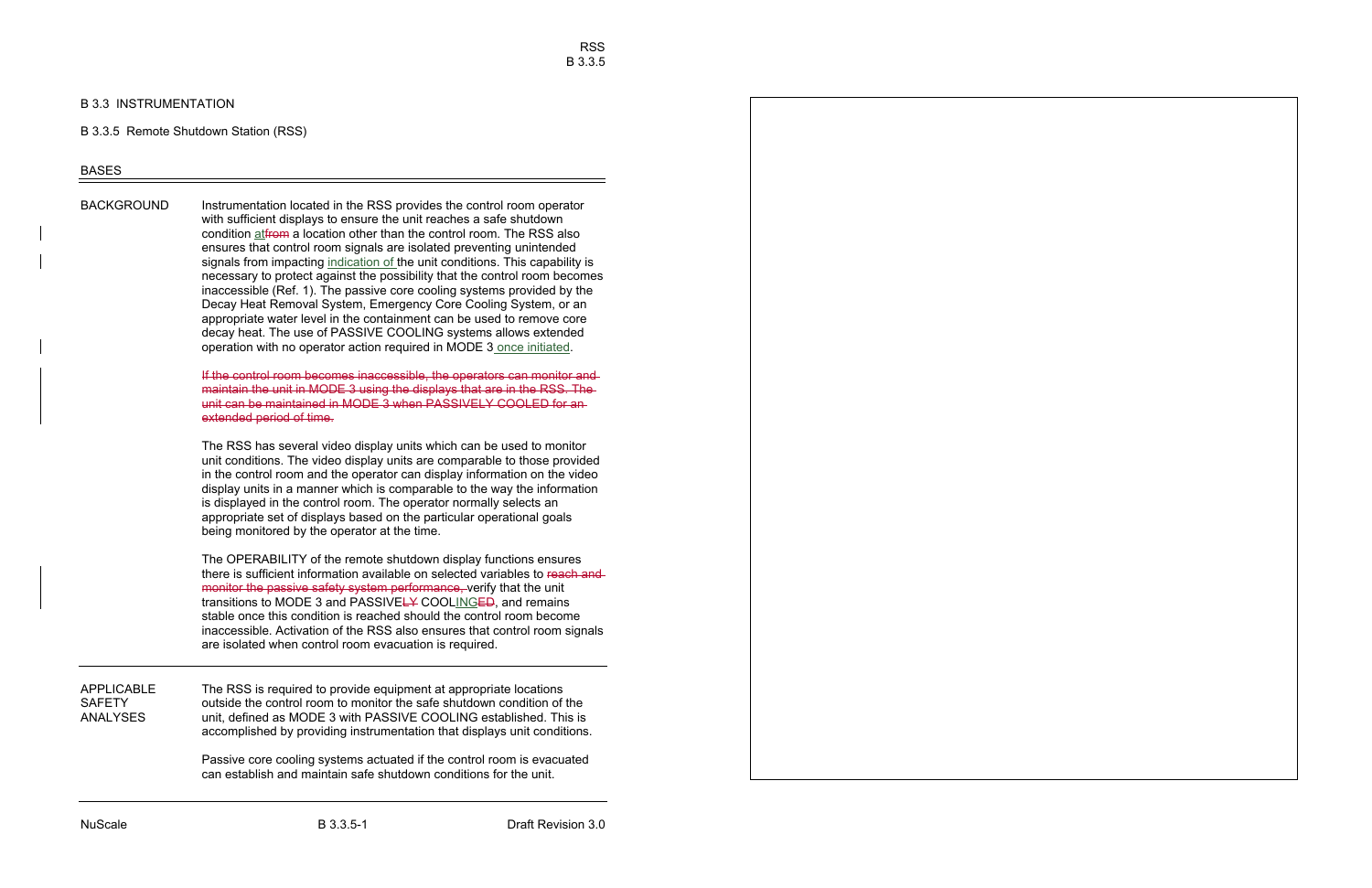# B 3.3 INSTRUMENTATION

# B 3.3.5 Remote Shutdown Station (RSS)

# BASES

BACKGROUND lnstrumentation located in the RSS provides the control room operator with sufficient displays to ensure the unit reaches a safe shutdown condition at<del>from</del> a location other than the control room. The RSS also ensures that control room signals are isolated preventing unintended signals from impacting indication of the unit conditions. This capability is necessary to protect against the possibility that the control room becomes inaccessible (Ref. 1). The passive core cooling systems provided by the Decay Heat Removal System, Emergency Core Cooling System, or an appropriate water level in the containment can be used to remove core decay heat. The use of PASSIVE COOLING systems allows extended operation with no operator action required in MODE 3 once initiated.

> If the control room becomes inaccessible, the operators can monitor and maintain the unit in MODE 3 using the displays that are in the RSS. The unit can be maintained in MODE 3 when PASSIVELY COOLED for an extended period of time.

> The RSS has several video display units which can be used to monitor unit conditions. The video display units are comparable to those provided in the control room and the operator can display information on the video display units in a manner which is comparable to the way the information is displayed in the control room. The operator normally selects an appropriate set of displays based on the particular operational goals being monitored by the operator at the time.

> The OPERABILITY of the remote shutdown display functions ensures there is sufficient information available on selected variables to reach and monitor the passive safety system performance, verify that the unit transitions to MODE 3 and PASSIVELY COOLINGED, and remains stable once this condition is reached should the control room become inaccessible. Activation of the RSS also ensures that control room signals are isolated when control room evacuation is required.

APPLICABLE The RSS is required to provide equipment at appropriate locations SAFETY outside the control room to monitor the safe shutdown condition of the ANALYSES unit, defined as MODE 3 with PASSIVE COOLING established. This is accomplished by providing instrumentation that displays unit conditions.

> Passive core cooling systems actuated if the control room is evacuated can establish and maintain safe shutdown conditions for the unit.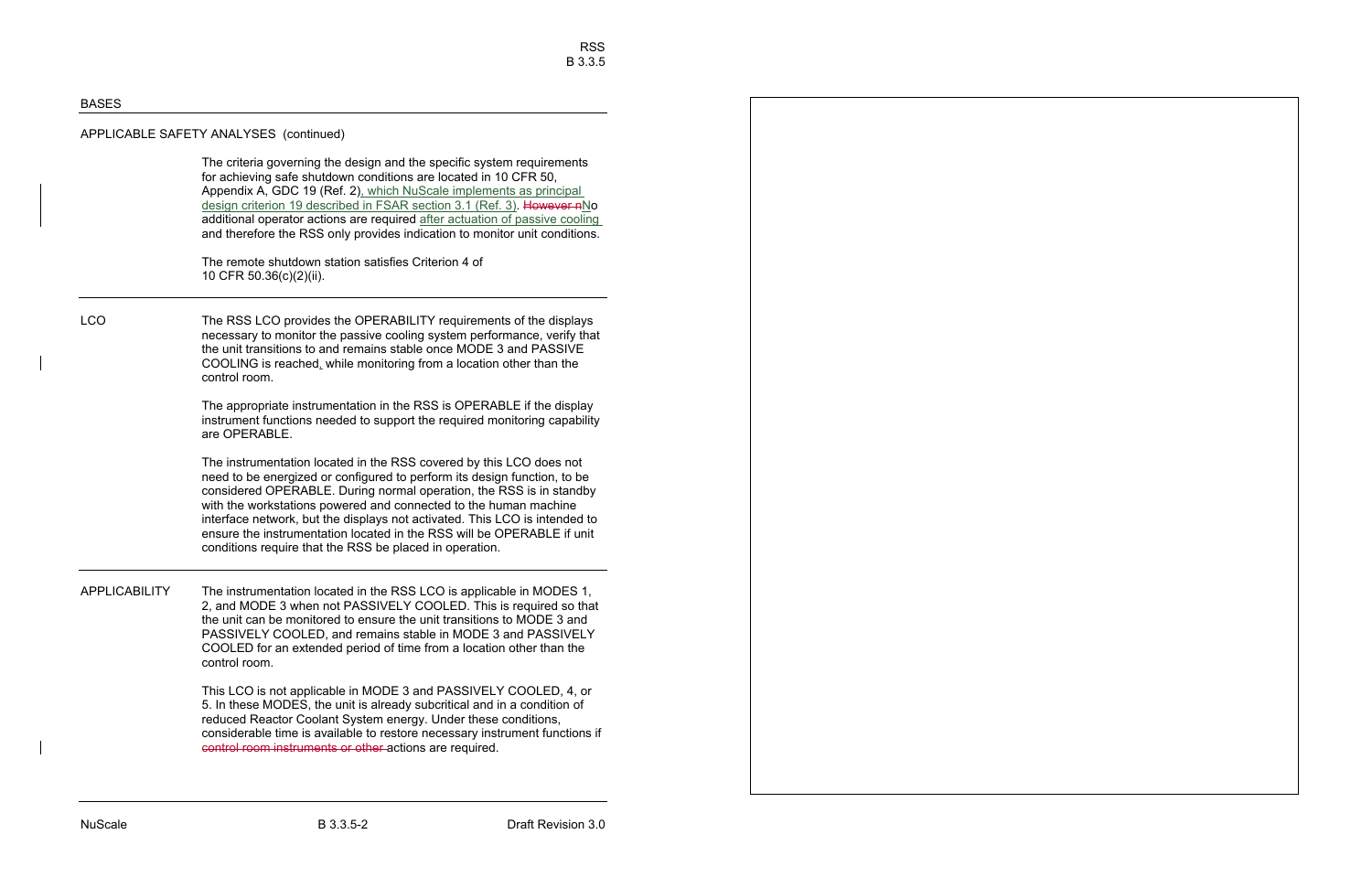The criteria governing the design and the specific system requirements for achieving safe shutdown conditions are located in 10 CFR 50, Appendix A, GDC 19 (Ref. 2), which NuScale implements as principal design criterion 19 described in FSAR section 3.1 (Ref. 3). However nNo additional operator actions are required after actuation of passive cooling and therefore the RSS only provides indication to monitor unit conditions.

The remote shutdown station satisfies Criterion 4 of 10 CFR 50.36(c)(2)(ii).

LCO The RSS LCO provides the OPERABILITY requirements of the displays necessary to monitor the passive cooling system performance, verify that the unit transitions to and remains stable once MODE 3 and PASSIVE COOLING is reached, while monitoring from a location other than the control room.

> The appropriate instrumentation in the RSS is OPERABLE if the display instrument functions needed to support the required monitoring capability are OPERABLE.

> The instrumentation located in the RSS covered by this LCO does not need to be energized or configured to perform its design function, to be considered OPERABLE. During normal operation, the RSS is in standby with the workstations powered and connected to the human machine interface network, but the displays not activated. This LCO is intended to ensure the instrumentation located in the RSS will be OPERABLE if unit conditions require that the RSS be placed in operation.

APPLICABILITY The instrumentation located in the RSS LCO is applicable in MODES 1, 2, and MODE 3 when not PASSIVELY COOLED. This is required so that the unit can be monitored to ensure the unit transitions to MODE 3 and PASSIVELY COOLED, and remains stable in MODE 3 and PASSIVELY COOLED for an extended period of time from a location other than the control room.

> This LCO is not applicable in MODE 3 and PASSIVELY COOLED, 4, or 5. In these MODES, the unit is already subcritical and in a condition of reduced Reactor Coolant System energy. Under these conditions, considerable time is available to restore necessary instrument functions if control room instruments or other actions are required.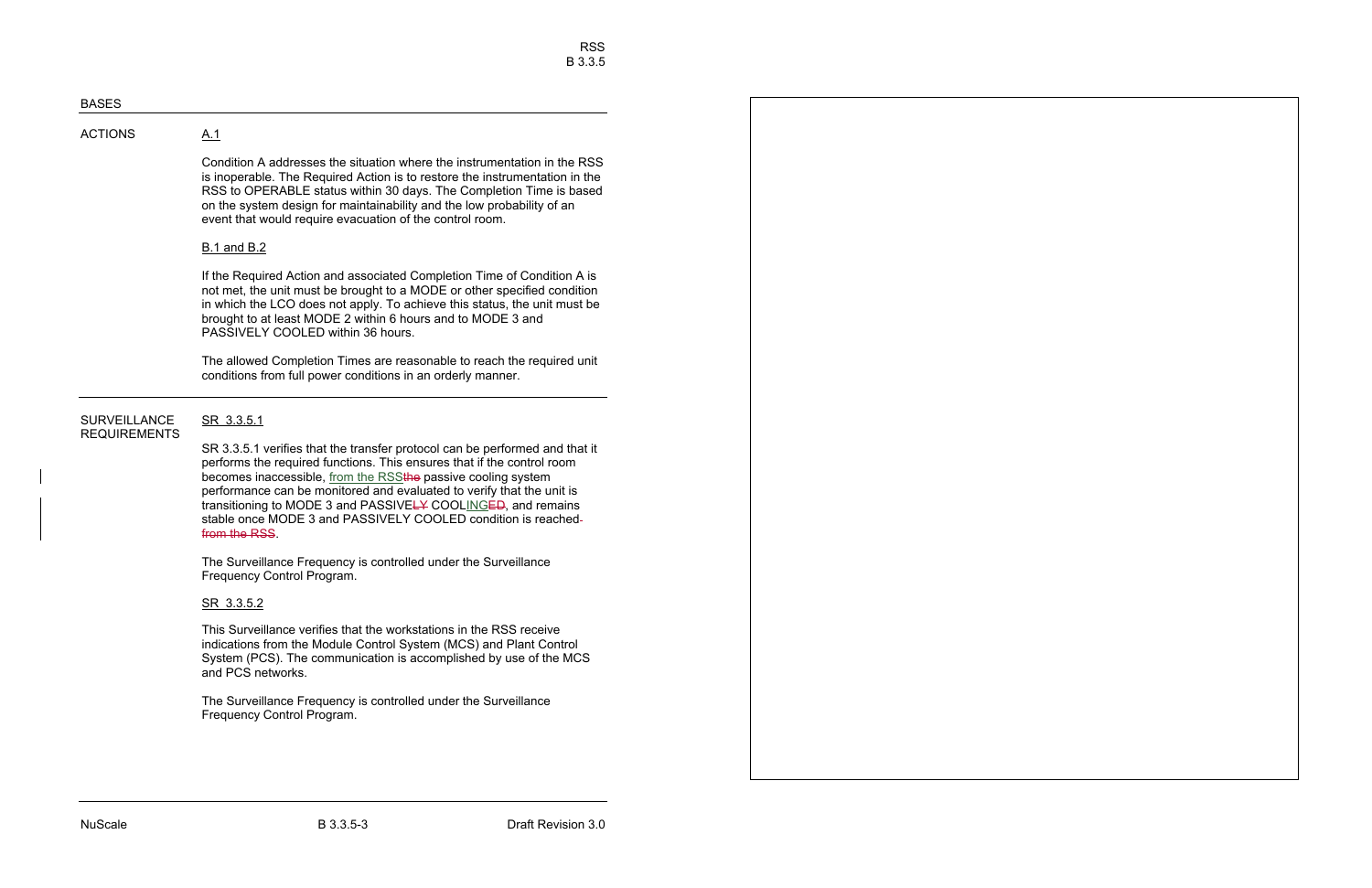# **ACTIONS**

Condition A addresses the situation where the instrumentation in the RSS is inoperable. The Required Action is to restore the instrumentation in the RSS to OPERABLE status within 30 days. The Completion Time is based on the system design for maintainability and the low probability of an event that would require evacuation of the control room.

# B.1 and B.2

 $A.1$ 

If the Required Action and associated Completion Time of Condition A is not met, the unit must be brought to a MODE or other specified condition in which the LCO does not apply. To achieve this status, the unit must be brought to at least MODE 2 within 6 hours and to MODE 3 and PASSIVELY COOLED within 36 hours.

The allowed Completion Times are reasonable to reach the required unit conditions from full power conditions in an orderly manner.

### **SURVEILLANCE** SR 3.3.5.1 REQUIREMENTS

SR 3.3.5.1 verifies that the transfer protocol can be performed and that it performs the required functions. This ensures that if the control room becomes inaccessible, from the RSSthe passive cooling system performance can be monitored and evaluated to verify that the unit is transitioning to MODE 3 and PASSIVELY COOLINGED, and remains stable once MODE 3 and PASSIVELY COOLED condition is reachedfrom the RSS.

The Surveillance Frequency is controlled under the Surveillance Frequency Control Program.

# SR 3.3.5.2

This Surveillance verifies that the workstations in the RSS receive indications from the Module Control System (MCS) and Plant Control System (PCS). The communication is accomplished by use of the MCS and PCS networks.

The Surveillance Frequency is controlled under the Surveillance Frequency Control Program.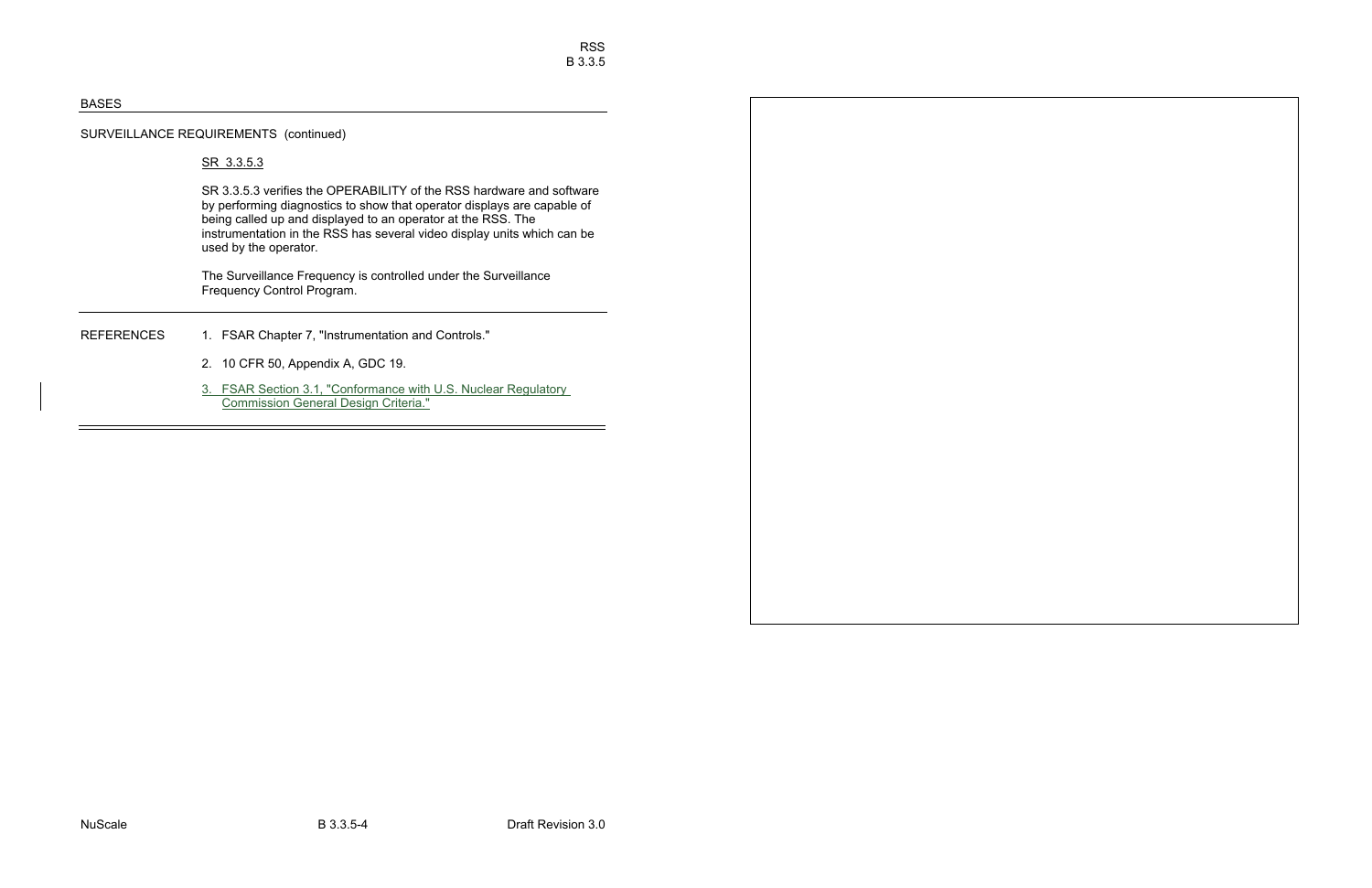# SURVEILLANCE REQUIREMENTS (continued)

# SR 3.3.5.3

SR 3.3.5.3 verifies the OPERABILITY of the RSS hardware and software by performing diagnostics to show that operator displays are capable of being called up and displayed to an operator at the RSS. The instrumentation in the RSS has several video display units which can be used by the operator.

The Surveillance Frequency is controlled under the Surveillance Frequency Control Program.

- REFERENCES 1. FSAR Chapter 7, "Instrumentation and Controls."
	- 2. 10 CFR 50, Appendix A, GDC 19.
	- 3. FSAR Section 3.1, "Conformance with U.S. Nuclear Regulatory Commission General Design Criteria."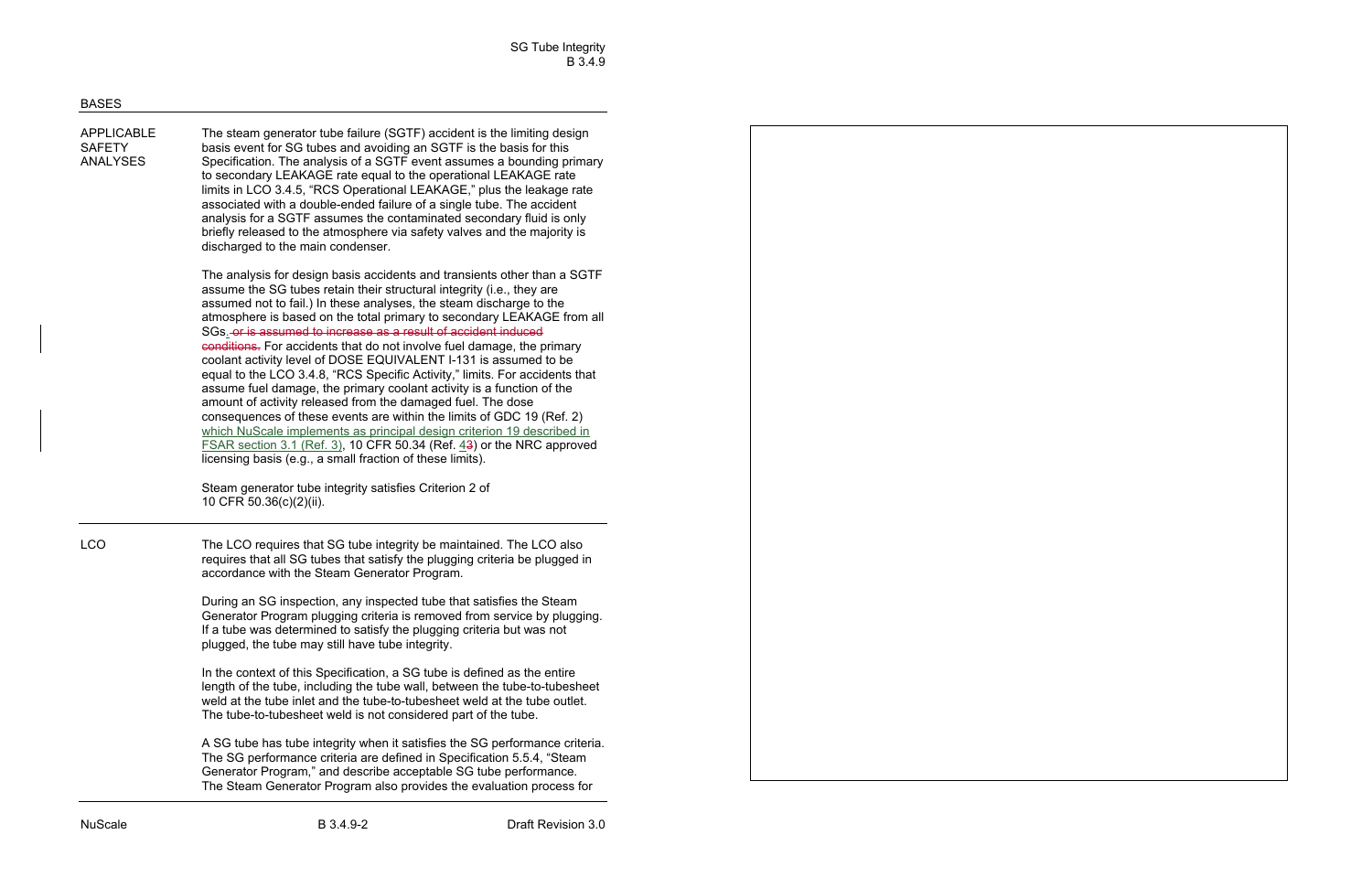| <b>APPLICABLE</b><br><b>SAFETY</b><br><b>ANALYSES</b> | The steam generator tube failure (SGTF) accident is the limiting design<br>basis event for SG tubes and avoiding an SGTF is the basis for this<br>Specification. The analysis of a SGTF event assumes a bounding primary<br>to secondary LEAKAGE rate equal to the operational LEAKAGE rate<br>limits in LCO 3.4.5, "RCS Operational LEAKAGE," plus the leakage rate<br>associated with a double-ended failure of a single tube. The accident<br>analysis for a SGTF assumes the contaminated secondary fluid is only<br>briefly released to the atmosphere via safety valves and the majority is<br>discharged to the main condenser.                                                                                                                                                                                                                                                                                                                                                                                                                                                                                                                    |
|-------------------------------------------------------|-----------------------------------------------------------------------------------------------------------------------------------------------------------------------------------------------------------------------------------------------------------------------------------------------------------------------------------------------------------------------------------------------------------------------------------------------------------------------------------------------------------------------------------------------------------------------------------------------------------------------------------------------------------------------------------------------------------------------------------------------------------------------------------------------------------------------------------------------------------------------------------------------------------------------------------------------------------------------------------------------------------------------------------------------------------------------------------------------------------------------------------------------------------|
|                                                       | The analysis for design basis accidents and transients other than a SGTF<br>assume the SG tubes retain their structural integrity (i.e., they are<br>assumed not to fail.) In these analyses, the steam discharge to the<br>atmosphere is based on the total primary to secondary LEAKAGE from all<br>SGs <sub>-</sub> -or is assumed to increase as a result of accident induced<br>conditions. For accidents that do not involve fuel damage, the primary<br>coolant activity level of DOSE EQUIVALENT I-131 is assumed to be<br>equal to the LCO 3.4.8, "RCS Specific Activity," limits. For accidents that<br>assume fuel damage, the primary coolant activity is a function of the<br>amount of activity released from the damaged fuel. The dose<br>consequences of these events are within the limits of GDC 19 (Ref. 2)<br>which NuScale implements as principal design criterion 19 described in<br><b>FSAR section 3.1 (Ref. 3), 10 CFR 50.34 (Ref. <math>43</math>) or the NRC approved</b><br>licensing basis (e.g., a small fraction of these limits).<br>Steam generator tube integrity satisfies Criterion 2 of<br>10 CFR 50.36(c)(2)(ii). |
| <b>LCO</b>                                            | The LCO requires that SG tube integrity be maintained. The LCO also<br>requires that all SG tubes that satisfy the plugging criteria be plugged in<br>accordance with the Steam Generator Program.                                                                                                                                                                                                                                                                                                                                                                                                                                                                                                                                                                                                                                                                                                                                                                                                                                                                                                                                                        |
|                                                       | During an SG inspection, any inspected tube that satisfies the Steam<br>Generator Program plugging criteria is removed from service by plugging.<br>If a tube was determined to satisfy the plugging criteria but was not<br>plugged, the tube may still have tube integrity.                                                                                                                                                                                                                                                                                                                                                                                                                                                                                                                                                                                                                                                                                                                                                                                                                                                                             |
|                                                       | In the context of this Specification, a SG tube is defined as the entire<br>length of the tube, including the tube wall, between the tube-to-tubesheet<br>weld at the tube inlet and the tube-to-tubesheet weld at the tube outlet.<br>The tube-to-tubesheet weld is not considered part of the tube.                                                                                                                                                                                                                                                                                                                                                                                                                                                                                                                                                                                                                                                                                                                                                                                                                                                     |
|                                                       | A SG tube has tube integrity when it satisfies the SG performance criteria.<br>The SG performance criteria are defined in Specification 5.5.4, "Steam<br>Generator Program," and describe acceptable SG tube performance.<br>The Steam Generator Program also provides the evaluation process for                                                                                                                                                                                                                                                                                                                                                                                                                                                                                                                                                                                                                                                                                                                                                                                                                                                         |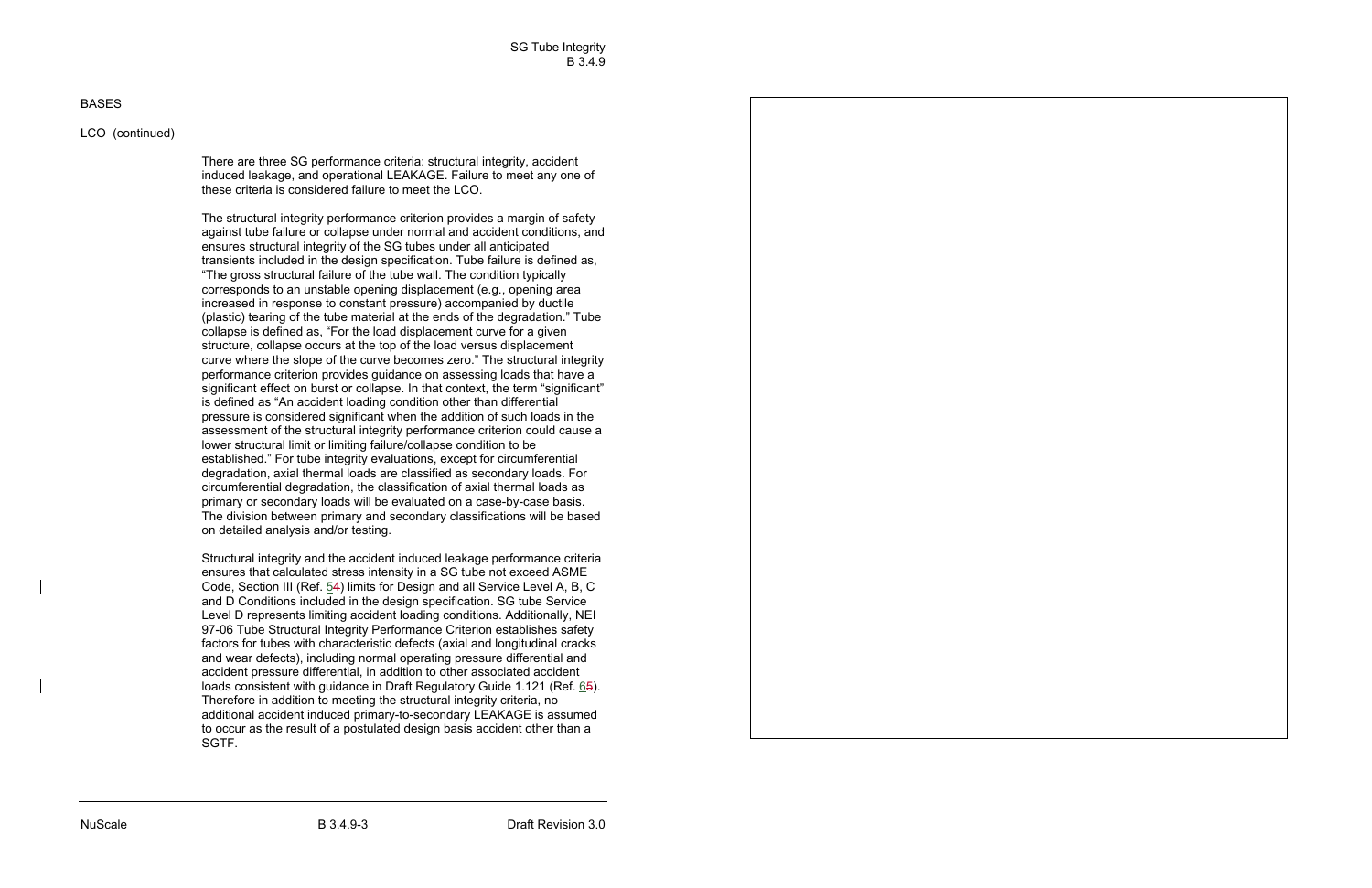# LCO (continued)

There are three SG performance criteria: structural integrity, accident induced leakage, and operational LEAKAGE. Failure to meet any one of these criteria is considered failure to meet the LCO.

The structural integrity performance criterion provides a margin of safety against tube failure or collapse under normal and accident conditions, and ensures structural integrity of the SG tubes under all anticipated transients included in the design specification. Tube failure is defined as, "The gross structural failure of the tube wall. The condition typically corresponds to an unstable opening displacement (e.g., opening area increased in response to constant pressure) accompanied by ductile (plastic) tearing of the tube material at the ends of the degradation." Tube collapse is defined as, "For the load displacement curve for a given structure, collapse occurs at the top of the load versus displacement curve where the slope of the curve becomes zero." The structural integrity performance criterion provides guidance on assessing loads that have a significant effect on burst or collapse. In that context, the term "significant" is defined as "An accident loading condition other than differential pressure is considered significant when the addition of such loads in the assessment of the structural integrity performance criterion could cause a lower structural limit or limiting failure/collapse condition to be established." For tube integrity evaluations, except for circumferential degradation, axial thermal loads are classified as secondary loads. For circumferential degradation, the classification of axial thermal loads as primary or secondary loads will be evaluated on a case-by-case basis. The division between primary and secondary classifications will be based on detailed analysis and/or testing.

Structural integrity and the accident induced leakage performance criteria ensures that calculated stress intensity in a SG tube not exceed ASME Code, Section III (Ref. 54) limits for Design and all Service Level A, B, C and D Conditions included in the design specification. SG tube Service Level D represents limiting accident loading conditions. Additionally, NEI 97-06 Tube Structural Integrity Performance Criterion establishes safety factors for tubes with characteristic defects (axial and longitudinal cracks and wear defects), including normal operating pressure differential and accident pressure differential, in addition to other associated accident loads consistent with guidance in Draft Regulatory Guide 1.121 (Ref. 65). Therefore in addition to meeting the structural integrity criteria, no additional accident induced primary-to-secondary LEAKAGE is assumed to occur as the result of a postulated design basis accident other than a SGTF.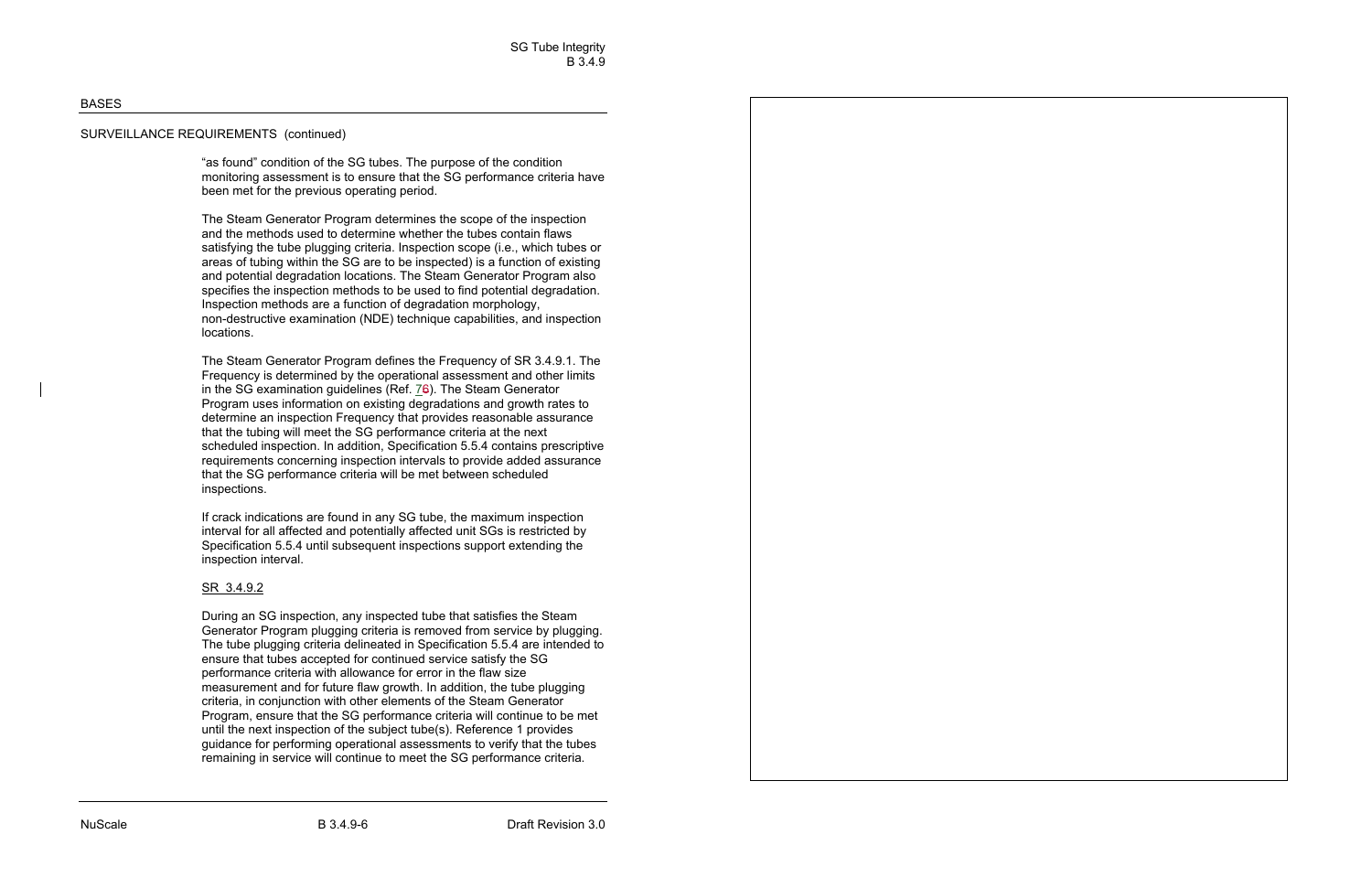# SURVEILLANCE REQUIREMENTS (continued)

"as found" condition of the SG tubes. The purpose of the condition monitoring assessment is to ensure that the SG performance criteria have been met for the previous operating period.

The Steam Generator Program determines the scope of the inspection and the methods used to determine whether the tubes contain flaws satisfying the tube plugging criteria. Inspection scope (i.e., which tubes or areas of tubing within the SG are to be inspected) is a function of existing and potential degradation locations. The Steam Generator Program also specifies the inspection methods to be used to find potential degradation. Inspection methods are a function of degradation morphology, non-destructive examination (NDE) technique capabilities, and inspection locations.

The Steam Generator Program defines the Frequency of SR 3.4.9.1. The Frequency is determined by the operational assessment and other limits in the SG examination guidelines (Ref. 76). The Steam Generator Program uses information on existing degradations and growth rates to determine an inspection Frequency that provides reasonable assurance that the tubing will meet the SG performance criteria at the next scheduled inspection. In addition, Specification 5.5.4 contains prescriptive requirements concerning inspection intervals to provide added assurance that the SG performance criteria will be met between scheduled inspections.

If crack indications are found in any SG tube, the maximum inspection interval for all affected and potentially affected unit SGs is restricted by Specification 5.5.4 until subsequent inspections support extending the inspection interval.

# <u>SR 3.4.9.2</u>

During an SG inspection, any inspected tube that satisfies the Steam Generator Program plugging criteria is removed from service by plugging. The tube plugging criteria delineated in Specification 5.5.4 are intended to ensure that tubes accepted for continued service satisfy the SG performance criteria with allowance for error in the flaw size measurement and for future flaw growth. In addition, the tube plugging criteria, in conjunction with other elements of the Steam Generator Program, ensure that the SG performance criteria will continue to be met until the next inspection of the subject tube(s). Reference 1 provides guidance for performing operational assessments to verify that the tubes remaining in service will continue to meet the SG performance criteria.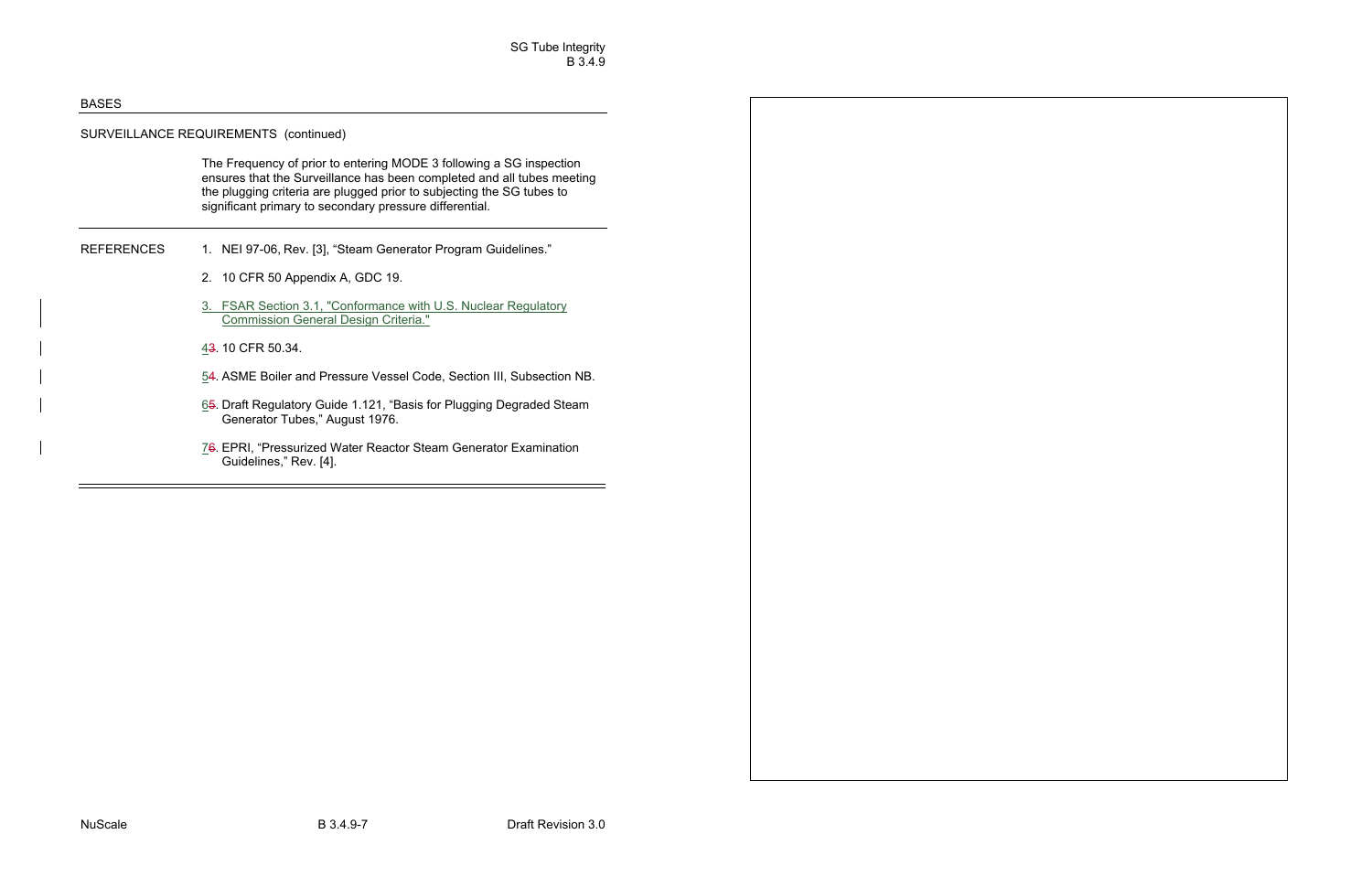# SURVEILLANCE REQUIREMENTS (continued)

The Frequency of prior to entering MODE 3 following a SG inspection ensures that the Surveillance has been completed and all tubes meeting the plugging criteria are plugged prior to subjecting the SG tubes to significant primary to secondary pressure differential.

- REFERENCES 1. NEI 97-06, Rev. [3], "Steam Generator Program Guidelines."
	- 2. 10 CFR 50 Appendix A, GDC 19.
	- 3. FSAR Section 3.1, "Conformance with U.S. Nuclear Regulatory Commission General Design Criteria."
	- 43. 10 CFR 50.34.
	- 54. ASME Boiler and Pressure Vessel Code, Section III, Subsection NB.
	- 65. Draft Regulatory Guide 1.121, "Basis for Plugging Degraded Steam Generator Tubes," August 1976.
	- 76. EPRI, "Pressurized Water Reactor Steam Generator Examination Guidelines," Rev. [4].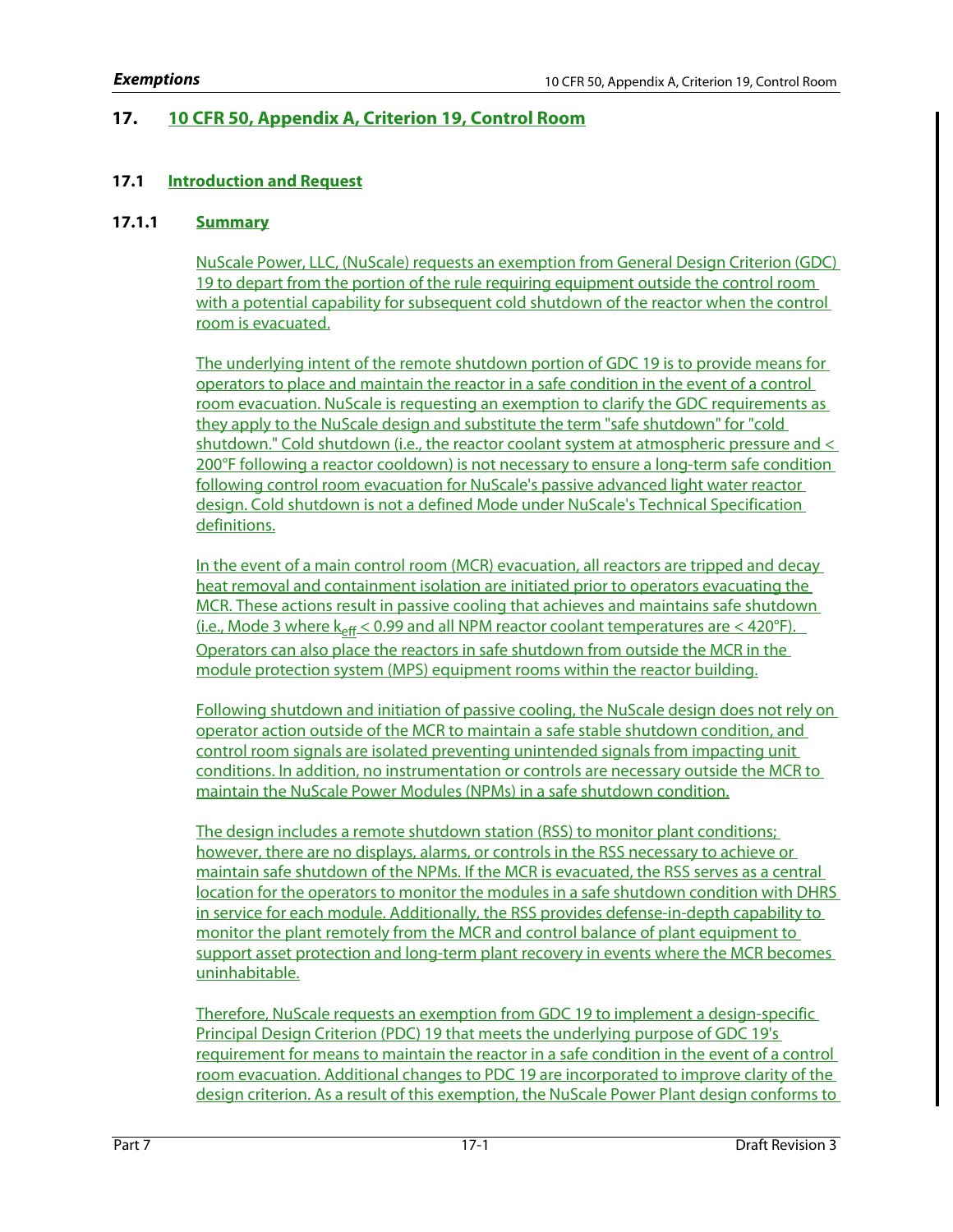# **17. 10 CFR 50, Appendix A, Criterion 19, Control Room**

# **17.1 Introduction and Request**

# **17.1.1 Summary**

NuScale Power, LLC, (NuScale) requests an exemption from General Design Criterion (GDC) 19 to depart from the portion of the rule requiring equipment outside the control room with a potential capability for subsequent cold shutdown of the reactor when the control room is evacuated.

The underlying intent of the remote shutdown portion of GDC 19 is to provide means for operators to place and maintain the reactor in a safe condition in the event of a control room evacuation. NuScale is requesting an exemption to clarify the GDC requirements as they apply to the NuScale design and substitute the term "safe shutdown" for "cold shutdown." Cold shutdown (i.e., the reactor coolant system at atmospheric pressure and < 200°F following a reactor cooldown) is not necessary to ensure a long-term safe condition following control room evacuation for NuScale's passive advanced light water reactor design. Cold shutdown is not a defined Mode under NuScale's Technical Specification definitions.

In the event of a main control room (MCR) evacuation, all reactors are tripped and decay heat removal and containment isolation are initiated prior to operators evacuating the MCR. These actions result in passive cooling that achieves and maintains safe shutdown (i.e., Mode 3 where  $k_{eff}$  < 0.99 and all NPM reactor coolant temperatures are < 420°F). Operators can also place the reactors in safe shutdown from outside the MCR in the module protection system (MPS) equipment rooms within the reactor building.

Following shutdown and initiation of passive cooling, the NuScale design does not rely on operator action outside of the MCR to maintain a safe stable shutdown condition, and control room signals are isolated preventing unintended signals from impacting unit conditions. In addition, no instrumentation or controls are necessary outside the MCR to maintain the NuScale Power Modules (NPMs) in a safe shutdown condition.

The design includes a remote shutdown station (RSS) to monitor plant conditions; however, there are no displays, alarms, or controls in the RSS necessary to achieve or maintain safe shutdown of the NPMs. If the MCR is evacuated, the RSS serves as a central location for the operators to monitor the modules in a safe shutdown condition with DHRS in service for each module. Additionally, the RSS provides defense-in-depth capability to monitor the plant remotely from the MCR and control balance of plant equipment to support asset protection and long-term plant recovery in events where the MCR becomes uninhabitable.

Therefore, NuScale requests an exemption from GDC 19 to implement a design-specific Principal Design Criterion (PDC) 19 that meets the underlying purpose of GDC 19's requirement for means to maintain the reactor in a safe condition in the event of a control room evacuation. Additional changes to PDC 19 are incorporated to improve clarity of the design criterion. As a result of this exemption, the NuScale Power Plant design conforms to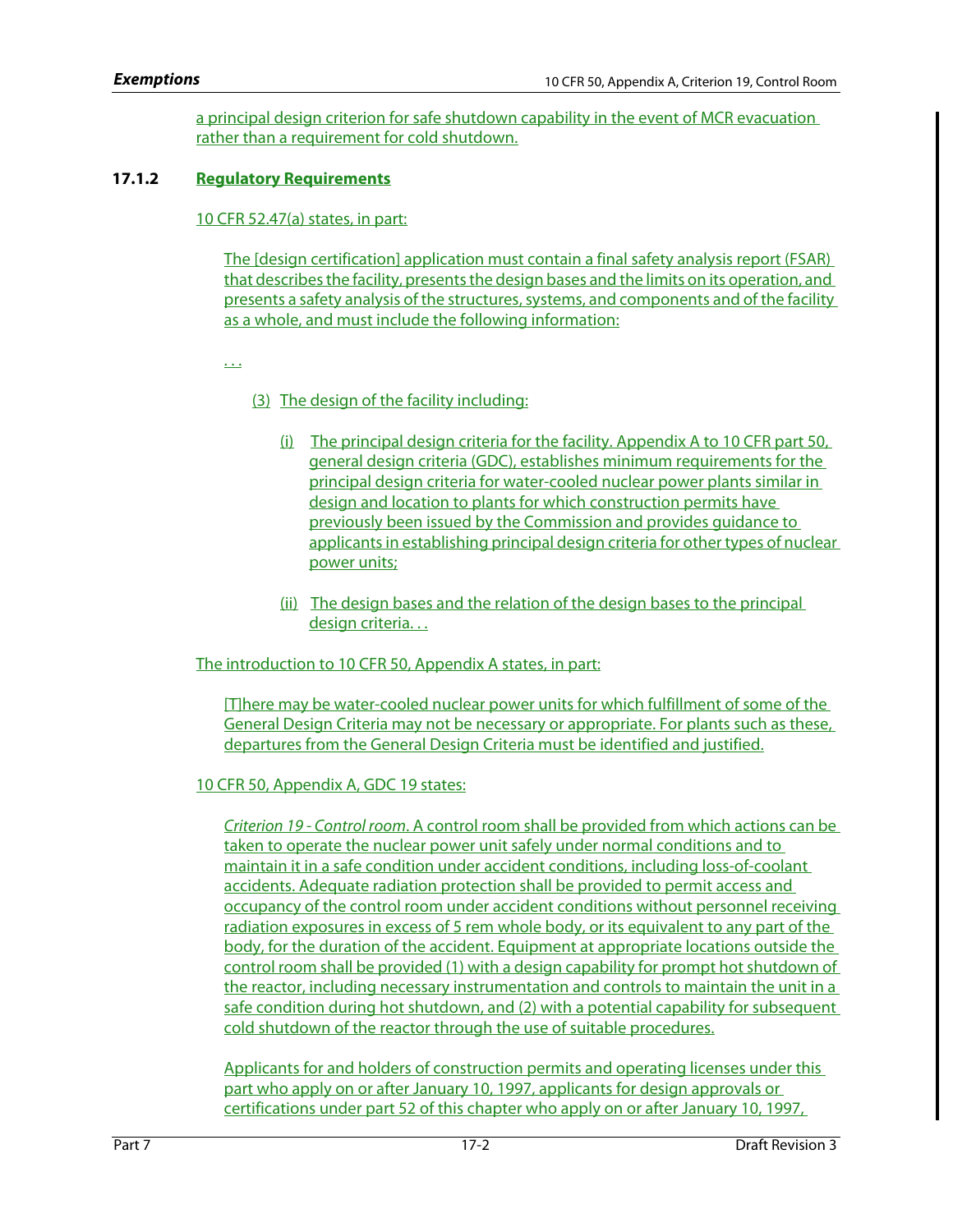a principal design criterion for safe shutdown capability in the event of MCR evacuation rather than a requirement for cold shutdown.

# **17.1.2 Regulatory Requirements**

# 10 CFR 52.47(a) states, in part:

The [design certification] application must contain a final safety analysis report (FSAR) that describes the facility, presents the design bases and the limits on its operation, and presents a safety analysis of the structures, systems, and components and of the facility as a whole, and must include the following information:

. . .

# (3) The design of the facility including:

- (i) The principal design criteria for the facility. Appendix A to 10 CFR part 50, general design criteria (GDC), establishes minimum requirements for the principal design criteria for water-cooled nuclear power plants similar in design and location to plants for which construction permits have previously been issued by the Commission and provides guidance to applicants in establishing principal design criteria for other types of nuclear power units;
- (ii) The design bases and the relation of the design bases to the principal design criteria. . .

The introduction to 10 CFR 50, Appendix A states, in part:

[T]here may be water-cooled nuclear power units for which fulfillment of some of the General Design Criteria may not be necessary or appropriate. For plants such as these, departures from the General Design Criteria must be identified and justified.

## 10 CFR 50, Appendix A, GDC 19 states:

Criterion 19 - Control room. A control room shall be provided from which actions can be taken to operate the nuclear power unit safely under normal conditions and to maintain it in a safe condition under accident conditions, including loss-of-coolant accidents. Adequate radiation protection shall be provided to permit access and occupancy of the control room under accident conditions without personnel receiving radiation exposures in excess of 5 rem whole body, or its equivalent to any part of the body, for the duration of the accident. Equipment at appropriate locations outside the control room shall be provided (1) with a design capability for prompt hot shutdown of the reactor, including necessary instrumentation and controls to maintain the unit in a safe condition during hot shutdown, and (2) with a potential capability for subsequent cold shutdown of the reactor through the use of suitable procedures.

Applicants for and holders of construction permits and operating licenses under this part who apply on or after January 10, 1997, applicants for design approvals or certifications under part 52 of this chapter who apply on or after January 10, 1997,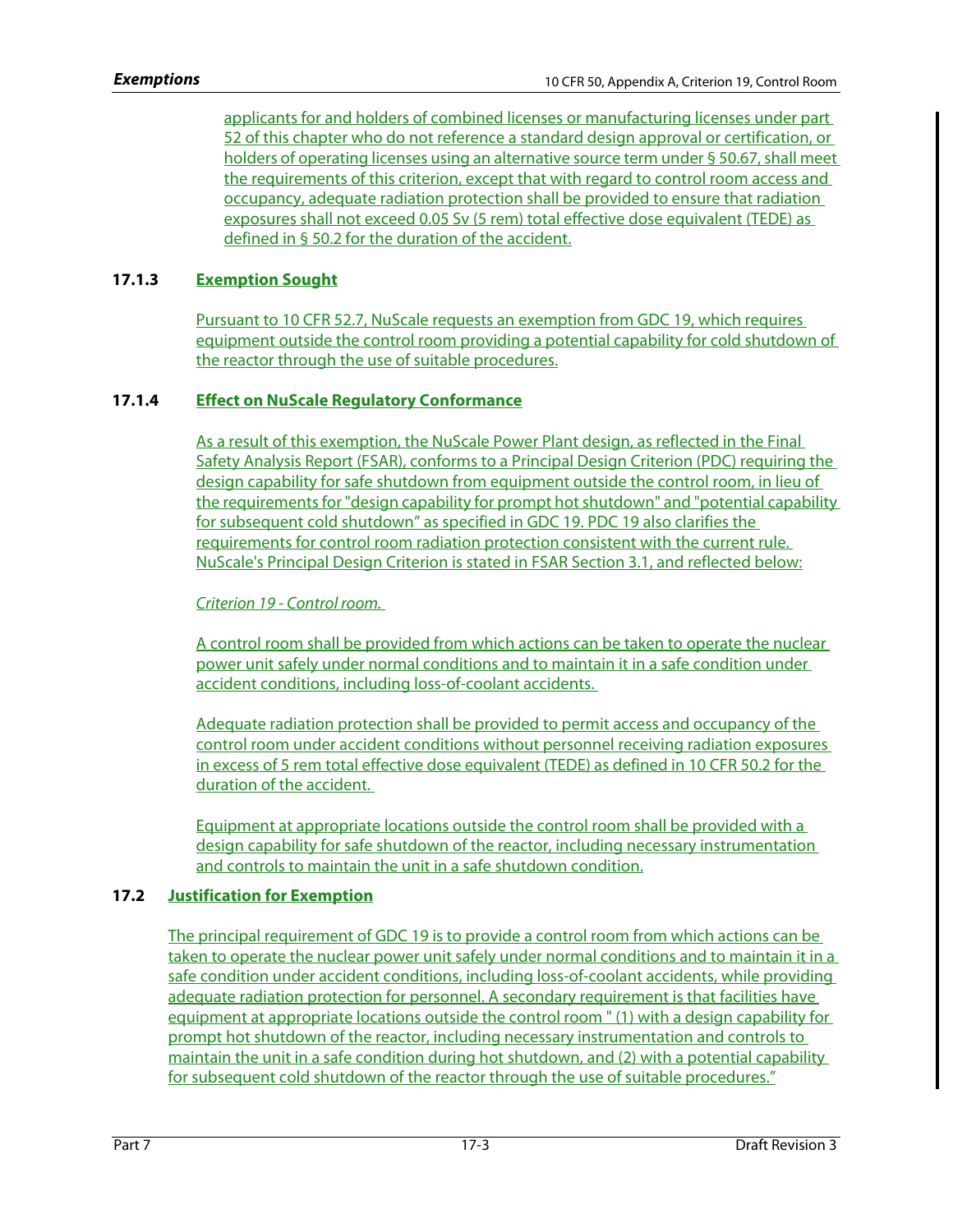applicants for and holders of combined licenses or manufacturing licenses under part 52 of this chapter who do not reference a standard design approval or certification, or holders of operating licenses using an alternative source term under § 50.67, shall meet the requirements of this criterion, except that with regard to control room access and occupancy, adequate radiation protection shall be provided to ensure that radiation exposures shall not exceed 0.05 Sv (5 rem) total effective dose equivalent (TEDE) as defined in § 50.2 for the duration of the accident.

# **17.1.3 Exemption Sought**

Pursuant to 10 CFR 52.7, NuScale requests an exemption from GDC 19, which requires equipment outside the control room providing a potential capability for cold shutdown of the reactor through the use of suitable procedures.

# **17.1.4 Effect on NuScale Regulatory Conformance**

As a result of this exemption, the NuScale Power Plant design, as reflected in the Final Safety Analysis Report (FSAR), conforms to a Principal Design Criterion (PDC) requiring the design capability for safe shutdown from equipment outside the control room, in lieu of the requirements for "design capability for prompt hot shutdown" and "potential capability for subsequent cold shutdown" as specified in GDC 19. PDC 19 also clarifies the requirements for control room radiation protection consistent with the current rule. NuScale's Principal Design Criterion is stated in FSAR Section 3.1, and reflected below:

Criterion 19 - Control room.

A control room shall be provided from which actions can be taken to operate the nuclear power unit safely under normal conditions and to maintain it in a safe condition under accident conditions, including loss-of-coolant accidents.

Adequate radiation protection shall be provided to permit access and occupancy of the control room under accident conditions without personnel receiving radiation exposures in excess of 5 rem total effective dose equivalent (TEDE) as defined in 10 CFR 50.2 for the duration of the accident.

Equipment at appropriate locations outside the control room shall be provided with a design capability for safe shutdown of the reactor, including necessary instrumentation and controls to maintain the unit in a safe shutdown condition.

# **17.2 Justification for Exemption**

The principal requirement of GDC 19 is to provide a control room from which actions can be taken to operate the nuclear power unit safely under normal conditions and to maintain it in a safe condition under accident conditions, including loss-of-coolant accidents, while providing adequate radiation protection for personnel. A secondary requirement is that facilities have equipment at appropriate locations outside the control room " (1) with a design capability for prompt hot shutdown of the reactor, including necessary instrumentation and controls to maintain the unit in a safe condition during hot shutdown, and (2) with a potential capability for subsequent cold shutdown of the reactor through the use of suitable procedures."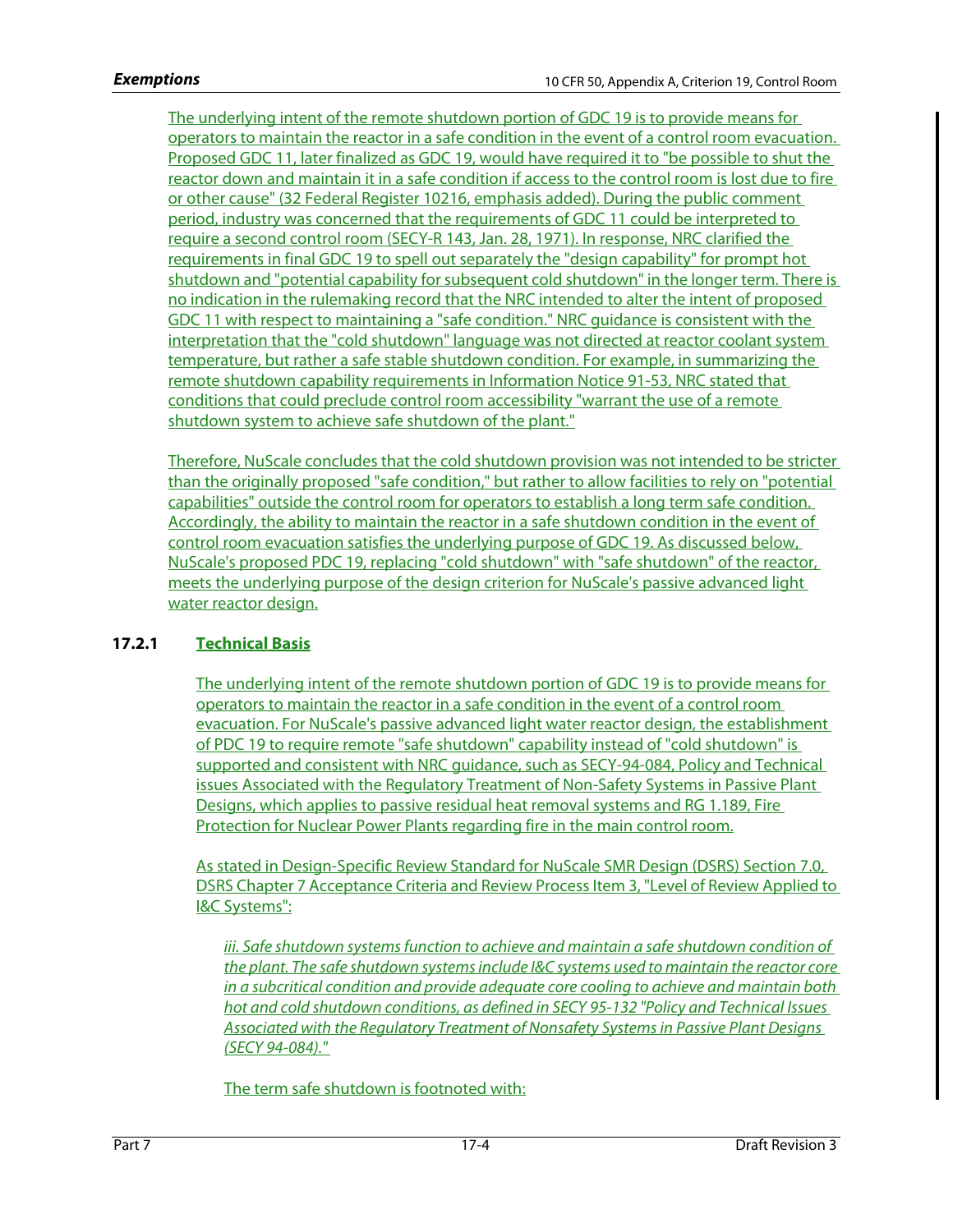The underlying intent of the remote shutdown portion of GDC 19 is to provide means for operators to maintain the reactor in a safe condition in the event of a control room evacuation. Proposed GDC 11, later finalized as GDC 19, would have required it to "be possible to shut the reactor down and maintain it in a safe condition if access to the control room is lost due to fire or other cause" (32 Federal Register 10216, emphasis added). During the public comment period, industry was concerned that the requirements of GDC 11 could be interpreted to require a second control room (SECY-R 143, Jan. 28, 1971). In response, NRC clarified the requirements in final GDC 19 to spell out separately the "design capability" for prompt hot shutdown and "potential capability for subsequent cold shutdown" in the longer term. There is no indication in the rulemaking record that the NRC intended to alter the intent of proposed GDC 11 with respect to maintaining a "safe condition." NRC guidance is consistent with the interpretation that the "cold shutdown" language was not directed at reactor coolant system temperature, but rather a safe stable shutdown condition. For example, in summarizing the remote shutdown capability requirements in Information Notice 91-53, NRC stated that conditions that could preclude control room accessibility "warrant the use of a remote shutdown system to achieve safe shutdown of the plant."

Therefore, NuScale concludes that the cold shutdown provision was not intended to be stricter than the originally proposed "safe condition," but rather to allow facilities to rely on "potential capabilities" outside the control room for operators to establish a long term safe condition. Accordingly, the ability to maintain the reactor in a safe shutdown condition in the event of control room evacuation satisfies the underlying purpose of GDC 19. As discussed below, NuScale's proposed PDC 19, replacing "cold shutdown" with "safe shutdown" of the reactor, meets the underlying purpose of the design criterion for NuScale's passive advanced light water reactor design.

# **17.2.1 Technical Basis**

The underlying intent of the remote shutdown portion of GDC 19 is to provide means for operators to maintain the reactor in a safe condition in the event of a control room evacuation. For NuScale's passive advanced light water reactor design, the establishment of PDC 19 to require remote "safe shutdown" capability instead of "cold shutdown" is supported and consistent with NRC guidance, such as SECY-94-084, Policy and Technical issues Associated with the Regulatory Treatment of Non-Safety Systems in Passive Plant Designs, which applies to passive residual heat removal systems and RG 1.189, Fire Protection for Nuclear Power Plants regarding fire in the main control room.

As stated in Design-Specific Review Standard for NuScale SMR Design (DSRS) Section 7.0, DSRS Chapter 7 Acceptance Criteria and Review Process Item 3, "Level of Review Applied to I&C Systems":

iii. Safe shutdown systems function to achieve and maintain a safe shutdown condition of the plant. The safe shutdown systems include I&C systems used to maintain the reactor core in a subcritical condition and provide adequate core cooling to achieve and maintain both hot and cold shutdown conditions, as defined in SECY 95-132 "Policy and Technical Issues Associated with the Regulatory Treatment of Nonsafety Systems in Passive Plant Designs (SECY 94-084)."

The term safe shutdown is footnoted with: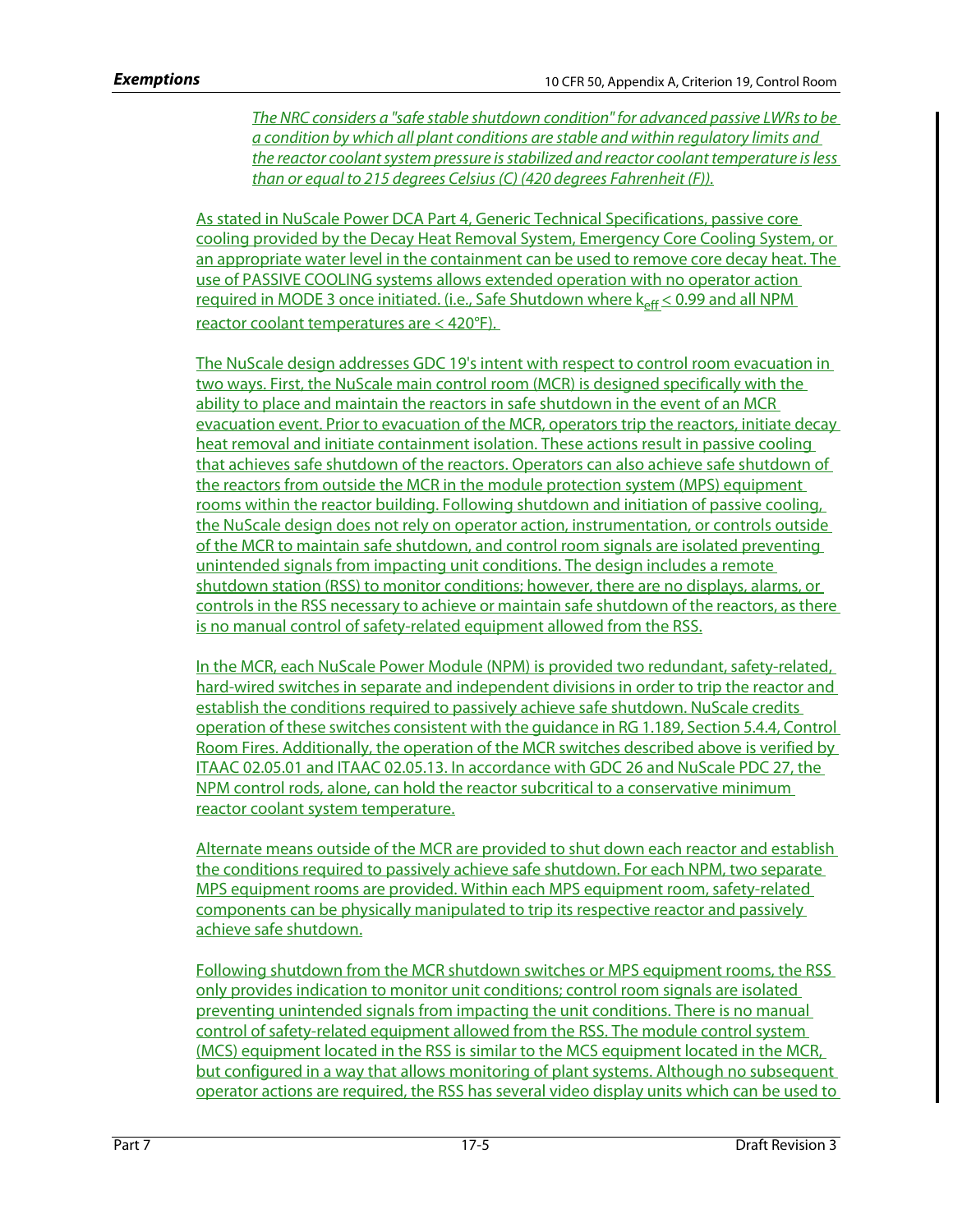The NRC considers a "safe stable shutdown condition" for advanced passive LWRs to be a condition by which all plant conditions are stable and within regulatory limits and the reactor coolant system pressure is stabilized and reactor coolant temperature is less than or equal to 215 degrees Celsius (C) (420 degrees Fahrenheit (F)).

As stated in NuScale Power DCA Part 4, Generic Technical Specifications, passive core cooling provided by the Decay Heat Removal System, Emergency Core Cooling System, or an appropriate water level in the containment can be used to remove core decay heat. The use of PASSIVE COOLING systems allows extended operation with no operator action required in MODE 3 once initiated. (i.e., Safe Shutdown where  $k_{eff}$   $\leq$  0.99 and all NPM reactor coolant temperatures are < 420°F).

The NuScale design addresses GDC 19's intent with respect to control room evacuation in two ways. First, the NuScale main control room (MCR) is designed specifically with the ability to place and maintain the reactors in safe shutdown in the event of an MCR evacuation event. Prior to evacuation of the MCR, operators trip the reactors, initiate decay heat removal and initiate containment isolation. These actions result in passive cooling that achieves safe shutdown of the reactors. Operators can also achieve safe shutdown of the reactors from outside the MCR in the module protection system (MPS) equipment rooms within the reactor building. Following shutdown and initiation of passive cooling, the NuScale design does not rely on operator action, instrumentation, or controls outside of the MCR to maintain safe shutdown, and control room signals are isolated preventing unintended signals from impacting unit conditions. The design includes a remote shutdown station (RSS) to monitor conditions; however, there are no displays, alarms, or controls in the RSS necessary to achieve or maintain safe shutdown of the reactors, as there is no manual control of safety-related equipment allowed from the RSS.

In the MCR, each NuScale Power Module (NPM) is provided two redundant, safety-related, hard-wired switches in separate and independent divisions in order to trip the reactor and establish the conditions required to passively achieve safe shutdown. NuScale credits operation of these switches consistent with the guidance in RG 1.189, Section 5.4.4, Control Room Fires. Additionally, the operation of the MCR switches described above is verified by ITAAC 02.05.01 and ITAAC 02.05.13. In accordance with GDC 26 and NuScale PDC 27, the NPM control rods, alone, can hold the reactor subcritical to a conservative minimum reactor coolant system temperature.

Alternate means outside of the MCR are provided to shut down each reactor and establish the conditions required to passively achieve safe shutdown. For each NPM, two separate MPS equipment rooms are provided. Within each MPS equipment room, safety-related components can be physically manipulated to trip its respective reactor and passively achieve safe shutdown.

Following shutdown from the MCR shutdown switches or MPS equipment rooms, the RSS only provides indication to monitor unit conditions; control room signals are isolated preventing unintended signals from impacting the unit conditions. There is no manual control of safety-related equipment allowed from the RSS. The module control system (MCS) equipment located in the RSS is similar to the MCS equipment located in the MCR, but configured in a way that allows monitoring of plant systems. Although no subsequent operator actions are required, the RSS has several video display units which can be used to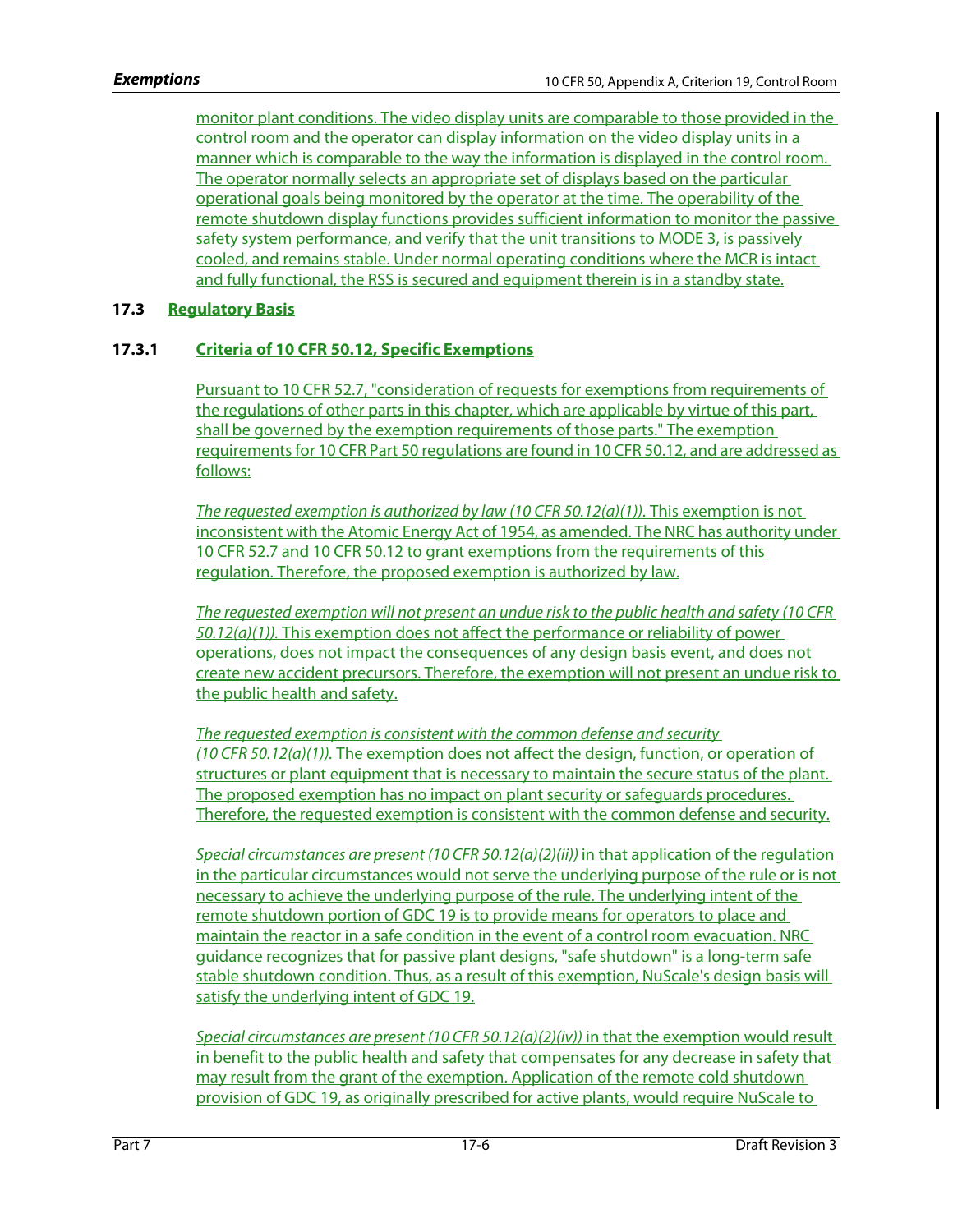monitor plant conditions. The video display units are comparable to those provided in the control room and the operator can display information on the video display units in a manner which is comparable to the way the information is displayed in the control room. The operator normally selects an appropriate set of displays based on the particular operational goals being monitored by the operator at the time. The operability of the remote shutdown display functions provides sufficient information to monitor the passive safety system performance, and verify that the unit transitions to MODE 3, is passively cooled, and remains stable. Under normal operating conditions where the MCR is intact and fully functional, the RSS is secured and equipment therein is in a standby state.

# **17.3 Regulatory Basis**

# **17.3.1 Criteria of 10 CFR 50.12, Specific Exemptions**

Pursuant to 10 CFR 52.7, "consideration of requests for exemptions from requirements of the regulations of other parts in this chapter, which are applicable by virtue of this part, shall be governed by the exemption requirements of those parts." The exemption requirements for 10 CFR Part 50 regulations are found in 10 CFR 50.12, and are addressed as follows:

The requested exemption is authorized by law (10 CFR 50.12(a)(1)). This exemption is not inconsistent with the Atomic Energy Act of 1954, as amended. The NRC has authority under 10 CFR 52.7 and 10 CFR 50.12 to grant exemptions from the requirements of this regulation. Therefore, the proposed exemption is authorized by law.

The requested exemption will not present an undue risk to the public health and safety (10 CFR  $50.12(a)(1)$ ). This exemption does not affect the performance or reliability of power operations, does not impact the consequences of any design basis event, and does not create new accident precursors. Therefore, the exemption will not present an undue risk to the public health and safety.

The requested exemption is consistent with the common defense and security (10 CFR 50.12(a)(1)). The exemption does not affect the design, function, or operation of structures or plant equipment that is necessary to maintain the secure status of the plant. The proposed exemption has no impact on plant security or safeguards procedures. Therefore, the requested exemption is consistent with the common defense and security.

Special circumstances are present (10 CFR 50.12(a)(2)(ii)) in that application of the regulation in the particular circumstances would not serve the underlying purpose of the rule or is not necessary to achieve the underlying purpose of the rule. The underlying intent of the remote shutdown portion of GDC 19 is to provide means for operators to place and maintain the reactor in a safe condition in the event of a control room evacuation. NRC guidance recognizes that for passive plant designs, "safe shutdown" is a long-term safe stable shutdown condition. Thus, as a result of this exemption, NuScale's design basis will satisfy the underlying intent of GDC 19.

Special circumstances are present (10 CFR 50.12(a)(2)(iv)) in that the exemption would result in benefit to the public health and safety that compensates for any decrease in safety that may result from the grant of the exemption. Application of the remote cold shutdown provision of GDC 19, as originally prescribed for active plants, would require NuScale to